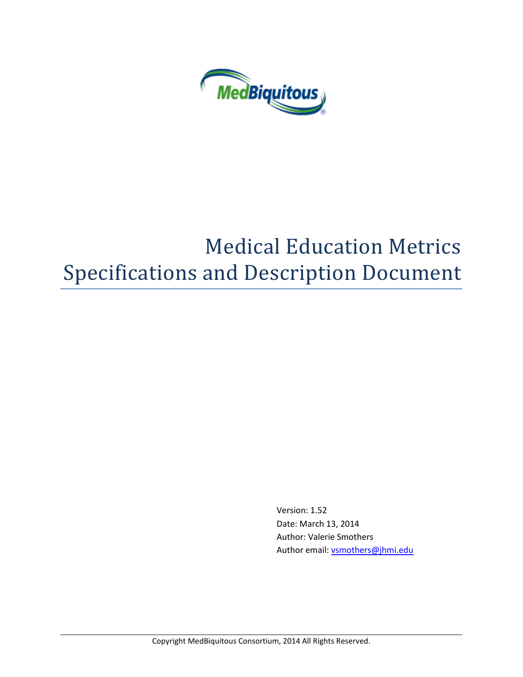

# Medical Education Metrics Specifications and Description Document

Version: 1.52 Date: March 13, 2014 Author: Valerie Smothers Author email[: vsmothers@jhmi.edu](mailto:vsmothers@jhmi.edu)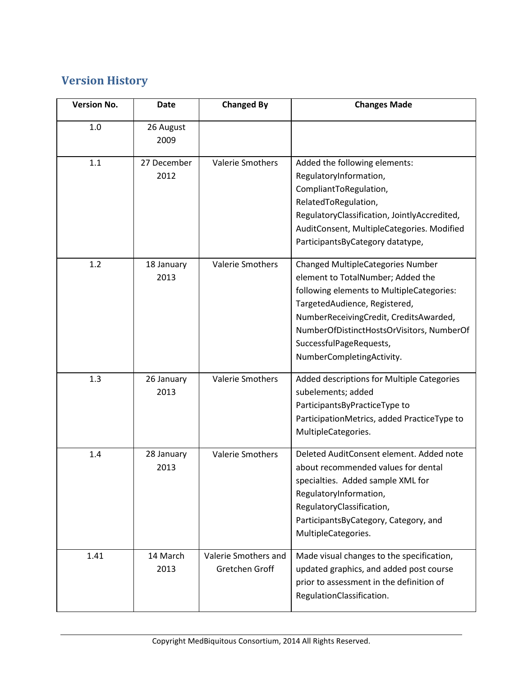# **Version History**

| <b>Version No.</b> | Date                | <b>Changed By</b>                      | <b>Changes Made</b>                                                                                                                                                                                                                                                                                        |
|--------------------|---------------------|----------------------------------------|------------------------------------------------------------------------------------------------------------------------------------------------------------------------------------------------------------------------------------------------------------------------------------------------------------|
| 1.0                | 26 August<br>2009   |                                        |                                                                                                                                                                                                                                                                                                            |
| 1.1                | 27 December<br>2012 | <b>Valerie Smothers</b>                | Added the following elements:<br>RegulatoryInformation,<br>CompliantToRegulation,<br>RelatedToRegulation,<br>RegulatoryClassification, JointlyAccredited,<br>AuditConsent, MultipleCategories. Modified<br>ParticipantsByCategory datatype,                                                                |
| 1.2                | 18 January<br>2013  | <b>Valerie Smothers</b>                | <b>Changed MultipleCategories Number</b><br>element to TotalNumber; Added the<br>following elements to MultipleCategories:<br>TargetedAudience, Registered,<br>NumberReceivingCredit, CreditsAwarded,<br>NumberOfDistinctHostsOrVisitors, NumberOf<br>SuccessfulPageRequests,<br>NumberCompletingActivity. |
| 1.3                | 26 January<br>2013  | <b>Valerie Smothers</b>                | Added descriptions for Multiple Categories<br>subelements; added<br>ParticipantsByPracticeType to<br>ParticipationMetrics, added PracticeType to<br>MultipleCategories.                                                                                                                                    |
| 1.4                | 28 January<br>2013  | <b>Valerie Smothers</b>                | Deleted AuditConsent element. Added note<br>about recommended values for dental<br>specialties. Added sample XML for<br>RegulatoryInformation,<br>RegulatoryClassification,<br>ParticipantsByCategory, Category, and<br>MultipleCategories.                                                                |
| 1.41               | 14 March<br>2013    | Valerie Smothers and<br>Gretchen Groff | Made visual changes to the specification,<br>updated graphics, and added post course<br>prior to assessment in the definition of<br>RegulationClassification.                                                                                                                                              |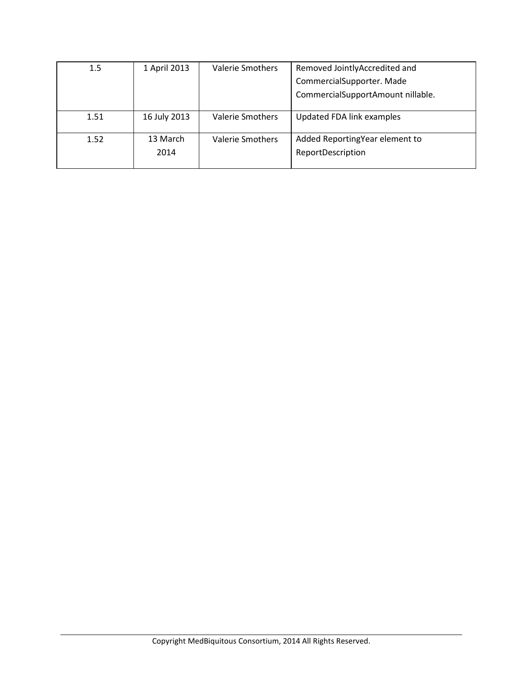| 1.5  | 1 April 2013 | <b>Valerie Smothers</b> | Removed JointlyAccredited and     |  |
|------|--------------|-------------------------|-----------------------------------|--|
|      |              |                         | CommercialSupporter. Made         |  |
|      |              |                         | CommercialSupportAmount nillable. |  |
| 1.51 | 16 July 2013 | Valerie Smothers        | Updated FDA link examples         |  |
|      |              |                         |                                   |  |
| 1.52 | 13 March     | <b>Valerie Smothers</b> | Added ReportingYear element to    |  |
|      | 2014         |                         | ReportDescription                 |  |
|      |              |                         |                                   |  |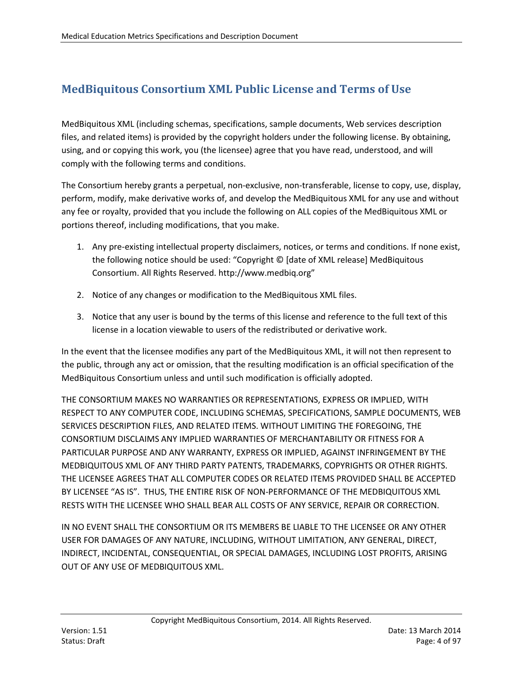# **MedBiquitous Consortium XML Public License and Terms of Use**

MedBiquitous XML (including schemas, specifications, sample documents, Web services description files, and related items) is provided by the copyright holders under the following license. By obtaining, using, and or copying this work, you (the licensee) agree that you have read, understood, and will comply with the following terms and conditions.

The Consortium hereby grants a perpetual, non-exclusive, non-transferable, license to copy, use, display, perform, modify, make derivative works of, and develop the MedBiquitous XML for any use and without any fee or royalty, provided that you include the following on ALL copies of the MedBiquitous XML or portions thereof, including modifications, that you make.

- 1. Any pre-existing intellectual property disclaimers, notices, or terms and conditions. If none exist, the following notice should be used: "Copyright © [date of XML release] MedBiquitous Consortium. All Rights Reserved. http://www.medbiq.org"
- 2. Notice of any changes or modification to the MedBiquitous XML files.
- 3. Notice that any user is bound by the terms of this license and reference to the full text of this license in a location viewable to users of the redistributed or derivative work.

In the event that the licensee modifies any part of the MedBiquitous XML, it will not then represent to the public, through any act or omission, that the resulting modification is an official specification of the MedBiquitous Consortium unless and until such modification is officially adopted.

THE CONSORTIUM MAKES NO WARRANTIES OR REPRESENTATIONS, EXPRESS OR IMPLIED, WITH RESPECT TO ANY COMPUTER CODE, INCLUDING SCHEMAS, SPECIFICATIONS, SAMPLE DOCUMENTS, WEB SERVICES DESCRIPTION FILES, AND RELATED ITEMS. WITHOUT LIMITING THE FOREGOING, THE CONSORTIUM DISCLAIMS ANY IMPLIED WARRANTIES OF MERCHANTABILITY OR FITNESS FOR A PARTICULAR PURPOSE AND ANY WARRANTY, EXPRESS OR IMPLIED, AGAINST INFRINGEMENT BY THE MEDBIQUITOUS XML OF ANY THIRD PARTY PATENTS, TRADEMARKS, COPYRIGHTS OR OTHER RIGHTS. THE LICENSEE AGREES THAT ALL COMPUTER CODES OR RELATED ITEMS PROVIDED SHALL BE ACCEPTED BY LICENSEE "AS IS". THUS, THE ENTIRE RISK OF NON-PERFORMANCE OF THE MEDBIQUITOUS XML RESTS WITH THE LICENSEE WHO SHALL BEAR ALL COSTS OF ANY SERVICE, REPAIR OR CORRECTION.

IN NO EVENT SHALL THE CONSORTIUM OR ITS MEMBERS BE LIABLE TO THE LICENSEE OR ANY OTHER USER FOR DAMAGES OF ANY NATURE, INCLUDING, WITHOUT LIMITATION, ANY GENERAL, DIRECT, INDIRECT, INCIDENTAL, CONSEQUENTIAL, OR SPECIAL DAMAGES, INCLUDING LOST PROFITS, ARISING OUT OF ANY USE OF MEDBIQUITOUS XML.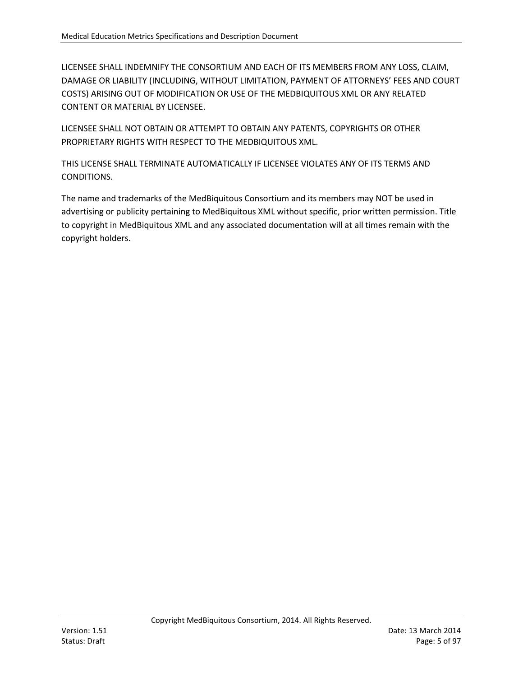LICENSEE SHALL INDEMNIFY THE CONSORTIUM AND EACH OF ITS MEMBERS FROM ANY LOSS, CLAIM, DAMAGE OR LIABILITY (INCLUDING, WITHOUT LIMITATION, PAYMENT OF ATTORNEYS' FEES AND COURT COSTS) ARISING OUT OF MODIFICATION OR USE OF THE MEDBIQUITOUS XML OR ANY RELATED CONTENT OR MATERIAL BY LICENSEE.

LICENSEE SHALL NOT OBTAIN OR ATTEMPT TO OBTAIN ANY PATENTS, COPYRIGHTS OR OTHER PROPRIETARY RIGHTS WITH RESPECT TO THE MEDBIQUITOUS XML.

THIS LICENSE SHALL TERMINATE AUTOMATICALLY IF LICENSEE VIOLATES ANY OF ITS TERMS AND CONDITIONS.

The name and trademarks of the MedBiquitous Consortium and its members may NOT be used in advertising or publicity pertaining to MedBiquitous XML without specific, prior written permission. Title to copyright in MedBiquitous XML and any associated documentation will at all times remain with the copyright holders.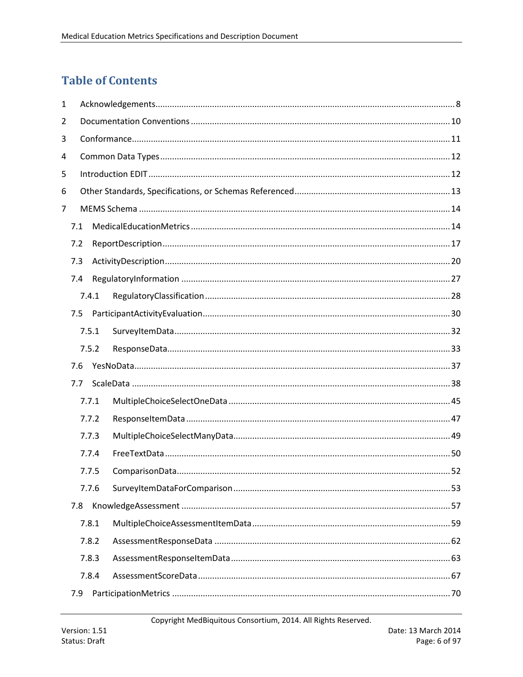# **Table of Contents**

| 1              |     |       |  |  |
|----------------|-----|-------|--|--|
| $\overline{2}$ |     |       |  |  |
| 3              |     |       |  |  |
| 4              |     |       |  |  |
| 5              |     |       |  |  |
| 6              |     |       |  |  |
| 7              |     |       |  |  |
|                | 7.1 |       |  |  |
|                | 7.2 |       |  |  |
|                | 7.3 |       |  |  |
|                | 7.4 |       |  |  |
|                |     | 7.4.1 |  |  |
|                | 7.5 |       |  |  |
|                |     | 7.5.1 |  |  |
|                |     | 7.5.2 |  |  |
|                | 7.6 |       |  |  |
|                | 7.7 |       |  |  |
|                |     | 7.7.1 |  |  |
|                |     | 7.7.2 |  |  |
|                |     | 7.7.3 |  |  |
|                |     | 7.7.4 |  |  |
|                |     | 7.7.5 |  |  |
|                |     | 7.7.6 |  |  |
|                | 7.8 |       |  |  |
|                |     | 7.8.1 |  |  |
|                |     | 7.8.2 |  |  |
|                |     | 7.8.3 |  |  |
|                |     | 7.8.4 |  |  |
|                | 7.9 |       |  |  |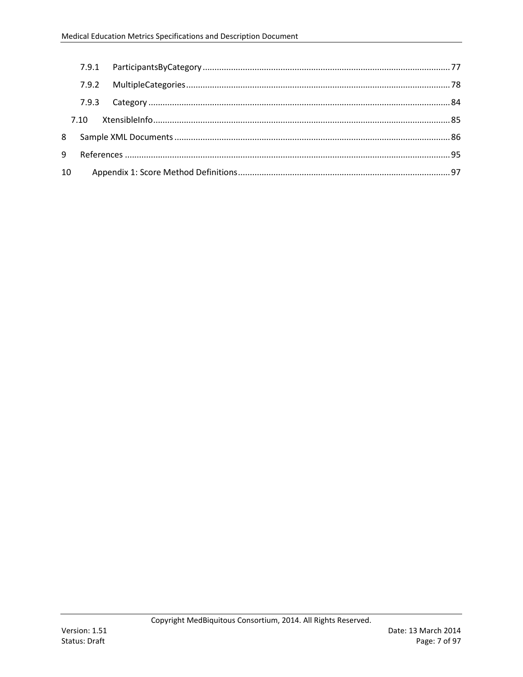| 8  |  |  |
|----|--|--|
| 9  |  |  |
| 10 |  |  |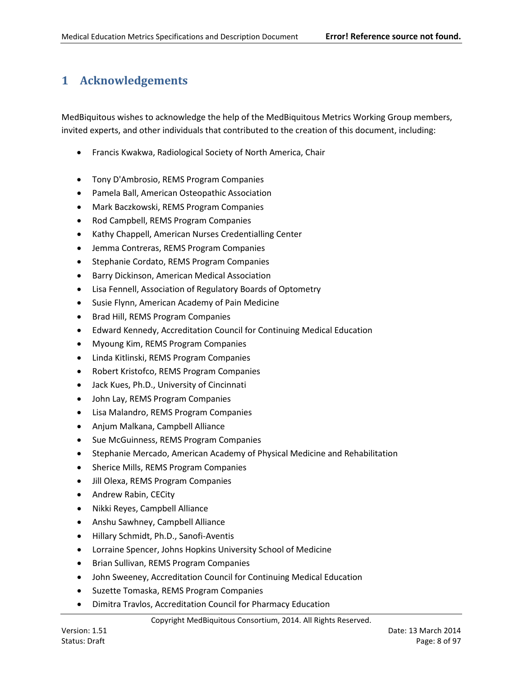# <span id="page-7-0"></span>**1 Acknowledgements**

MedBiquitous wishes to acknowledge the help of the MedBiquitous Metrics Working Group members, invited experts, and other individuals that contributed to the creation of this document, including:

- Francis Kwakwa, Radiological Society of North America, Chair
- Tony D'Ambrosio, REMS Program Companies
- Pamela Ball, American Osteopathic Association
- Mark Baczkowski, REMS Program Companies
- Rod Campbell, REMS Program Companies
- Kathy Chappell, American Nurses Credentialling Center
- Jemma Contreras, REMS Program Companies
- Stephanie Cordato, REMS Program Companies
- Barry Dickinson, American Medical Association
- Lisa Fennell, Association of Regulatory Boards of Optometry
- Susie Flynn, American Academy of Pain Medicine
- Brad Hill, REMS Program Companies
- Edward Kennedy, Accreditation Council for Continuing Medical Education
- Myoung Kim, REMS Program Companies
- Linda Kitlinski, REMS Program Companies
- Robert Kristofco, REMS Program Companies
- Jack Kues, Ph.D., University of Cincinnati
- John Lay, REMS Program Companies
- Lisa Malandro, REMS Program Companies
- Anjum Malkana, Campbell Alliance
- Sue McGuinness, REMS Program Companies
- Stephanie Mercado, American Academy of Physical Medicine and Rehabilitation
- Sherice Mills, REMS Program Companies
- Jill Olexa, REMS Program Companies
- Andrew Rabin, CECity
- Nikki Reyes, Campbell Alliance
- Anshu Sawhney, Campbell Alliance
- Hillary Schmidt, Ph.D., Sanofi-Aventis
- Lorraine Spencer, Johns Hopkins University School of Medicine
- Brian Sullivan, REMS Program Companies
- John Sweeney, Accreditation Council for Continuing Medical Education
- Suzette Tomaska, REMS Program Companies
- Dimitra Travlos, Accreditation Council for Pharmacy Education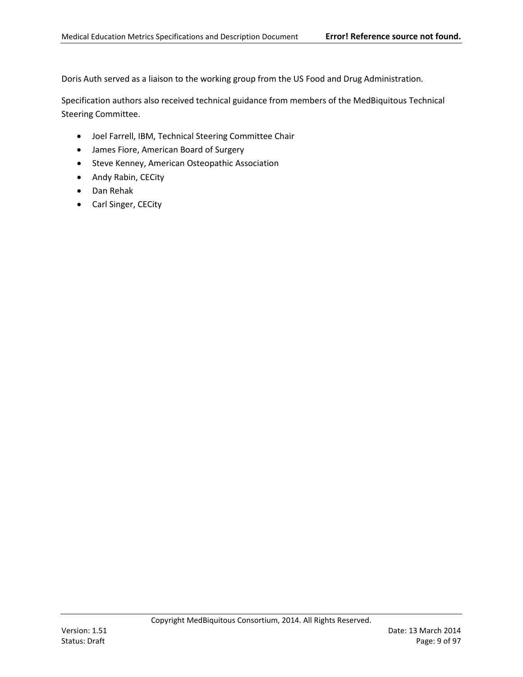Doris Auth served as a liaison to the working group from the US Food and Drug Administration.

Specification authors also received technical guidance from members of the MedBiquitous Technical Steering Committee.

- Joel Farrell, IBM, Technical Steering Committee Chair
- James Fiore, American Board of Surgery
- Steve Kenney, American Osteopathic Association
- Andy Rabin, CECity
- Dan Rehak
- Carl Singer, CECity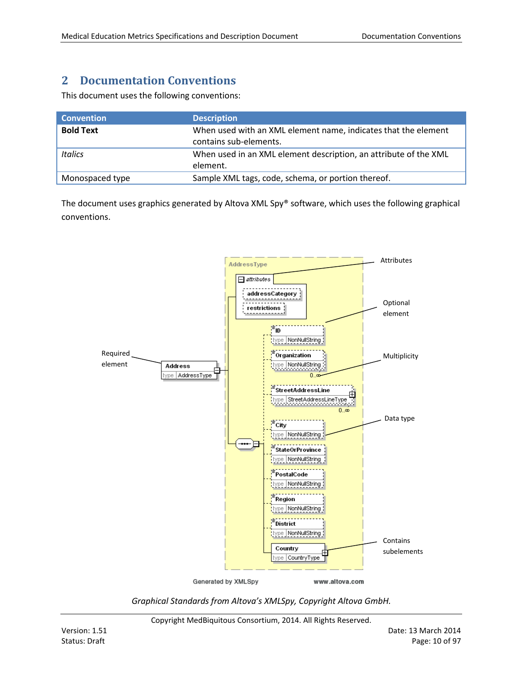# <span id="page-9-0"></span>**2 Documentation Conventions**

This document uses the following conventions:

| <b>Convention</b> | <b>Description</b>                                                                       |
|-------------------|------------------------------------------------------------------------------------------|
| <b>Bold Text</b>  | When used with an XML element name, indicates that the element<br>contains sub-elements. |
| <b>Italics</b>    | When used in an XML element description, an attribute of the XML<br>element.             |
| Monospaced type   | Sample XML tags, code, schema, or portion thereof.                                       |

The document uses graphics generated by Altova XML Spy® software, which uses the following graphical conventions.



*Graphical Standards from Altova's XMLSpy, Copyright Altova GmbH.*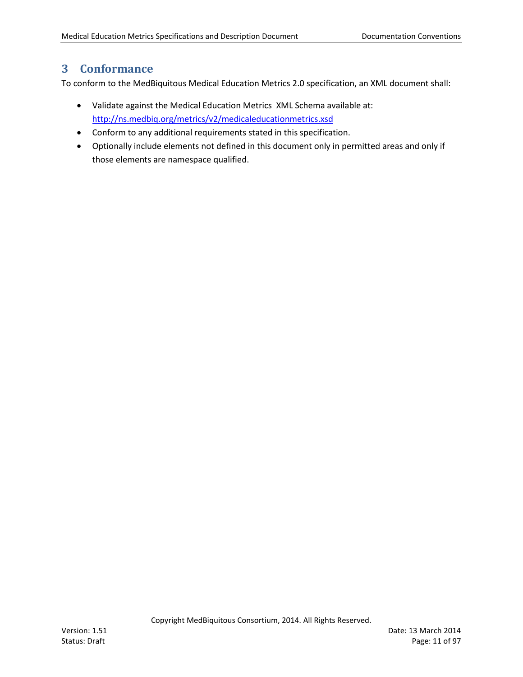## <span id="page-10-0"></span>**3 Conformance**

To conform to the MedBiquitous Medical Education Metrics 2.0 specification, an XML document shall:

- Validate against the Medical Education Metrics XML Schema available at: <http://ns.medbiq.org/metrics/v2/medicaleducationmetrics.xsd>
- Conform to any additional requirements stated in this specification.
- Optionally include elements not defined in this document only in permitted areas and only if those elements are namespace qualified.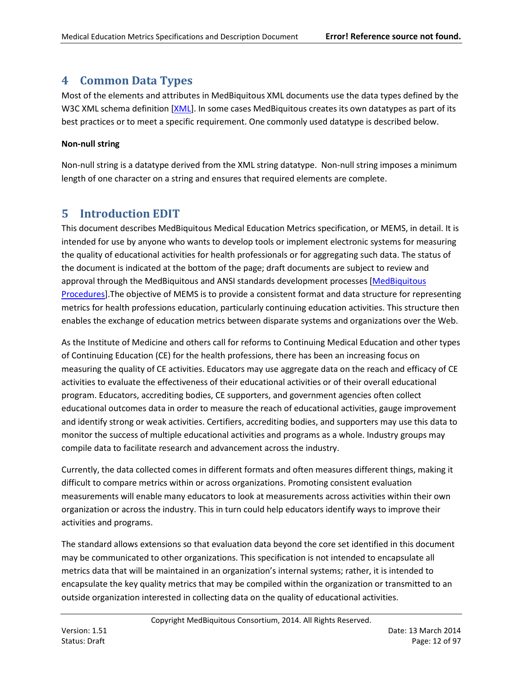## <span id="page-11-0"></span>**4 Common Data Types**

Most of the elements and attributes in MedBiquitous XML documents use the data types defined by the W3C XML schema definition [\[XML\]](#page-95-0). In some cases MedBiquitous creates its own datatypes as part of its best practices or to meet a specific requirement. One commonly used datatype is described below.

### **Non-null string**

Non-null string is a datatype derived from the XML string datatype. Non-null string imposes a minimum length of one character on a string and ensures that required elements are complete.

# <span id="page-11-1"></span>**5 Introduction EDIT**

This document describes MedBiquitous Medical Education Metrics specification, or MEMS, in detail. It is intended for use by anyone who wants to develop tools or implement electronic systems for measuring the quality of educational activities for health professionals or for aggregating such data. The status of the document is indicated at the bottom of the page; draft documents are subject to review and approval through the MedBiquitous and ANSI standards development processes [\[MedBiquitous](#page-94-1)  [Procedures\]](#page-94-1).The objective of MEMS is to provide a consistent format and data structure for representing metrics for health professions education, particularly continuing education activities. This structure then enables the exchange of education metrics between disparate systems and organizations over the Web.

As the Institute of Medicine and others call for reforms to Continuing Medical Education and other types of Continuing Education (CE) for the health professions, there has been an increasing focus on measuring the quality of CE activities. Educators may use aggregate data on the reach and efficacy of CE activities to evaluate the effectiveness of their educational activities or of their overall educational program. Educators, accrediting bodies, CE supporters, and government agencies often collect educational outcomes data in order to measure the reach of educational activities, gauge improvement and identify strong or weak activities. Certifiers, accrediting bodies, and supporters may use this data to monitor the success of multiple educational activities and programs as a whole. Industry groups may compile data to facilitate research and advancement across the industry.

Currently, the data collected comes in different formats and often measures different things, making it difficult to compare metrics within or across organizations. Promoting consistent evaluation measurements will enable many educators to look at measurements across activities within their own organization or across the industry. This in turn could help educators identify ways to improve their activities and programs.

The standard allows extensions so that evaluation data beyond the core set identified in this document may be communicated to other organizations. This specification is not intended to encapsulate all metrics data that will be maintained in an organization's internal systems; rather, it is intended to encapsulate the key quality metrics that may be compiled within the organization or transmitted to an outside organization interested in collecting data on the quality of educational activities.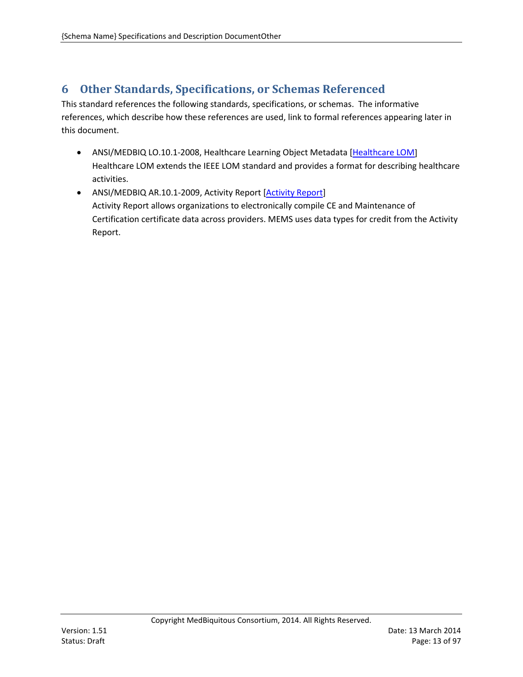# <span id="page-12-0"></span>**6 Other Standards, Specifications, or Schemas Referenced**

This standard references the following standards, specifications, or schemas. The informative references, which describe how these references are used, link to formal references appearing later in this document.

- ANSI/MEDBIQ LO.10.1-2008, Healthcare Learning Object Metadata [\[Healthcare LOM\]](#page-94-2) Healthcare LOM extends the IEEE LOM standard and provides a format for describing healthcare activities.
- ANSI/MEDBIQ AR.10.1-2009, Activity Report [\[Activity Report\]](#page-94-3) Activity Report allows organizations to electronically compile CE and Maintenance of Certification certificate data across providers. MEMS uses data types for credit from the Activity Report.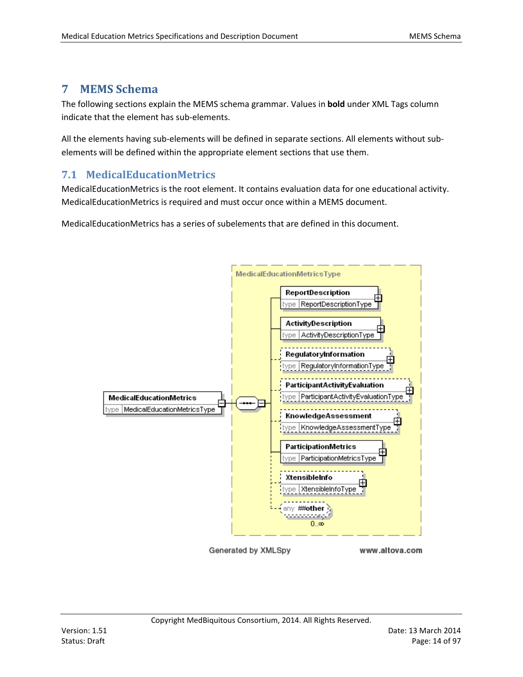## <span id="page-13-2"></span><span id="page-13-0"></span>**7 MEMS Schema**

The following sections explain the MEMS schema grammar. Values in **bold** under XML Tags column indicate that the element has sub-elements.

All the elements having sub-elements will be defined in separate sections. All elements without subelements will be defined within the appropriate element sections that use them.

## <span id="page-13-1"></span>**7.1 MedicalEducationMetrics**

MedicalEducationMetrics is the root element. It contains evaluation data for one educational activity. MedicalEducationMetrics is required and must occur once within a MEMS document.

MedicalEducationMetrics has a series of subelements that are defined in this document.



Generated by XMLSpy

www.altova.com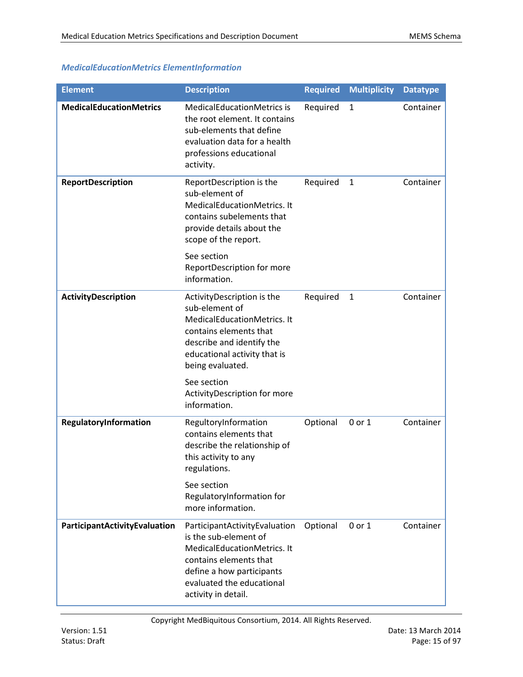## *MedicalEducationMetrics ElementInformation*

| <b>Element</b>                 | <b>Description</b>                                                                                                                                                                                                       | <b>Required</b> | <b>Multiplicity</b> | <b>Datatype</b> |
|--------------------------------|--------------------------------------------------------------------------------------------------------------------------------------------------------------------------------------------------------------------------|-----------------|---------------------|-----------------|
| <b>MedicalEducationMetrics</b> | MedicalEducationMetrics is<br>the root element. It contains<br>sub-elements that define<br>evaluation data for a health<br>professions educational<br>activity.                                                          | Required        | 1                   | Container       |
| <b>ReportDescription</b>       | ReportDescription is the<br>sub-element of<br>MedicalEducationMetrics. It<br>contains subelements that<br>provide details about the<br>scope of the report.<br>See section<br>ReportDescription for more<br>information. | Required        | $\mathbf{1}$        | Container       |
| ActivityDescription            | ActivityDescription is the<br>sub-element of<br>MedicalEducationMetrics. It<br>contains elements that<br>describe and identify the<br>educational activity that is<br>being evaluated.<br>See section                    | Required        | $\mathbf{1}$        | Container       |
|                                | ActivityDescription for more<br>information.                                                                                                                                                                             |                 |                     |                 |
| RegulatoryInformation          | RegultoryInformation<br>contains elements that<br>describe the relationship of<br>this activity to any<br>regulations.                                                                                                   | Optional        | $0$ or $1$          | Container       |
|                                | See section<br>RegulatoryInformation for<br>more information.                                                                                                                                                            |                 |                     |                 |
| ParticipantActivityEvaluation  | ParticipantActivityEvaluation<br>is the sub-element of<br>MedicalEducationMetrics. It<br>contains elements that<br>define a how participants<br>evaluated the educational<br>activity in detail.                         | Optional        | 0 or 1              | Container       |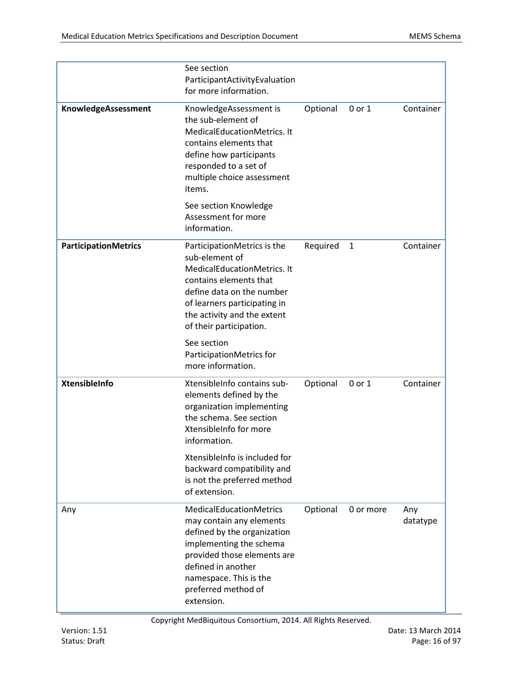|                             | See section<br>ParticipantActivityEvaluation<br>for more information.                                                                                                                                                             |          |              |                 |
|-----------------------------|-----------------------------------------------------------------------------------------------------------------------------------------------------------------------------------------------------------------------------------|----------|--------------|-----------------|
| KnowledgeAssessment         | KnowledgeAssessment is<br>the sub-element of<br>MedicalEducationMetrics. It<br>contains elements that<br>define how participants<br>responded to a set of<br>multiple choice assessment<br>items.                                 | Optional | 0 or 1       | Container       |
|                             | See section Knowledge<br>Assessment for more<br>information.                                                                                                                                                                      |          |              |                 |
| <b>ParticipationMetrics</b> | ParticipationMetrics is the<br>sub-element of<br>MedicalEducationMetrics. It<br>contains elements that<br>define data on the number<br>of learners participating in<br>the activity and the extent<br>of their participation.     | Required | $\mathbf{1}$ | Container       |
|                             | See section<br>ParticipationMetrics for<br>more information.                                                                                                                                                                      |          |              |                 |
| XtensibleInfo               | XtensibleInfo contains sub-<br>elements defined by the<br>organization implementing<br>the schema. See section<br>XtensibleInfo for more<br>information.                                                                          | Optional | 0 or 1       | Container       |
|                             | XtensibleInfo is included for<br>backward compatibility and<br>is not the preferred method<br>of extension.                                                                                                                       |          |              |                 |
| Any                         | MedicalEducationMetrics<br>may contain any elements<br>defined by the organization<br>implementing the schema<br>provided those elements are<br>defined in another<br>namespace. This is the<br>preferred method of<br>extension. | Optional | 0 or more    | Any<br>datatype |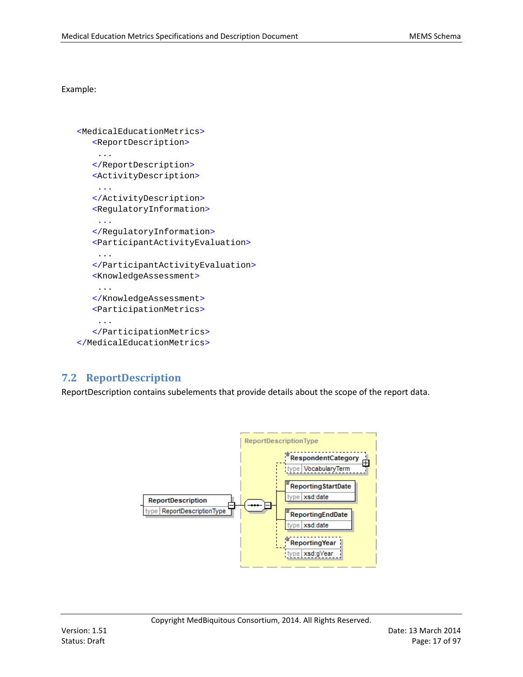Example:

```
<MedicalEducationMetrics>
   <ReportDescription>
    ...
   </ReportDescription>
   <ActivityDescription>
    ...
   </ActivityDescription>
   <RegulatoryInformation>
    ...
   </RegulatoryInformation>
   <ParticipantActivityEvaluation>
    ...
   </ParticipantActivityEvaluation>
   <KnowledgeAssessment>
    ...
   </KnowledgeAssessment>
   <ParticipationMetrics>
    ...
   </ParticipationMetrics>
</MedicalEducationMetrics>
```
## <span id="page-16-0"></span>**7.2 ReportDescription**

ReportDescription contains subelements that provide details about the scope of the report data.

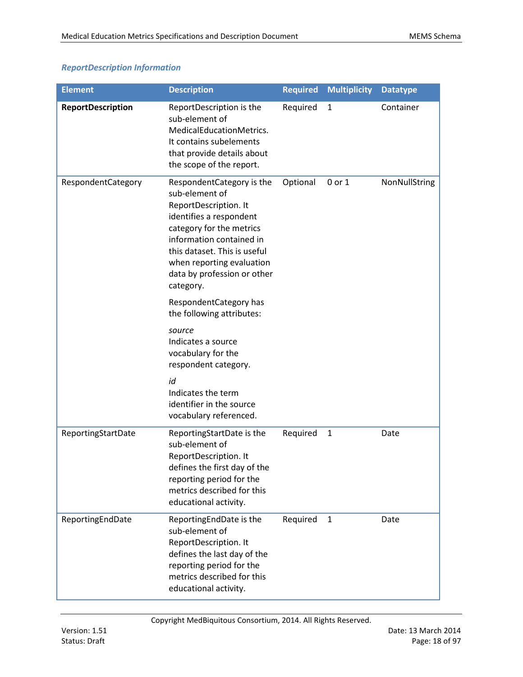## *ReportDescription Information*

| <b>Element</b>           | <b>Description</b>                                                                                                                                                                                                                                                | <b>Required</b> | <b>Multiplicity</b> | <b>Datatype</b> |
|--------------------------|-------------------------------------------------------------------------------------------------------------------------------------------------------------------------------------------------------------------------------------------------------------------|-----------------|---------------------|-----------------|
| <b>ReportDescription</b> | ReportDescription is the<br>sub-element of<br>MedicalEducationMetrics.<br>It contains subelements<br>that provide details about<br>the scope of the report.                                                                                                       | Required        | $\mathbf{1}$        | Container       |
| RespondentCategory       | Respondent Category is the<br>sub-element of<br>ReportDescription. It<br>identifies a respondent<br>category for the metrics<br>information contained in<br>this dataset. This is useful<br>when reporting evaluation<br>data by profession or other<br>category. | Optional        | 0 or 1              | NonNullString   |
|                          | RespondentCategory has<br>the following attributes:                                                                                                                                                                                                               |                 |                     |                 |
|                          | source<br>Indicates a source<br>vocabulary for the<br>respondent category.                                                                                                                                                                                        |                 |                     |                 |
|                          | id<br>Indicates the term<br>identifier in the source<br>vocabulary referenced.                                                                                                                                                                                    |                 |                     |                 |
| ReportingStartDate       | ReportingStartDate is the<br>sub-element of<br>ReportDescription. It<br>defines the first day of the<br>reporting period for the<br>metrics described for this<br>educational activity.                                                                           | Required        | $\mathbf{1}$        | Date            |
| ReportingEndDate         | ReportingEndDate is the<br>sub-element of<br>ReportDescription. It<br>defines the last day of the<br>reporting period for the<br>metrics described for this<br>educational activity.                                                                              | Required        | $\mathbf{1}$        | Date            |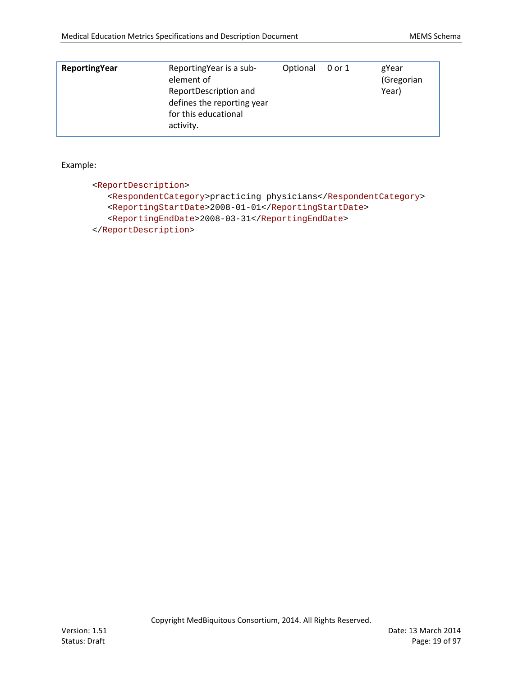| <b>ReportingYear</b> | ReportingYear is a sub-<br>element of<br>ReportDescription and<br>defines the reporting year<br>for this educational<br>activity. | Optional | 0 or 1 | gYear<br>(Gregorian<br>Year) |
|----------------------|-----------------------------------------------------------------------------------------------------------------------------------|----------|--------|------------------------------|
|----------------------|-----------------------------------------------------------------------------------------------------------------------------------|----------|--------|------------------------------|

Example:

```
<ReportDescription>
   <RespondentCategory>practicing physicians</RespondentCategory>
   <ReportingStartDate>2008-01-01</ReportingStartDate>
   <ReportingEndDate>2008-03-31</ReportingEndDate>
</ReportDescription>
```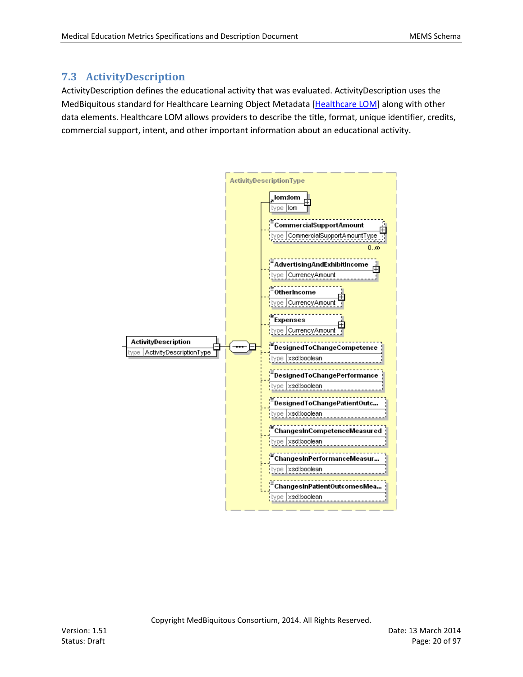## <span id="page-19-0"></span>**7.3 ActivityDescription**

ActivityDescription defines the educational activity that was evaluated. ActivityDescription uses the MedBiquitous standard for Healthcare Learning Object Metadata [\[Healthcare LOM\]](#page-94-2) along with other data elements. Healthcare LOM allows providers to describe the title, format, unique identifier, credits, commercial support, intent, and other important information about an educational activity.

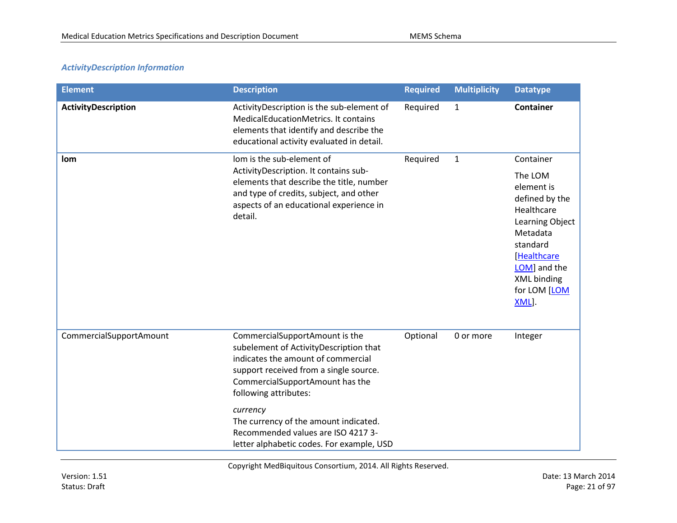## *ActivityDescription Information*

| <b>Element</b>             | <b>Description</b>                                                                                                                                                                                                   | <b>Required</b> | <b>Multiplicity</b> | <b>Datatype</b>                                                                                                                                                               |
|----------------------------|----------------------------------------------------------------------------------------------------------------------------------------------------------------------------------------------------------------------|-----------------|---------------------|-------------------------------------------------------------------------------------------------------------------------------------------------------------------------------|
| <b>ActivityDescription</b> | ActivityDescription is the sub-element of<br>MedicalEducationMetrics. It contains<br>elements that identify and describe the<br>educational activity evaluated in detail.                                            | Required        | $\mathbf{1}$        | <b>Container</b>                                                                                                                                                              |
| lom                        | lom is the sub-element of                                                                                                                                                                                            | Required        | $\mathbf{1}$        | Container                                                                                                                                                                     |
|                            | ActivityDescription. It contains sub-<br>elements that describe the title, number<br>and type of credits, subject, and other<br>aspects of an educational experience in<br>detail.                                   |                 |                     | The LOM<br>element is<br>defined by the<br>Healthcare<br>Learning Object<br>Metadata<br>standard<br><b>Healthcare</b><br>LOM] and the<br>XML binding<br>for LOM [LOM<br>XML]. |
| CommercialSupportAmount    | CommercialSupportAmount is the<br>subelement of ActivityDescription that<br>indicates the amount of commercial<br>support received from a single source.<br>CommercialSupportAmount has the<br>following attributes: | Optional        | 0 or more           | Integer                                                                                                                                                                       |
|                            | currency<br>The currency of the amount indicated.<br>Recommended values are ISO 4217 3-<br>letter alphabetic codes. For example, USD                                                                                 |                 |                     |                                                                                                                                                                               |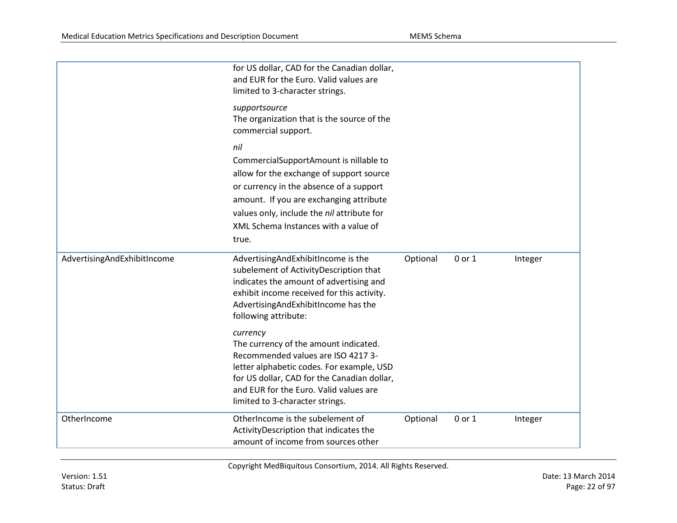|                             | for US dollar, CAD for the Canadian dollar,<br>and EUR for the Euro. Valid values are<br>limited to 3-character strings.                                                                                                                                                       |          |        |         |
|-----------------------------|--------------------------------------------------------------------------------------------------------------------------------------------------------------------------------------------------------------------------------------------------------------------------------|----------|--------|---------|
|                             | supportsource<br>The organization that is the source of the<br>commercial support.                                                                                                                                                                                             |          |        |         |
|                             | nil<br>CommercialSupportAmount is nillable to<br>allow for the exchange of support source<br>or currency in the absence of a support<br>amount. If you are exchanging attribute<br>values only, include the nil attribute for<br>XML Schema Instances with a value of<br>true. |          |        |         |
| AdvertisingAndExhibitIncome | AdvertisingAndExhibitIncome is the<br>subelement of ActivityDescription that<br>indicates the amount of advertising and<br>exhibit income received for this activity.<br>AdvertisingAndExhibitIncome has the<br>following attribute:                                           | Optional | 0 or 1 | Integer |
|                             | currency<br>The currency of the amount indicated.<br>Recommended values are ISO 4217 3-<br>letter alphabetic codes. For example, USD<br>for US dollar, CAD for the Canadian dollar,<br>and EUR for the Euro. Valid values are<br>limited to 3-character strings.               |          |        |         |
| OtherIncome                 | OtherIncome is the subelement of<br>ActivityDescription that indicates the<br>amount of income from sources other                                                                                                                                                              | Optional | 0 or 1 | Integer |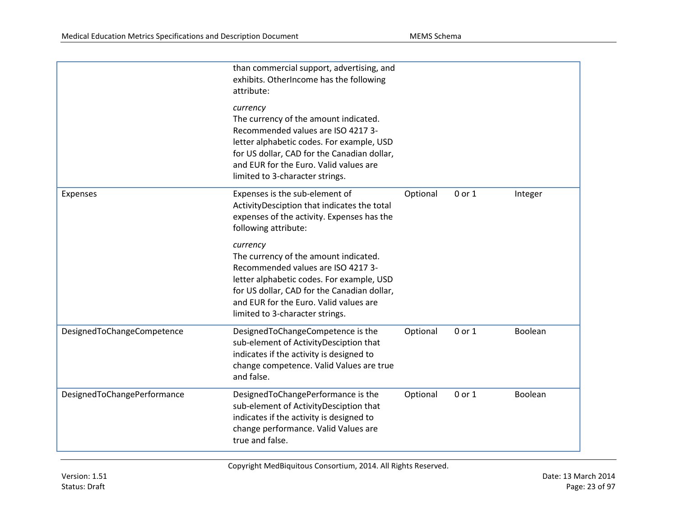|                             | than commercial support, advertising, and<br>exhibits. OtherIncome has the following<br>attribute:                                                                                                                                                               |          |        |         |
|-----------------------------|------------------------------------------------------------------------------------------------------------------------------------------------------------------------------------------------------------------------------------------------------------------|----------|--------|---------|
|                             | currency<br>The currency of the amount indicated.<br>Recommended values are ISO 4217 3-<br>letter alphabetic codes. For example, USD<br>for US dollar, CAD for the Canadian dollar,<br>and EUR for the Euro. Valid values are<br>limited to 3-character strings. |          |        |         |
| Expenses                    | Expenses is the sub-element of<br>ActivityDesciption that indicates the total<br>expenses of the activity. Expenses has the<br>following attribute:                                                                                                              | Optional | 0 or 1 | Integer |
|                             | currency<br>The currency of the amount indicated.<br>Recommended values are ISO 4217 3-<br>letter alphabetic codes. For example, USD<br>for US dollar, CAD for the Canadian dollar,<br>and EUR for the Euro. Valid values are<br>limited to 3-character strings. |          |        |         |
| DesignedToChangeCompetence  | DesignedToChangeCompetence is the<br>sub-element of ActivityDesciption that<br>indicates if the activity is designed to<br>change competence. Valid Values are true<br>and false.                                                                                | Optional | 0 or 1 | Boolean |
| DesignedToChangePerformance | DesignedToChangePerformance is the<br>sub-element of ActivityDesciption that<br>indicates if the activity is designed to<br>change performance. Valid Values are<br>true and false.                                                                              | Optional | 0 or 1 | Boolean |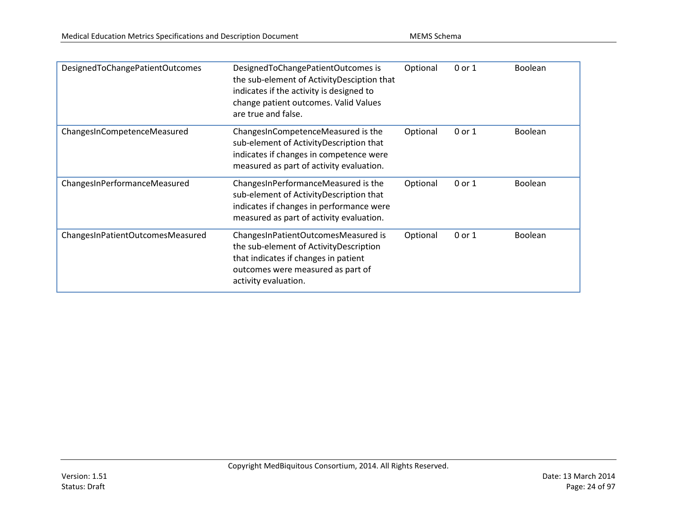| DesignedToChangePatientOutcomes  | DesignedToChangePatientOutcomes is<br>the sub-element of ActivityDesciption that<br>indicates if the activity is designed to<br>change patient outcomes. Valid Values<br>are true and false. | Optional | 0 or 1 | <b>Boolean</b> |
|----------------------------------|----------------------------------------------------------------------------------------------------------------------------------------------------------------------------------------------|----------|--------|----------------|
| ChangesInCompetenceMeasured      | ChangesInCompetenceMeasured is the<br>sub-element of ActivityDescription that<br>indicates if changes in competence were<br>measured as part of activity evaluation.                         | Optional | 0 or 1 | <b>Boolean</b> |
| ChangesInPerformanceMeasured     | ChangesInPerformanceMeasured is the<br>sub-element of ActivityDescription that<br>indicates if changes in performance were<br>measured as part of activity evaluation.                       | Optional | 0 or 1 | <b>Boolean</b> |
| ChangesInPatientOutcomesMeasured | ChangesInPatientOutcomesMeasured is<br>the sub-element of ActivityDescription<br>that indicates if changes in patient<br>outcomes were measured as part of<br>activity evaluation.           | Optional | 0 or 1 | <b>Boolean</b> |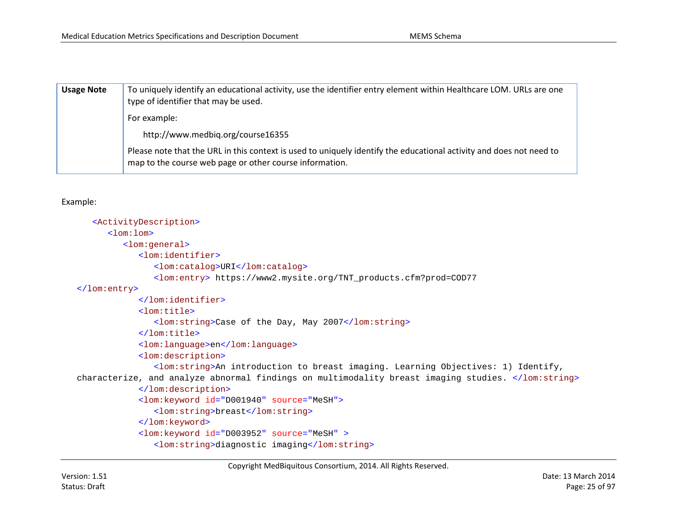| <b>Usage Note</b> | To uniquely identify an educational activity, use the identifier entry element within Healthcare LOM. URLs are one<br>type of identifier that may be used.                     |
|-------------------|--------------------------------------------------------------------------------------------------------------------------------------------------------------------------------|
|                   | For example:                                                                                                                                                                   |
|                   | http://www.medbiq.org/course16355                                                                                                                                              |
|                   | Please note that the URL in this context is used to uniquely identify the educational activity and does not need to<br>map to the course web page or other course information. |

#### Example:

```
<ActivityDescription>
      <lom:lom>
         <lom:general>
            <lom:identifier>
               <lom:catalog>URI</lom:catalog>
               <lom:entry> https://www2.mysite.org/TNT_products.cfm?prod=COD77
</lom:entry>
            </lom:identifier>
            <lom:title>
               <lom:string>Case of the Day, May 2007</lom:string>
            </lom:title>
            <lom:language>en</lom:language>
            <lom:description>
               <lom:string>An introduction to breast imaging. Learning Objectives: 1) Identify, 
characterize, and analyze abnormal findings on multimodality breast imaging studies. </lom:string>
            </lom:description>
            <lom:keyword id="D001940" source="MeSH">
               <lom:string>breast</lom:string>
            </lom:keyword>
            <lom:keyword id="D003952" source="MeSH" >
               <lom:string>diagnostic imaging</lom:string>
```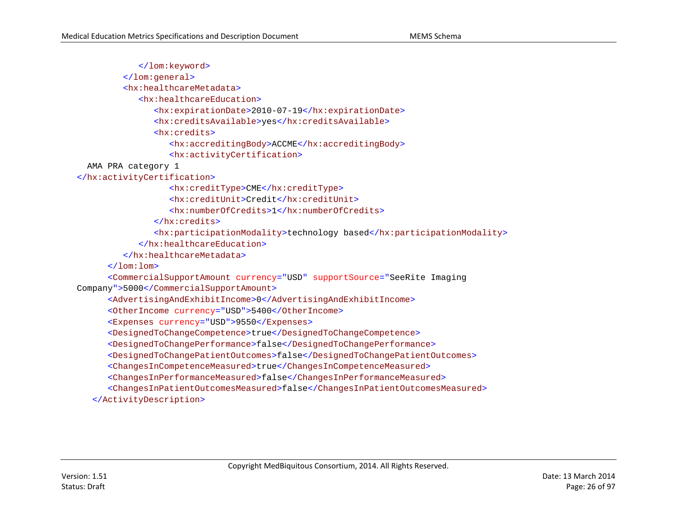</lom:keyword> </lom:general> <hx:healthcareMetadata> <hx:healthcareEducation> <hx:expirationDate>2010-07-19</hx:expirationDate> <hx:creditsAvailable>yes</hx:creditsAvailable> <hx:credits> <hx:accreditingBody>ACCME</hx:accreditingBody> <hx:activityCertification> AMA PRA category 1 </hx:activityCertification> <hx:creditType>CME</hx:creditType> <hx:creditUnit>Credit</hx:creditUnit> <hx:numberOfCredits>1</hx:numberOfCredits> </hx:credits> <hx:participationModality>technology based</hx:participationModality> </hx:healthcareEducation> </hx:healthcareMetadata> </lom:lom> <CommercialSupportAmount currency="USD" supportSource="SeeRite Imaging Company">5000</CommercialSupportAmount> <AdvertisingAndExhibitIncome>0</AdvertisingAndExhibitIncome> <OtherIncome currency="USD">5400</OtherIncome> <Expenses currency="USD">9550</Expenses> <DesignedToChangeCompetence>true</DesignedToChangeCompetence> <DesignedToChangePerformance>false</DesignedToChangePerformance> <DesignedToChangePatientOutcomes>false</DesignedToChangePatientOutcomes> <ChangesInCompetenceMeasured>true</ChangesInCompetenceMeasured> <ChangesInPerformanceMeasured>false</ChangesInPerformanceMeasured> <ChangesInPatientOutcomesMeasured>false</ChangesInPatientOutcomesMeasured> </ActivityDescription>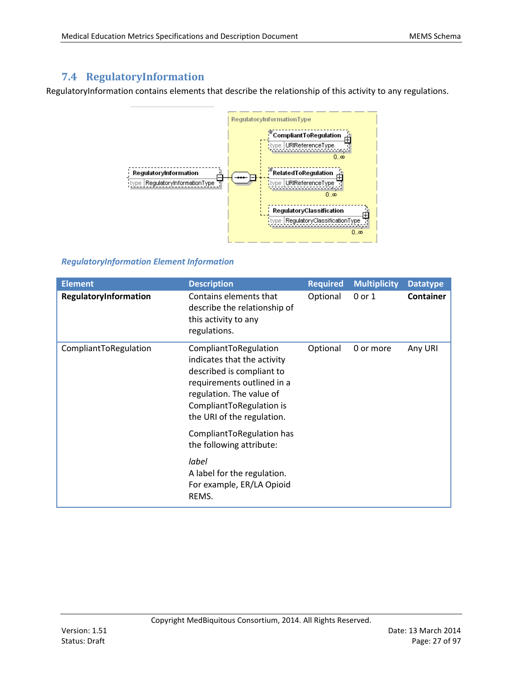## <span id="page-26-0"></span>**7.4 RegulatoryInformation**

RegulatoryInformation contains elements that describe the relationship of this activity to any regulations.



### *RegulatoryInformation Element Information*

| <b>Element</b>        | <b>Description</b>                                                                                                                                                                                    | <b>Required</b> | <b>Multiplicity</b> | <b>Datatype</b> |
|-----------------------|-------------------------------------------------------------------------------------------------------------------------------------------------------------------------------------------------------|-----------------|---------------------|-----------------|
| RegulatoryInformation | Contains elements that<br>describe the relationship of<br>this activity to any<br>regulations.                                                                                                        | Optional        | 0 or 1              | Container       |
| CompliantToRegulation | CompliantToRegulation<br>indicates that the activity<br>described is compliant to<br>requirements outlined in a<br>regulation. The value of<br>CompliantToRegulation is<br>the URI of the regulation. | Optional        | 0 or more           | Any URI         |
|                       | CompliantToRegulation has<br>the following attribute:                                                                                                                                                 |                 |                     |                 |
|                       | label<br>A label for the regulation.<br>For example, ER/LA Opioid<br>REMS.                                                                                                                            |                 |                     |                 |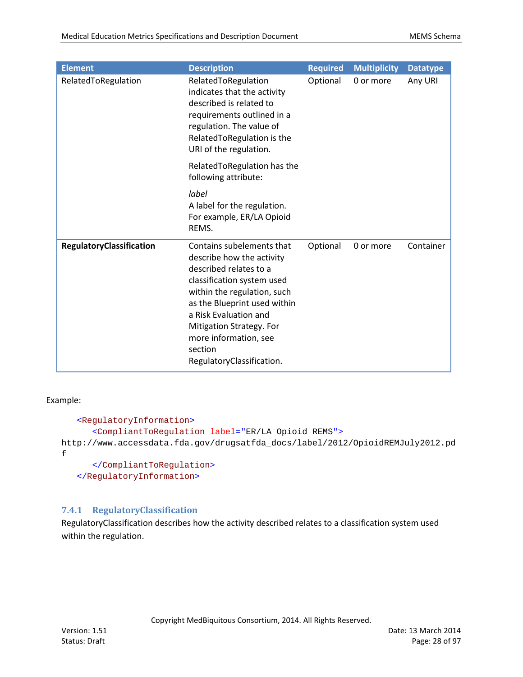| <b>Element</b>                  | <b>Description</b>                                                                                                                                                                                                                                                                                  | <b>Required</b> | <b>Multiplicity</b> | <b>Datatype</b> |
|---------------------------------|-----------------------------------------------------------------------------------------------------------------------------------------------------------------------------------------------------------------------------------------------------------------------------------------------------|-----------------|---------------------|-----------------|
| RelatedToRegulation             | RelatedToRegulation<br>indicates that the activity<br>described is related to<br>requirements outlined in a<br>regulation. The value of<br>RelatedToRegulation is the<br>URI of the regulation.                                                                                                     | Optional        | 0 or more           | Any URI         |
|                                 | RelatedToRegulation has the<br>following attribute:                                                                                                                                                                                                                                                 |                 |                     |                 |
|                                 | label<br>A label for the regulation.<br>For example, ER/LA Opioid<br>REMS.                                                                                                                                                                                                                          |                 |                     |                 |
| <b>RegulatoryClassification</b> | Contains subelements that<br>describe how the activity<br>described relates to a<br>classification system used<br>within the regulation, such<br>as the Blueprint used within<br>a Risk Evaluation and<br>Mitigation Strategy. For<br>more information, see<br>section<br>RegulatoryClassification. | Optional        | 0 or more           | Container       |

Example:

```
<RegulatoryInformation>
      <CompliantToRegulation label="ER/LA Opioid REMS">
http://www.accessdata.fda.gov/drugsatfda_docs/label/2012/OpioidREMJuly2012.pd
f
      </CompliantToRegulation>
   </RegulatoryInformation>
```
## <span id="page-27-0"></span>**7.4.1 RegulatoryClassification**

RegulatoryClassification describes how the activity described relates to a classification system used within the regulation.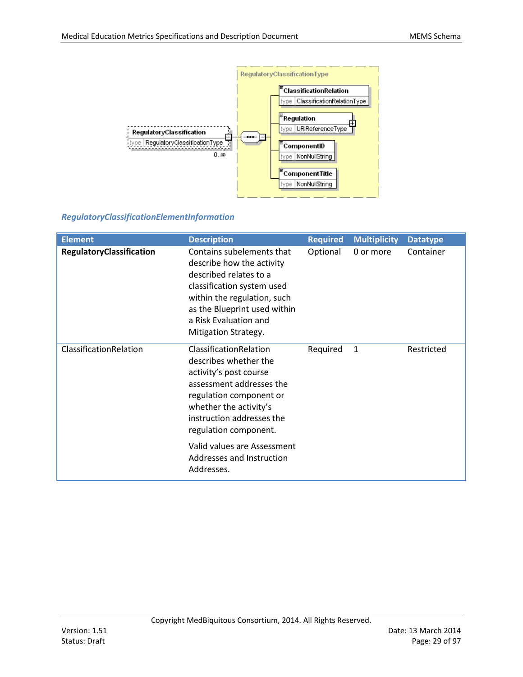

### *RegulatoryClassificationElementInformation*

| Optional                    | 0 or more | Container  |
|-----------------------------|-----------|------------|
|                             |           |            |
| Required                    | 1         | Restricted |
| Valid values are Assessment |           |            |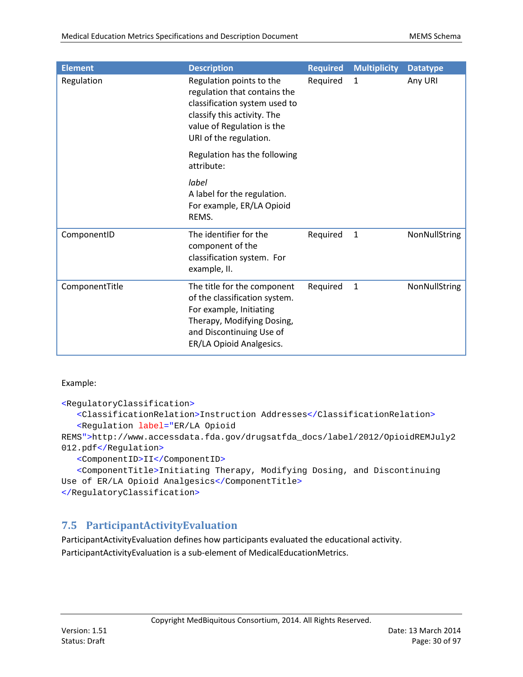| <b>Element</b> | <b>Description</b>                                                                                                                                                               | <b>Required</b> | <b>Multiplicity</b> | <b>Datatype</b> |
|----------------|----------------------------------------------------------------------------------------------------------------------------------------------------------------------------------|-----------------|---------------------|-----------------|
| Regulation     | Regulation points to the<br>regulation that contains the<br>classification system used to<br>classify this activity. The<br>value of Regulation is the<br>URI of the regulation. | Required        | 1                   | Any URI         |
|                | Regulation has the following<br>attribute:                                                                                                                                       |                 |                     |                 |
|                | label<br>A label for the regulation.<br>For example, ER/LA Opioid<br>REMS.                                                                                                       |                 |                     |                 |
| ComponentID    | The identifier for the<br>component of the<br>classification system. For<br>example, II.                                                                                         | Required        | $\mathbf{1}$        | NonNullString   |
| ComponentTitle | The title for the component<br>of the classification system.<br>For example, Initiating<br>Therapy, Modifying Dosing,<br>and Discontinuing Use of<br>ER/LA Opioid Analgesics.    | Required        | $\mathbf{1}$        | NonNullString   |

#### Example:

```
<RegulatoryClassification>
   <ClassificationRelation>Instruction Addresses</ClassificationRelation>
   <Regulation label="ER/LA Opioid 
REMS">http://www.accessdata.fda.gov/drugsatfda_docs/label/2012/OpioidREMJuly2
012.pdf</Regulation>
   <ComponentID>II</ComponentID>
   <ComponentTitle>Initiating Therapy, Modifying Dosing, and Discontinuing 
Use of ER/LA Opioid Analgesics</ComponentTitle>
```
</RegulatoryClassification>

## <span id="page-29-0"></span>**7.5 ParticipantActivityEvaluation**

ParticipantActivityEvaluation defines how participants evaluated the educational activity. ParticipantActivityEvaluation is a sub-element of MedicalEducationMetrics.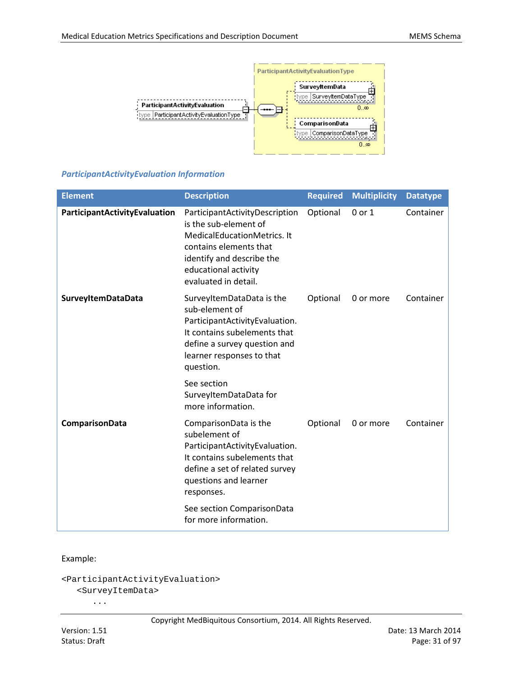

#### *ParticipantActivityEvaluation Information*

| <b>Element</b>                | <b>Description</b>                                                                                                                                                                            | <b>Required</b> | <b>Multiplicity</b> | <b>Datatype</b> |
|-------------------------------|-----------------------------------------------------------------------------------------------------------------------------------------------------------------------------------------------|-----------------|---------------------|-----------------|
| ParticipantActivityEvaluation | ParticipantActivityDescription<br>is the sub-element of<br>MedicalEducationMetrics. It<br>contains elements that<br>identify and describe the<br>educational activity<br>evaluated in detail. | Optional        | 0 or 1              | Container       |
| SurveyItemDataData            | SurveyItemDataData is the<br>sub-element of<br>ParticipantActivityEvaluation.<br>It contains subelements that<br>define a survey question and<br>learner responses to that<br>question.       | Optional        | 0 or more           | Container       |
|                               | See section<br>SurveyItemDataData for<br>more information.                                                                                                                                    |                 |                     |                 |
| ComparisonData                | ComparisonData is the<br>subelement of<br>ParticipantActivityEvaluation.<br>It contains subelements that<br>define a set of related survey<br>questions and learner<br>responses.             | Optional        | 0 or more           | Container       |
|                               | See section ComparisonData<br>for more information.                                                                                                                                           |                 |                     |                 |

#### Example:

```
<ParticipantActivityEvaluation>
   <SurveyItemData>
```

```
...
```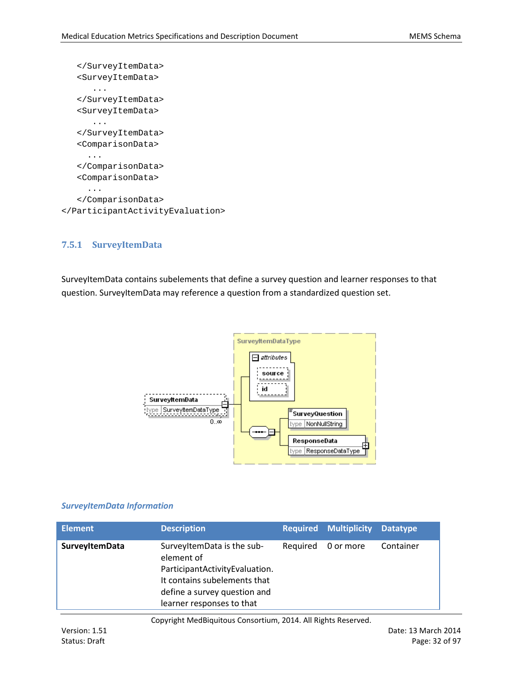```
</SurveyItemData>
   <SurveyItemData>
      ...
   </SurveyItemData>
   <SurveyItemData>
      ...
   </SurveyItemData>
   <ComparisonData>
      ...
   </ComparisonData>
   <ComparisonData>
      ...
   </ComparisonData>
</ParticipantActivityEvaluation>
```
#### <span id="page-31-0"></span>**7.5.1 SurveyItemData**

SurveyItemData contains subelements that define a survey question and learner responses to that question. SurveyItemData may reference a question from a standardized question set.



#### *SurveyItemData Information*

| <b>Element</b>        | <b>Description</b>                                                                                                                                                      |          | <b>Required Multiplicity Datatype</b> |           |
|-----------------------|-------------------------------------------------------------------------------------------------------------------------------------------------------------------------|----------|---------------------------------------|-----------|
| <b>SurveyItemData</b> | SurveyItemData is the sub-<br>element of<br>ParticipantActivityEvaluation.<br>It contains subelements that<br>define a survey question and<br>learner responses to that | Required | 0 or more                             | Container |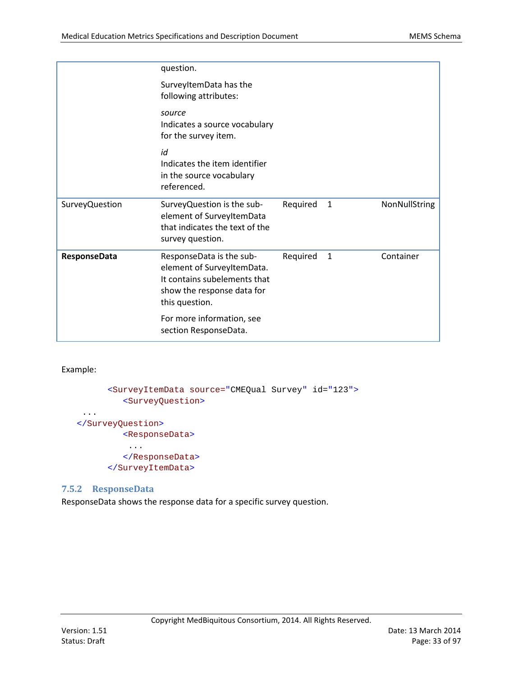|                       | question.                                                                                                                              |          |              |               |
|-----------------------|----------------------------------------------------------------------------------------------------------------------------------------|----------|--------------|---------------|
|                       | SurveyItemData has the<br>following attributes:                                                                                        |          |              |               |
|                       | source<br>Indicates a source vocabulary<br>for the survey item.                                                                        |          |              |               |
|                       | id<br>Indicates the item identifier<br>in the source vocabulary<br>referenced.                                                         |          |              |               |
| <b>SurveyQuestion</b> | SurveyQuestion is the sub-<br>element of SurveyItemData<br>that indicates the text of the<br>survey question.                          | Required | 1            | NonNullString |
| <b>ResponseData</b>   | ResponseData is the sub-<br>element of SurveyItemData.<br>It contains subelements that<br>show the response data for<br>this question. | Required | $\mathbf{1}$ | Container     |
|                       | For more information, see<br>section ResponseData.                                                                                     |          |              |               |

#### Example:

```
<SurveyItemData source="CMEQual Survey" id="123">
         <SurveyQuestion>
 ...
</SurveyQuestion>
         <ResponseData>
          ...
         </ResponseData>
      </SurveyItemData>
```
#### <span id="page-32-0"></span>**7.5.2 ResponseData**

ResponseData shows the response data for a specific survey question.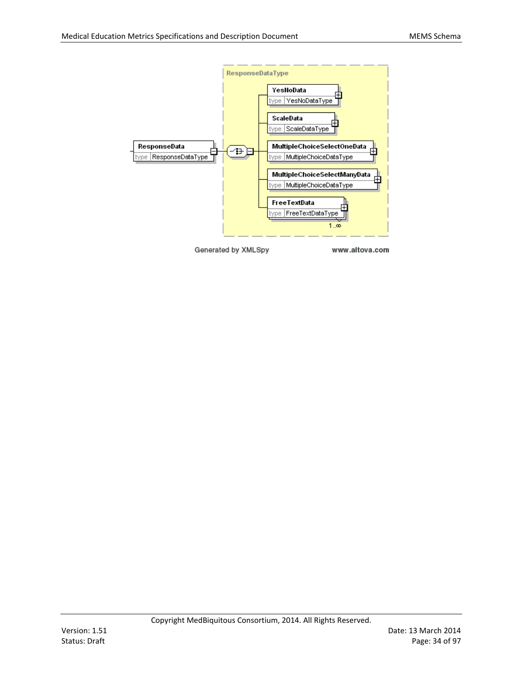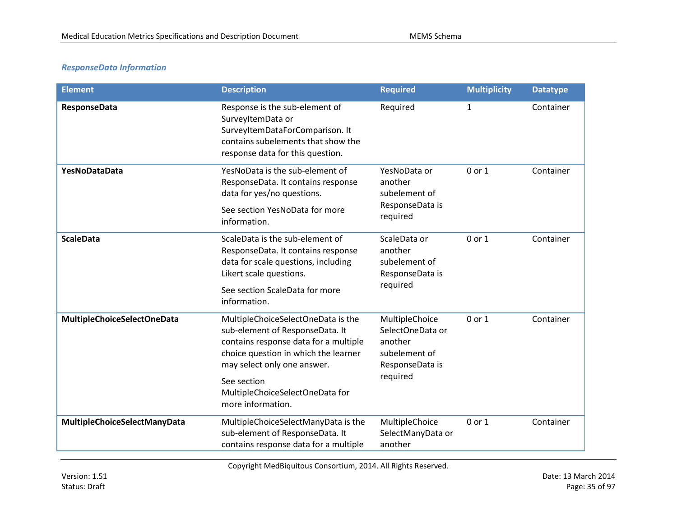## *ResponseData Information*

| <b>Element</b>               | <b>Description</b>                                                                                                                                                                                                                                           | <b>Required</b>                                                                               | <b>Multiplicity</b> | <b>Datatype</b> |
|------------------------------|--------------------------------------------------------------------------------------------------------------------------------------------------------------------------------------------------------------------------------------------------------------|-----------------------------------------------------------------------------------------------|---------------------|-----------------|
| <b>ResponseData</b>          | Response is the sub-element of<br>SurveyItemData or<br>SurveyItemDataForComparison. It<br>contains subelements that show the<br>response data for this question.                                                                                             | Required                                                                                      | $\mathbf{1}$        | Container       |
| YesNoDataData                | YesNoData is the sub-element of<br>ResponseData. It contains response<br>data for yes/no questions.<br>See section YesNoData for more<br>information.                                                                                                        | YesNoData or<br>another<br>subelement of<br>ResponseData is<br>required                       | 0 or 1              | Container       |
| <b>ScaleData</b>             | ScaleData is the sub-element of<br>ResponseData. It contains response<br>data for scale questions, including<br>Likert scale questions.<br>See section ScaleData for more<br>information.                                                                    | ScaleData or<br>another<br>subelement of<br>ResponseData is<br>required                       | 0 or 1              | Container       |
| MultipleChoiceSelectOneData  | MultipleChoiceSelectOneData is the<br>sub-element of ResponseData. It<br>contains response data for a multiple<br>choice question in which the learner<br>may select only one answer.<br>See section<br>MultipleChoiceSelectOneData for<br>more information. | MultipleChoice<br>SelectOneData or<br>another<br>subelement of<br>ResponseData is<br>required | 0 or 1              | Container       |
| MultipleChoiceSelectManyData | MultipleChoiceSelectManyData is the<br>sub-element of ResponseData. It<br>contains response data for a multiple                                                                                                                                              | MultipleChoice<br>SelectManyData or<br>another                                                | 0 or 1              | Container       |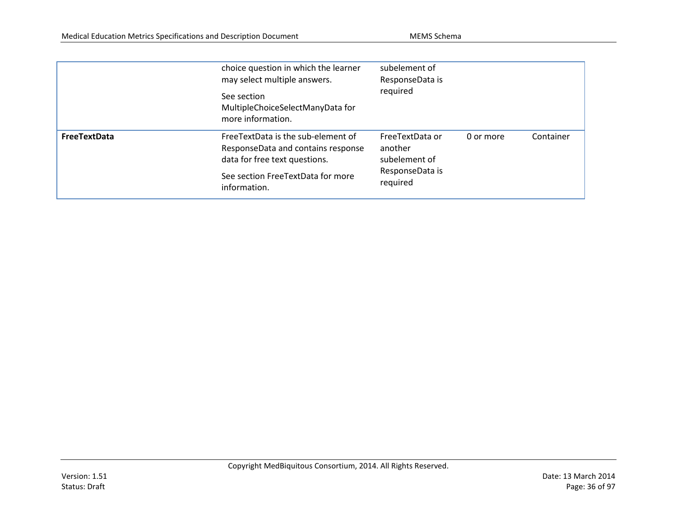|              | choice question in which the learner<br>may select multiple answers.<br>See section<br>MultipleChoiceSelectManyData for<br>more information.                     | subelement of<br>ResponseData is<br>required                               |           |           |
|--------------|------------------------------------------------------------------------------------------------------------------------------------------------------------------|----------------------------------------------------------------------------|-----------|-----------|
| FreeTextData | Free Text Data is the sub-element of<br>ResponseData and contains response<br>data for free text questions.<br>See section FreeTextData for more<br>information. | FreeTextData or<br>another<br>subelement of<br>ResponseData is<br>required | 0 or more | Container |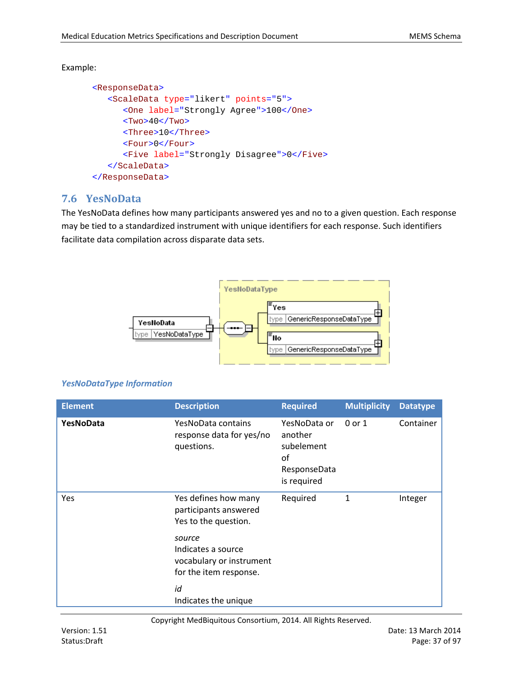```
<ResponseData>
   <ScaleData type="likert" points="5">
      <One label="Strongly Agree">100</One>
      <Two>40</Two>
      <Three>10</Three>
      <Four>0</Four>
      <Five label="Strongly Disagree">0</Five>
   </ScaleData>
</ResponseData>
```
## **7.6 YesNoData**

The YesNoData defines how many participants answered yes and no to a given question. Each response may be tied to a standardized instrument with unique identifiers for each response. Such identifiers facilitate data compilation across disparate data sets.



### *YesNoDataType Information*

| <b>Element</b> | <b>Description</b>                                                                 | <b>Required</b>                                                            | <b>Multiplicity</b> | <b>Datatype</b> |
|----------------|------------------------------------------------------------------------------------|----------------------------------------------------------------------------|---------------------|-----------------|
| YesNoData      | YesNoData contains<br>response data for yes/no<br>questions.                       | YesNoData or<br>another<br>subelement<br>οf<br>ResponseData<br>is required | $0$ or $1$          | Container       |
| Yes            | Yes defines how many<br>participants answered<br>Yes to the question.              | Required                                                                   | 1                   | Integer         |
|                | source<br>Indicates a source<br>vocabulary or instrument<br>for the item response. |                                                                            |                     |                 |
|                | id<br>Indicates the unique                                                         |                                                                            |                     |                 |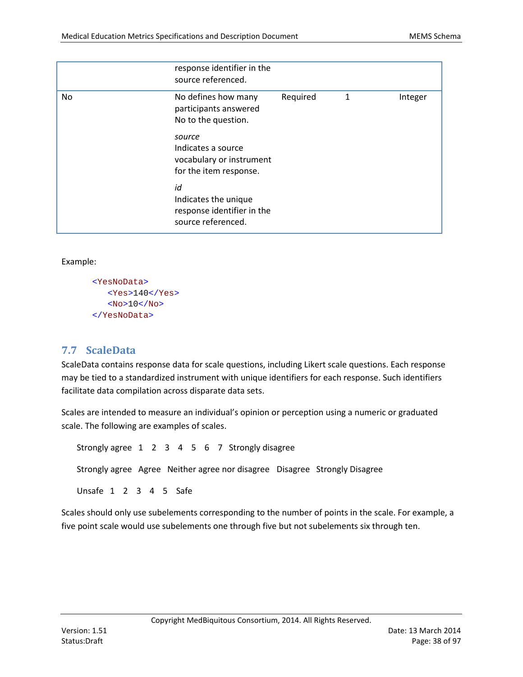|    | response identifier in the<br>source referenced.                                   |          |   |         |
|----|------------------------------------------------------------------------------------|----------|---|---------|
| No | No defines how many<br>participants answered<br>No to the question.                | Required | 1 | Integer |
|    | source<br>Indicates a source<br>vocabulary or instrument<br>for the item response. |          |   |         |
|    | id<br>Indicates the unique<br>response identifier in the<br>source referenced.     |          |   |         |

```
<YesNoData>
   <Yes>140</Yes>
   <No>10</No>
</YesNoData>
```
# **7.7 ScaleData**

ScaleData contains response data for scale questions, including Likert scale questions. Each response may be tied to a standardized instrument with unique identifiers for each response. Such identifiers facilitate data compilation across disparate data sets.

Scales are intended to measure an individual's opinion or perception using a numeric or graduated scale. The following are examples of scales.

Strongly agree 1 2 3 4 5 6 7 Strongly disagree Strongly agree Agree Neither agree nor disagree Disagree Strongly Disagree Unsafe 1 2 3 4 5 Safe

Scales should only use subelements corresponding to the number of points in the scale. For example, a five point scale would use subelements one through five but not subelements six through ten.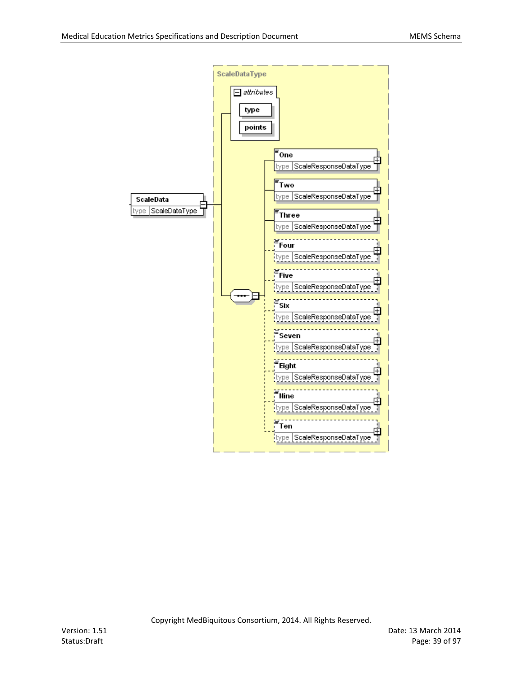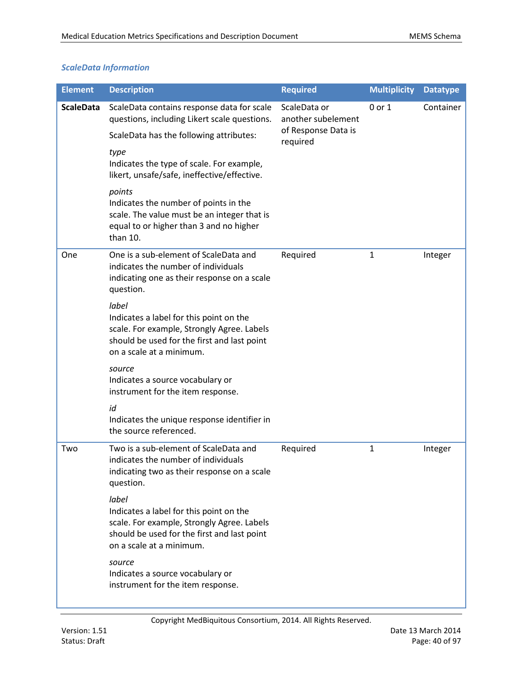# *ScaleData Information*

| <b>Element</b>   | <b>Description</b>                                                                                                                                                        | <b>Required</b>                    | <b>Multiplicity</b> | <b>Datatype</b> |
|------------------|---------------------------------------------------------------------------------------------------------------------------------------------------------------------------|------------------------------------|---------------------|-----------------|
| <b>ScaleData</b> | ScaleData contains response data for scale<br>questions, including Likert scale questions.                                                                                | ScaleData or<br>another subelement | $0$ or $1$          | Container       |
|                  | ScaleData has the following attributes:                                                                                                                                   | of Response Data is<br>required    |                     |                 |
|                  | type<br>Indicates the type of scale. For example,<br>likert, unsafe/safe, ineffective/effective.                                                                          |                                    |                     |                 |
| One              | points<br>Indicates the number of points in the<br>scale. The value must be an integer that is<br>equal to or higher than 3 and no higher<br>than 10.                     |                                    |                     |                 |
|                  | One is a sub-element of ScaleData and<br>indicates the number of individuals<br>indicating one as their response on a scale<br>question.                                  | Required                           | $\mathbf{1}$        | Integer         |
|                  | label<br>Indicates a label for this point on the<br>scale. For example, Strongly Agree. Labels<br>should be used for the first and last point<br>on a scale at a minimum. |                                    |                     |                 |
|                  | source<br>Indicates a source vocabulary or<br>instrument for the item response.                                                                                           |                                    |                     |                 |
|                  | id<br>Indicates the unique response identifier in<br>the source referenced.                                                                                               |                                    |                     |                 |
| Two              | Two is a sub-element of ScaleData and<br>indicates the number of individuals<br>indicating two as their response on a scale<br>question.                                  | Required                           | $\mathbf{1}$        | Integer         |
|                  | label<br>Indicates a label for this point on the<br>scale. For example, Strongly Agree. Labels<br>should be used for the first and last point<br>on a scale at a minimum. |                                    |                     |                 |
|                  | source<br>Indicates a source vocabulary or<br>instrument for the item response.                                                                                           |                                    |                     |                 |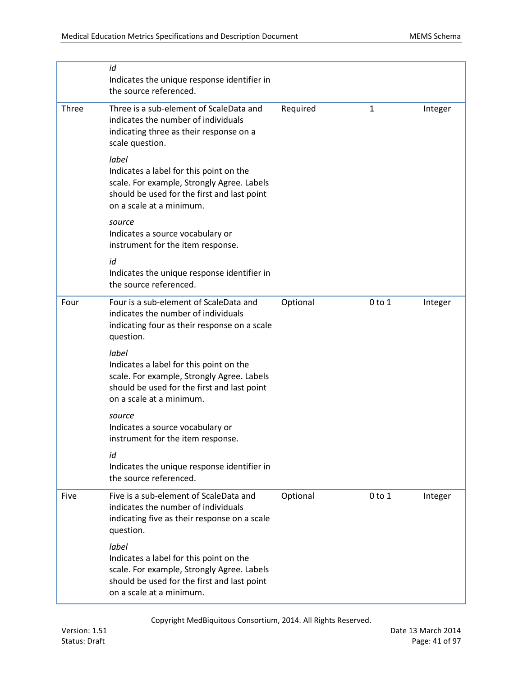|       | id<br>Indicates the unique response identifier in<br>the source referenced.                                                                                               |          |            |         |
|-------|---------------------------------------------------------------------------------------------------------------------------------------------------------------------------|----------|------------|---------|
| Three | Three is a sub-element of ScaleData and<br>indicates the number of individuals<br>indicating three as their response on a<br>scale question.                              | Required | 1          | Integer |
|       | label<br>Indicates a label for this point on the<br>scale. For example, Strongly Agree. Labels<br>should be used for the first and last point<br>on a scale at a minimum. |          |            |         |
|       | source<br>Indicates a source vocabulary or<br>instrument for the item response.                                                                                           |          |            |         |
|       | id<br>Indicates the unique response identifier in<br>the source referenced.                                                                                               |          |            |         |
| Four  | Four is a sub-element of ScaleData and<br>indicates the number of individuals<br>indicating four as their response on a scale<br>question.                                | Optional | $0$ to $1$ | Integer |
|       | label<br>Indicates a label for this point on the<br>scale. For example, Strongly Agree. Labels<br>should be used for the first and last point<br>on a scale at a minimum. |          |            |         |
|       | source<br>Indicates a source vocabulary or<br>instrument for the item response.                                                                                           |          |            |         |
|       | id<br>Indicates the unique response identifier in<br>the source referenced.                                                                                               |          |            |         |
| Five  | Five is a sub-element of ScaleData and<br>indicates the number of individuals<br>indicating five as their response on a scale<br>question.                                | Optional | $0$ to $1$ | Integer |
|       | label<br>Indicates a label for this point on the<br>scale. For example, Strongly Agree. Labels<br>should be used for the first and last point<br>on a scale at a minimum. |          |            |         |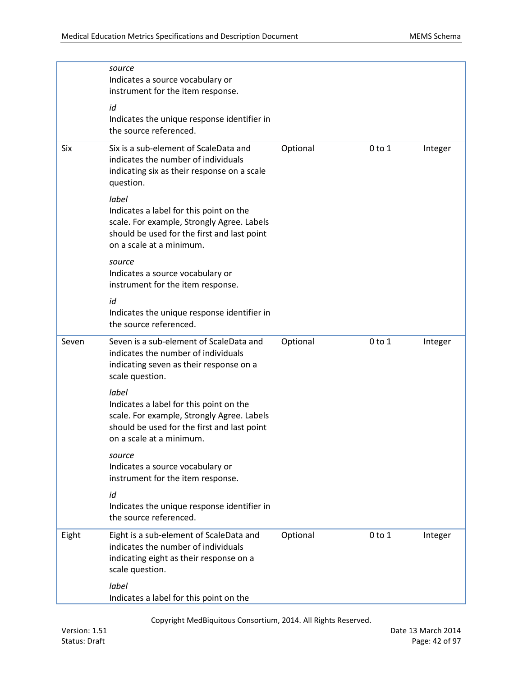|       | source<br>Indicates a source vocabulary or<br>instrument for the item response.<br>id<br>Indicates the unique response identifier in<br>the source referenced.            |          |            |         |
|-------|---------------------------------------------------------------------------------------------------------------------------------------------------------------------------|----------|------------|---------|
| Six   | Six is a sub-element of ScaleData and<br>indicates the number of individuals<br>indicating six as their response on a scale<br>question.                                  | Optional | $0$ to $1$ | Integer |
|       | label<br>Indicates a label for this point on the<br>scale. For example, Strongly Agree. Labels<br>should be used for the first and last point<br>on a scale at a minimum. |          |            |         |
|       | source<br>Indicates a source vocabulary or<br>instrument for the item response.                                                                                           |          |            |         |
|       | id<br>Indicates the unique response identifier in<br>the source referenced.                                                                                               |          |            |         |
| Seven | Seven is a sub-element of ScaleData and<br>indicates the number of individuals<br>indicating seven as their response on a<br>scale question.                              | Optional | $0$ to $1$ | Integer |
|       | label<br>Indicates a label for this point on the<br>scale. For example, Strongly Agree. Labels<br>should be used for the first and last point<br>on a scale at a minimum. |          |            |         |
|       | source<br>Indicates a source vocabulary or<br>instrument for the item response.                                                                                           |          |            |         |
|       | id<br>Indicates the unique response identifier in<br>the source referenced.                                                                                               |          |            |         |
| Eight | Eight is a sub-element of ScaleData and<br>indicates the number of individuals<br>indicating eight as their response on a<br>scale question.                              | Optional | $0$ to $1$ | Integer |
|       | label<br>Indicates a label for this point on the                                                                                                                          |          |            |         |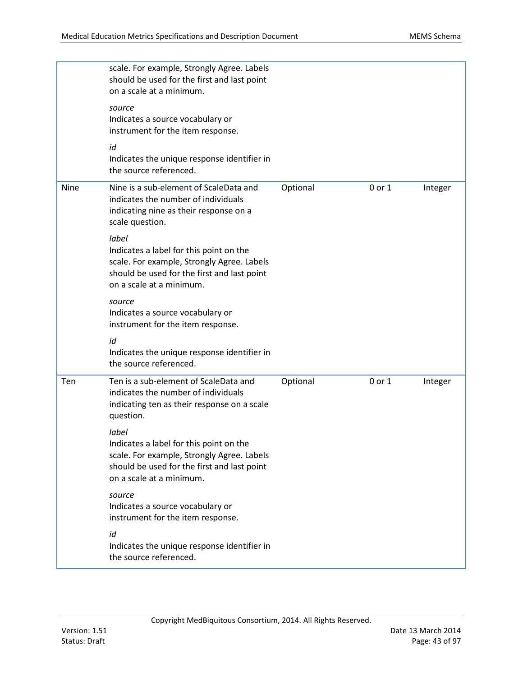|             | scale. For example, Strongly Agree. Labels<br>should be used for the first and last point<br>on a scale at a minimum.<br>source<br>Indicates a source vocabulary or<br>instrument for the item response.<br>id<br>Indicates the unique response identifier in<br>the source referenced.                                                                                                                                                                                                   |          |        |         |
|-------------|-------------------------------------------------------------------------------------------------------------------------------------------------------------------------------------------------------------------------------------------------------------------------------------------------------------------------------------------------------------------------------------------------------------------------------------------------------------------------------------------|----------|--------|---------|
| <b>Nine</b> | Nine is a sub-element of ScaleData and<br>indicates the number of individuals<br>indicating nine as their response on a<br>scale question.<br>label<br>Indicates a label for this point on the<br>scale. For example, Strongly Agree. Labels<br>should be used for the first and last point<br>on a scale at a minimum.<br>source<br>Indicates a source vocabulary or<br>instrument for the item response.<br>id<br>Indicates the unique response identifier in<br>the source referenced. | Optional | 0 or 1 | Integer |
| Ten         | Ten is a sub-element of ScaleData and<br>indicates the number of individuals<br>indicating ten as their response on a scale<br>question.<br>label<br>Indicates a label for this point on the<br>scale. For example, Strongly Agree. Labels<br>should be used for the first and last point<br>on a scale at a minimum.<br>source<br>Indicates a source vocabulary or<br>instrument for the item response.<br>id<br>Indicates the unique response identifier in<br>the source referenced.   | Optional | 0 or 1 | Integer |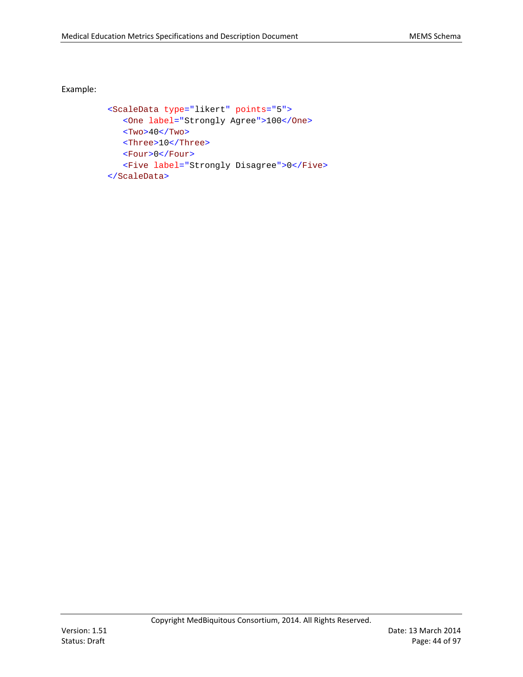```
<ScaleData type="likert" points="5">
  <One label="Strongly Agree">100</One>
  <Two>40</Two>
  <Three>10</Three>
  <Four>0</Four>
  <Five label="Strongly Disagree">0</Five>
</ScaleData>
```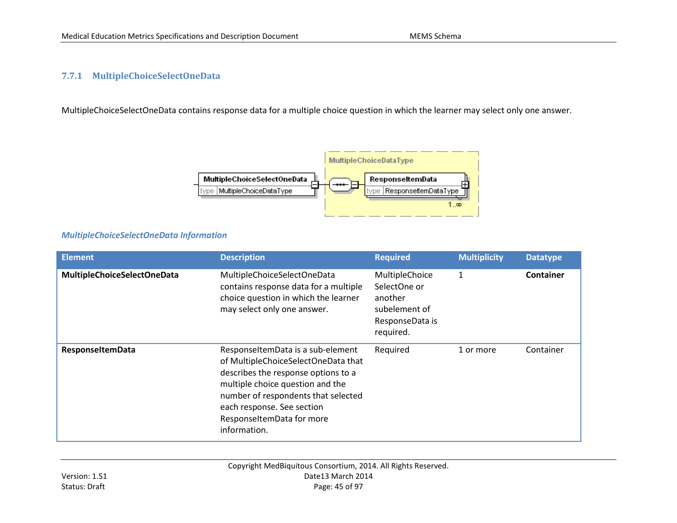## **7.7.1 MultipleChoiceSelectOneData**

MultipleChoiceSelectOneData contains response data for a multiple choice question in which the learner may select only one answer.



### *MultipleChoiceSelectOneData Information*

| <b>Element</b>              | <b>Description</b>                                                                                                                                                                                                                                                    | <b>Required</b>                                                                            | <b>Multiplicity</b> | <b>Datatype</b> |
|-----------------------------|-----------------------------------------------------------------------------------------------------------------------------------------------------------------------------------------------------------------------------------------------------------------------|--------------------------------------------------------------------------------------------|---------------------|-----------------|
| MultipleChoiceSelectOneData | MultipleChoiceSelectOneData<br>contains response data for a multiple<br>choice question in which the learner<br>may select only one answer.                                                                                                                           | MultipleChoice<br>SelectOne or<br>another<br>subelement of<br>ResponseData is<br>required. | $\mathbf{1}$        | Container       |
| ResponseltemData            | ResponseltemData is a sub-element<br>of MultipleChoiceSelectOneData that<br>describes the response options to a<br>multiple choice question and the<br>number of respondents that selected<br>each response. See section<br>ResponseltemData for more<br>information. | Required                                                                                   | 1 or more           | Container       |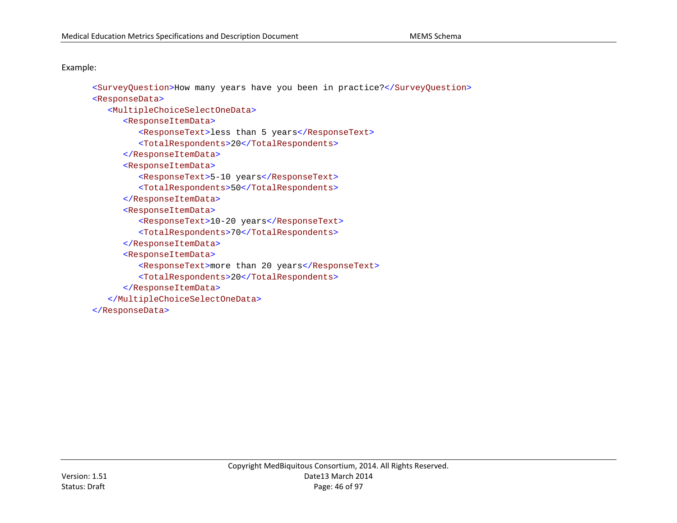```
<SurveyQuestion>How many years have you been in practice?</SurveyQuestion>
<ResponseData>
   <MultipleChoiceSelectOneData>
      <ResponseItemData>
         <ResponseText>less than 5 years</ResponseText>
         <TotalRespondents>20</TotalRespondents>
      </ResponseItemData>
      <ResponseItemData>
         <ResponseText>5-10 years</ResponseText>
         <TotalRespondents>50</TotalRespondents>
      </ResponseItemData>
      <ResponseItemData>
         <ResponseText>10-20 years</ResponseText>
         <TotalRespondents>70</TotalRespondents>
      </ResponseItemData>
      <ResponseItemData>
         <ResponseText>more than 20 years</ResponseText>
         <TotalRespondents>20</TotalRespondents>
      </ResponseItemData>
   </MultipleChoiceSelectOneData>
</ResponseData>
```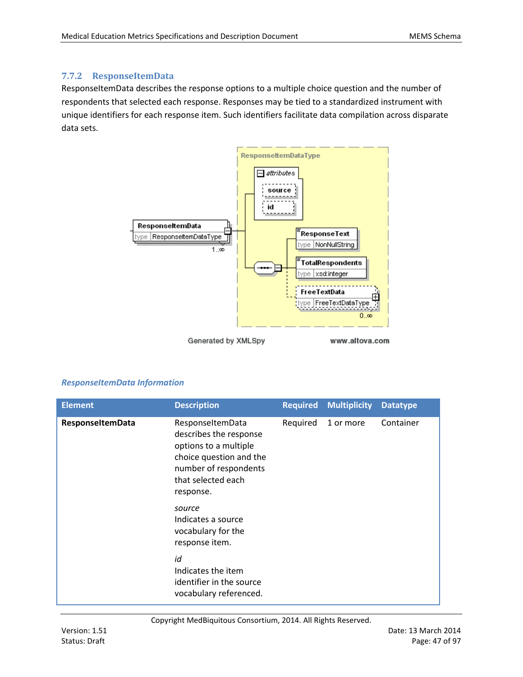## **7.7.2 ResponseItemData**

ResponseItemData describes the response options to a multiple choice question and the number of respondents that selected each response. Responses may be tied to a standardized instrument with unique identifiers for each response item. Such identifiers facilitate data compilation across disparate data sets.



## *ResponseItemData Information*

| <b>Element</b>   | <b>Description</b>                                                                                                                                         | <b>Required</b> | <b>Multiplicity</b> | <b>Datatype</b> |
|------------------|------------------------------------------------------------------------------------------------------------------------------------------------------------|-----------------|---------------------|-----------------|
| ResponseltemData | ResponseltemData<br>describes the response<br>options to a multiple<br>choice question and the<br>number of respondents<br>that selected each<br>response. | Required        | 1 or more           | Container       |
|                  | source<br>Indicates a source<br>vocabulary for the<br>response item.                                                                                       |                 |                     |                 |
|                  | id<br>Indicates the item<br>identifier in the source<br>vocabulary referenced.                                                                             |                 |                     |                 |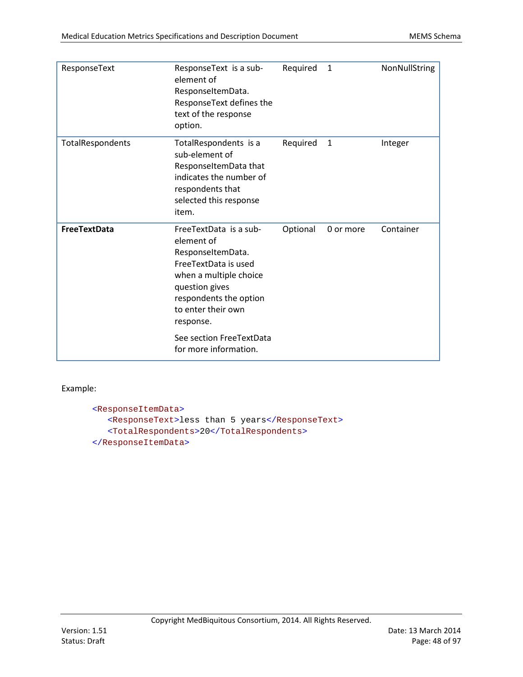| ResponseText        | ResponseText is a sub-<br>element of<br>ResponseltemData.<br>ResponseText defines the<br>text of the response<br>option.                                                                                                                        | Required | 1         | NonNullString |
|---------------------|-------------------------------------------------------------------------------------------------------------------------------------------------------------------------------------------------------------------------------------------------|----------|-----------|---------------|
| TotalRespondents    | TotalRespondents is a<br>sub-element of<br>ResponseltemData that<br>indicates the number of<br>respondents that<br>selected this response<br>item.                                                                                              | Required | 1         | Integer       |
| <b>FreeTextData</b> | FreeTextData is a sub-<br>element of<br>ResponseltemData.<br>FreeTextData is used<br>when a multiple choice<br>question gives<br>respondents the option<br>to enter their own<br>response.<br>See section FreeTextData<br>for more information. | Optional | 0 or more | Container     |

```
<ResponseItemData>
  <ResponseText>less than 5 years</ResponseText>
  <TotalRespondents>20</TotalRespondents>
</ResponseItemData>
```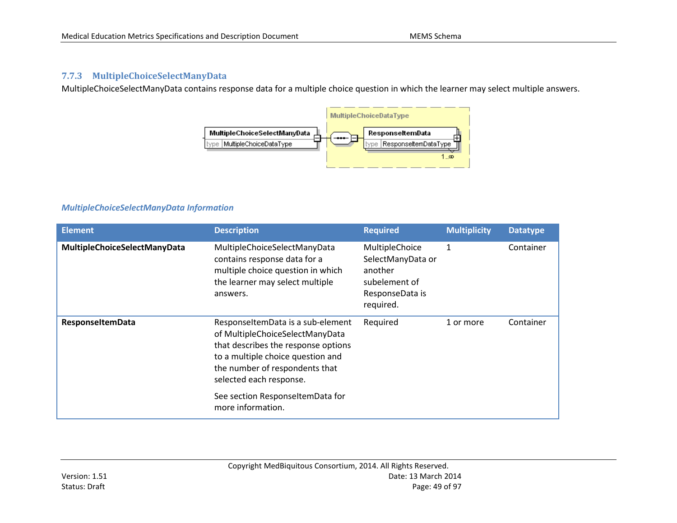## **7.7.3 MultipleChoiceSelectManyData**

MultipleChoiceSelectManyData contains response data for a multiple choice question in which the learner may select multiple answers.



## *MultipleChoiceSelectManyData Information*

| <b>Element</b>               | <b>Description</b>                                                                                                                                                                                                                                                     | <b>Required</b>                                                                                 | <b>Multiplicity</b> | <b>Datatype</b> |
|------------------------------|------------------------------------------------------------------------------------------------------------------------------------------------------------------------------------------------------------------------------------------------------------------------|-------------------------------------------------------------------------------------------------|---------------------|-----------------|
| MultipleChoiceSelectManyData | MultipleChoiceSelectManyData<br>contains response data for a<br>multiple choice question in which<br>the learner may select multiple<br>answers.                                                                                                                       | MultipleChoice<br>SelectManyData or<br>another<br>subelement of<br>ResponseData is<br>required. | 1                   | Container       |
| ResponseltemData             | ResponseltemData is a sub-element<br>of MultipleChoiceSelectManyData<br>that describes the response options<br>to a multiple choice question and<br>the number of respondents that<br>selected each response.<br>See section ResponseltemData for<br>more information. | Required                                                                                        | 1 or more           | Container       |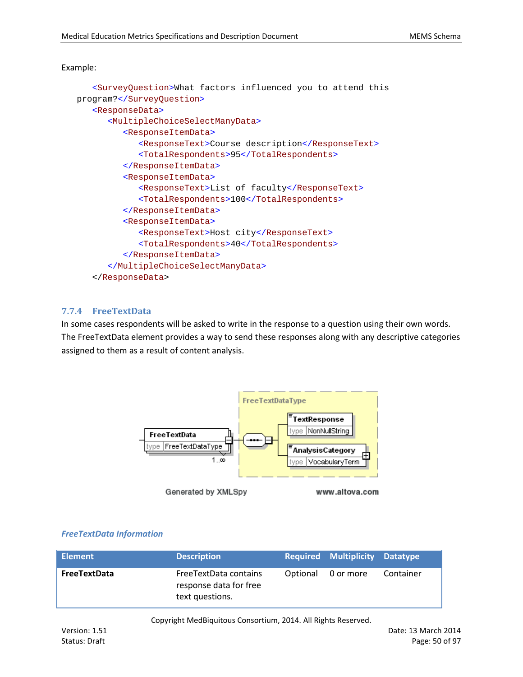```
<SurveyQuestion>What factors influenced you to attend this 
program?</SurveyQuestion>
   <ResponseData>
      <MultipleChoiceSelectManyData>
         <ResponseItemData>
            <ResponseText>Course description</ResponseText>
            <TotalRespondents>95</TotalRespondents>
         </ResponseItemData>
         <ResponseItemData>
            <ResponseText>List of faculty</ResponseText>
            <TotalRespondents>100</TotalRespondents>
         </ResponseItemData>
         <ResponseItemData>
            <ResponseText>Host city</ResponseText>
            <TotalRespondents>40</TotalRespondents>
         </ResponseItemData>
      </MultipleChoiceSelectManyData>
   </ResponseData>
```
## **7.7.4 FreeTextData**

In some cases respondents will be asked to write in the response to a question using their own words. The FreeTextData element provides a way to send these responses along with any descriptive categories assigned to them as a result of content analysis.



# *FreeTextData Information*

| <b>Element</b>      | <b>Description</b>                                                 |          | <b>Required Multiplicity Datatype</b> |           |
|---------------------|--------------------------------------------------------------------|----------|---------------------------------------|-----------|
| <b>FreeTextData</b> | FreeTextData contains<br>response data for free<br>text questions. | Optional | 0 or more                             | Container |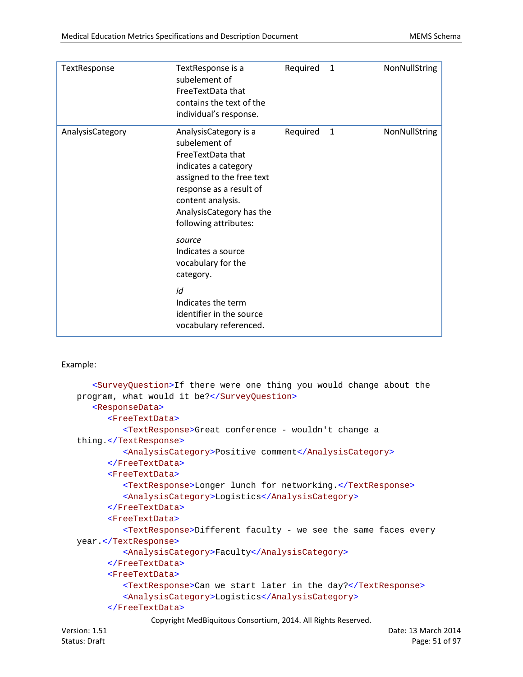| TextResponse     | TextResponse is a<br>subelement of<br>FreeTextData that<br>contains the text of the<br>individual's response.                                                                                                         | Required | 1            | NonNullString |
|------------------|-----------------------------------------------------------------------------------------------------------------------------------------------------------------------------------------------------------------------|----------|--------------|---------------|
| AnalysisCategory | AnalysisCategory is a<br>subelement of<br>FreeTextData that<br>indicates a category<br>assigned to the free text<br>response as a result of<br>content analysis.<br>AnalysisCategory has the<br>following attributes: | Required | $\mathbf{1}$ | NonNullString |
|                  | source<br>Indicates a source<br>vocabulary for the<br>category.                                                                                                                                                       |          |              |               |
|                  | id<br>Indicates the term<br>identifier in the source<br>vocabulary referenced.                                                                                                                                        |          |              |               |

```
<SurveyQuestion>If there were one thing you would change about the 
program, what would it be?</SurveyQuestion>
   <ResponseData>
      <FreeTextData>
         <TextResponse>Great conference - wouldn't change a 
thing.</TextResponse>
         <AnalysisCategory>Positive comment</AnalysisCategory>
      </FreeTextData>
      <FreeTextData>
         <TextResponse>Longer lunch for networking.</TextResponse>
         <AnalysisCategory>Logistics</AnalysisCategory>
      </FreeTextData>
      <FreeTextData>
         <TextResponse>Different faculty - we see the same faces every 
year.</TextResponse>
         <AnalysisCategory>Faculty</AnalysisCategory>
      </FreeTextData>
      <FreeTextData>
         <TextResponse>Can we start later in the day?</TextResponse>
         <AnalysisCategory>Logistics</AnalysisCategory>
      </FreeTextData>
```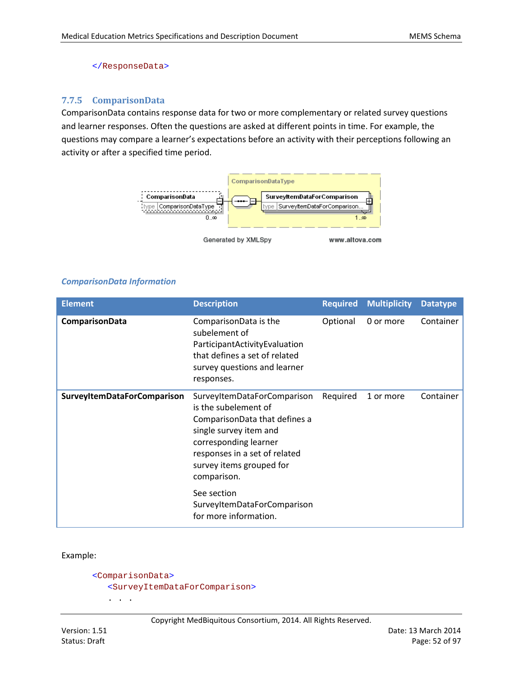### </ResponseData>

### **7.7.5 ComparisonData**

ComparisonData contains response data for two or more complementary or related survey questions and learner responses. Often the questions are asked at different points in time. For example, the questions may compare a learner's expectations before an activity with their perceptions following an activity or after a specified time period.



## *ComparisonData Information*

| <b>Element</b>                     | <b>Description</b>                                                                                                                                                                                                  | <b>Required</b> | <b>Multiplicity</b> | <b>Datatype</b> |
|------------------------------------|---------------------------------------------------------------------------------------------------------------------------------------------------------------------------------------------------------------------|-----------------|---------------------|-----------------|
| ComparisonData                     | ComparisonData is the<br>subelement of<br>ParticipantActivityEvaluation<br>that defines a set of related<br>survey questions and learner<br>responses.                                                              | Optional        | 0 or more           | Container       |
| <b>SurveyItemDataForComparison</b> | SurveyItemDataForComparison<br>is the subelement of<br>ComparisonData that defines a<br>single survey item and<br>corresponding learner<br>responses in a set of related<br>survey items grouped for<br>comparison. | Required        | 1 or more           | Container       |
|                                    | See section<br>SurveyItemDataForComparison<br>for more information.                                                                                                                                                 |                 |                     |                 |

```
<ComparisonData>
   <SurveyItemDataForComparison>
   . . .
```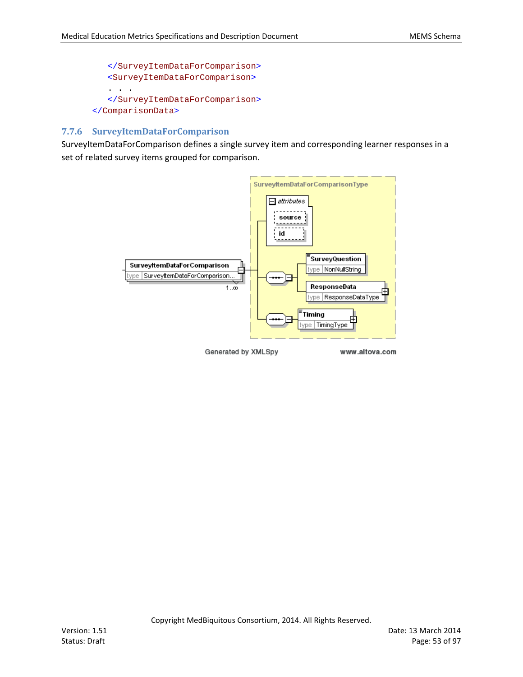

## **7.7.6 SurveyItemDataForComparison**

SurveyItemDataForComparison defines a single survey item and corresponding learner responses in a set of related survey items grouped for comparison.



Generated by XMLSpy

www.altova.com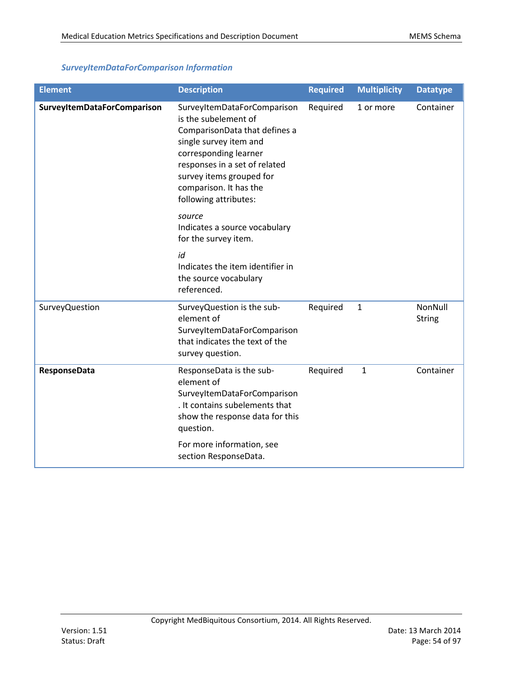## *SurveyItemDataForComparison Information*

| <b>Element</b>                     | <b>Description</b>                                                                                                                                                                                                                                      | <b>Required</b> | <b>Multiplicity</b> | <b>Datatype</b>          |
|------------------------------------|---------------------------------------------------------------------------------------------------------------------------------------------------------------------------------------------------------------------------------------------------------|-----------------|---------------------|--------------------------|
| <b>SurveyItemDataForComparison</b> | SurveyItemDataForComparison<br>is the subelement of<br>ComparisonData that defines a<br>single survey item and<br>corresponding learner<br>responses in a set of related<br>survey items grouped for<br>comparison. It has the<br>following attributes: | Required        | 1 or more           | Container                |
|                                    | source<br>Indicates a source vocabulary<br>for the survey item.                                                                                                                                                                                         |                 |                     |                          |
|                                    | id<br>Indicates the item identifier in<br>the source vocabulary<br>referenced.                                                                                                                                                                          |                 |                     |                          |
| <b>SurveyQuestion</b>              | SurveyQuestion is the sub-<br>element of<br>SurveyItemDataForComparison<br>that indicates the text of the<br>survey question.                                                                                                                           | Required        | $\mathbf{1}$        | NonNull<br><b>String</b> |
| <b>ResponseData</b>                | ResponseData is the sub-<br>element of<br>SurveyItemDataForComparison<br>. It contains subelements that<br>show the response data for this<br>question.                                                                                                 | Required        | $\mathbf{1}$        | Container                |
|                                    | For more information, see<br>section ResponseData.                                                                                                                                                                                                      |                 |                     |                          |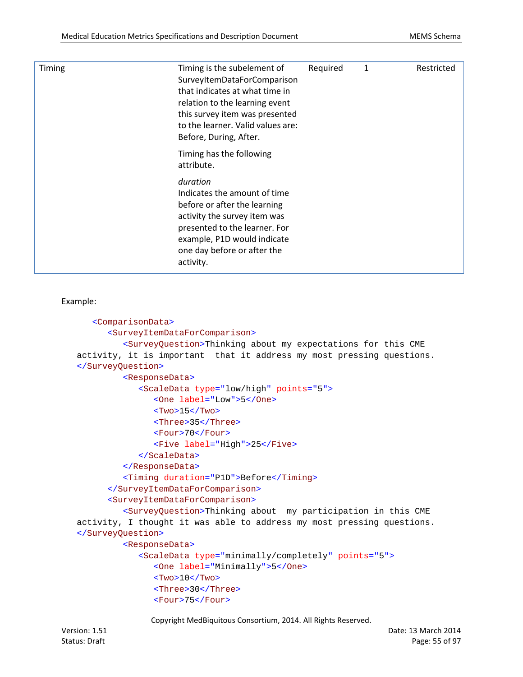| Timing | Timing is the subelement of<br>SurveyItemDataForComparison<br>that indicates at what time in<br>relation to the learning event<br>this survey item was presented<br>to the learner. Valid values are:<br>Before, During, After. | Required | 1 | Restricted |
|--------|---------------------------------------------------------------------------------------------------------------------------------------------------------------------------------------------------------------------------------|----------|---|------------|
|        | Timing has the following<br>attribute.                                                                                                                                                                                          |          |   |            |
|        | duration<br>Indicates the amount of time<br>before or after the learning<br>activity the survey item was<br>presented to the learner. For<br>example, P1D would indicate<br>one day before or after the<br>activity.            |          |   |            |

```
<ComparisonData>
      <SurveyItemDataForComparison>
         <SurveyQuestion>Thinking about my expectations for this CME 
activity, it is important that it address my most pressing questions.
</SurveyQuestion>
         <ResponseData>
            <ScaleData type="low/high" points="5">
               <One label="Low">5</One>
               <Two>15</Two><Three>35</Three>
               <Four>70</Four>
               <Five label="High">25</Five>
            </ScaleData>
         </ResponseData>
         <Timing duration="P1D">Before</Timing>
      </SurveyItemDataForComparison>
      <SurveyItemDataForComparison>
         <SurveyQuestion>Thinking about my participation in this CME 
activity, I thought it was able to address my most pressing questions.
</SurveyQuestion>
         <ResponseData>
            <ScaleData type="minimally/completely" points="5">
               <One label="Minimally">5</One>
               <Two>10</Two>
               <Three>30</Three>
               <Four>75</Four>
```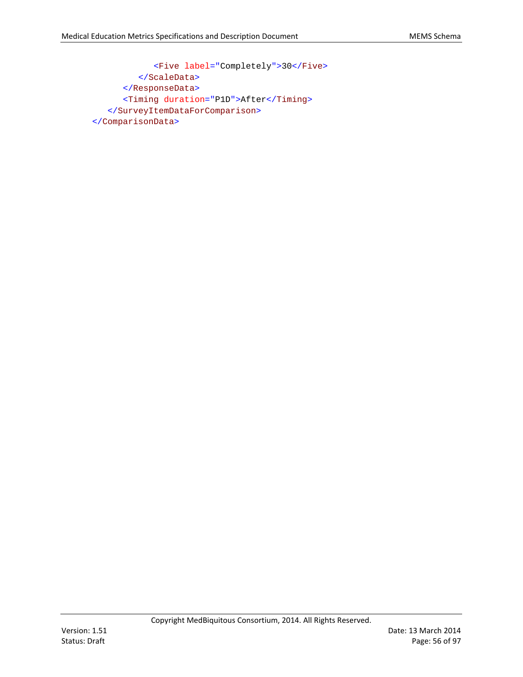```
<Five label="Completely">30</Five>
        </ScaleData>
     </ResponseData>
      <Timing duration="P1D">After</Timing>
   </SurveyItemDataForComparison>
</ComparisonData>
```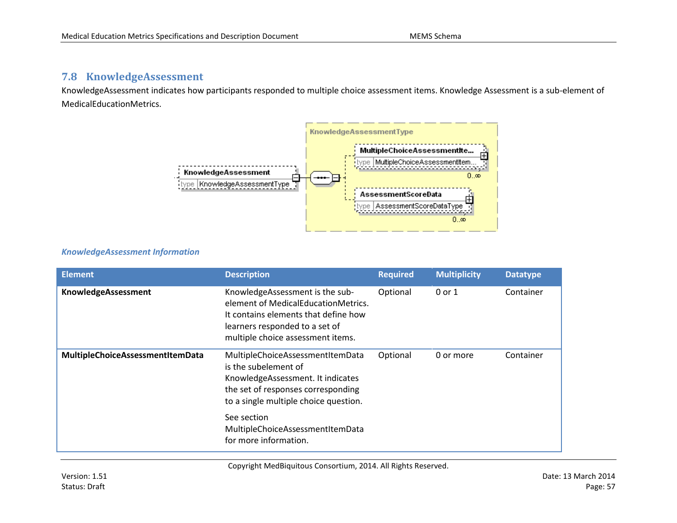# **7.8 KnowledgeAssessment**

KnowledgeAssessment indicates how participants responded to multiple choice assessment items. Knowledge Assessment is a sub-element of MedicalEducationMetrics.



## *KnowledgeAssessment Information*

| <b>Element</b>                   | <b>Description</b>                                                                                                                                                                    | <b>Required</b> | <b>Multiplicity</b> | <b>Datatype</b> |
|----------------------------------|---------------------------------------------------------------------------------------------------------------------------------------------------------------------------------------|-----------------|---------------------|-----------------|
| KnowledgeAssessment              | KnowledgeAssessment is the sub-<br>element of MedicalEducationMetrics.<br>It contains elements that define how<br>learners responded to a set of<br>multiple choice assessment items. | Optional        | $0$ or $1$          | Container       |
| MultipleChoiceAssessmentItemData | MultipleChoiceAssessmentItemData<br>is the subelement of<br>KnowledgeAssessment. It indicates<br>the set of responses corresponding<br>to a single multiple choice question.          | Optional        | 0 or more           | Container       |
|                                  | See section<br>MultipleChoiceAssessmentItemData<br>for more information.                                                                                                              |                 |                     |                 |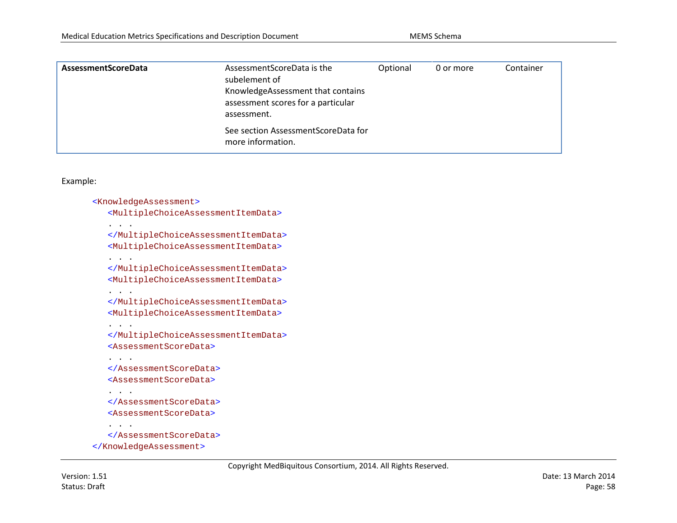| AssessmentScoreData | AssessmentScoreData is the<br>subelement of<br>KnowledgeAssessment that contains<br>assessment scores for a particular<br>assessment. | Optional | 0 or more | Container |
|---------------------|---------------------------------------------------------------------------------------------------------------------------------------|----------|-----------|-----------|
|                     | See section Assessment Score Data for<br>more information.                                                                            |          |           |           |

```
<KnowledgeAssessment>
   <MultipleChoiceAssessmentItemData>
   . . . 
   </MultipleChoiceAssessmentItemData>
   <MultipleChoiceAssessmentItemData>
   . . . 
   </MultipleChoiceAssessmentItemData>
   <MultipleChoiceAssessmentItemData>
   . . . 
   </MultipleChoiceAssessmentItemData>
   <MultipleChoiceAssessmentItemData>
   . . . 
   </MultipleChoiceAssessmentItemData>
   <AssessmentScoreData>
   . . .
   </AssessmentScoreData>
   <AssessmentScoreData>
   . . .
   </AssessmentScoreData>
   <AssessmentScoreData>
   . . .
   </AssessmentScoreData>
</KnowledgeAssessment>
```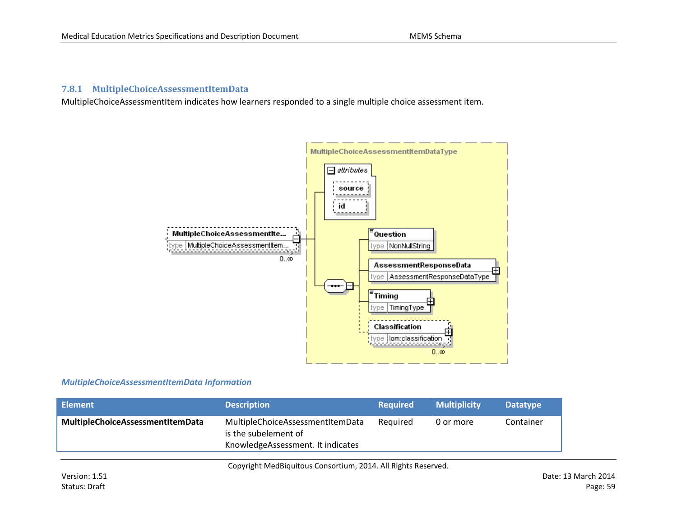## **7.8.1 MultipleChoiceAssessmentItemData**

MultipleChoiceAssessmentItem indicates how learners responded to a single multiple choice assessment item.



#### *MultipleChoiceAssessmentItemData Information*

| MultipleChoiceAssessmentItemData<br>MultipleChoiceAssessmentItemData<br>Required<br>Container<br>0 or more<br>is the subelement of | <b>Element</b> | <b>Description</b> | Reauired | <b>Multiplicity</b> | <b>Datatype</b> |
|------------------------------------------------------------------------------------------------------------------------------------|----------------|--------------------|----------|---------------------|-----------------|
| KnowledgeAssessment. It indicates                                                                                                  |                |                    |          |                     |                 |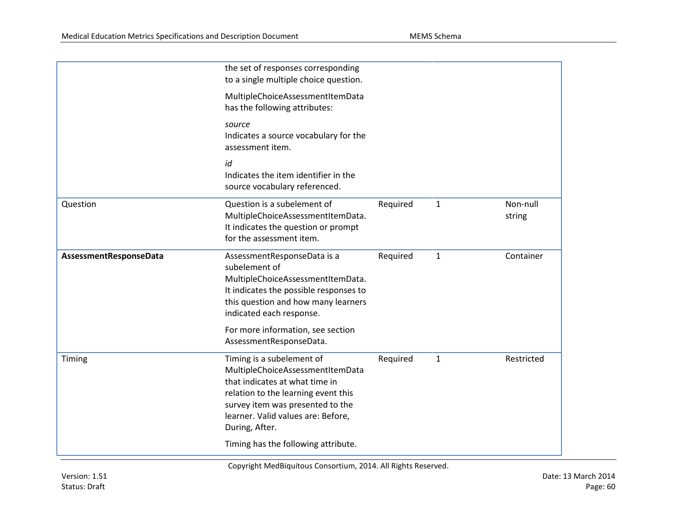|                        | the set of responses corresponding<br>to a single multiple choice question.                                                                                                                                                                                               |          |              |                    |
|------------------------|---------------------------------------------------------------------------------------------------------------------------------------------------------------------------------------------------------------------------------------------------------------------------|----------|--------------|--------------------|
|                        | MultipleChoiceAssessmentItemData<br>has the following attributes:                                                                                                                                                                                                         |          |              |                    |
|                        | source<br>Indicates a source vocabulary for the<br>assessment item.                                                                                                                                                                                                       |          |              |                    |
|                        | id<br>Indicates the item identifier in the<br>source vocabulary referenced.                                                                                                                                                                                               |          |              |                    |
| Question               | Question is a subelement of<br>MultipleChoiceAssessmentItemData.<br>It indicates the question or prompt<br>for the assessment item.                                                                                                                                       | Required | $\mathbf{1}$ | Non-null<br>string |
| AssessmentResponseData | AssessmentResponseData is a<br>subelement of<br>MultipleChoiceAssessmentItemData.<br>It indicates the possible responses to<br>this question and how many learners<br>indicated each response.                                                                            | Required | $\mathbf{1}$ | Container          |
|                        | For more information, see section<br>AssessmentResponseData.                                                                                                                                                                                                              |          |              |                    |
| Timing                 | Timing is a subelement of<br>MultipleChoiceAssessmentItemData<br>that indicates at what time in<br>relation to the learning event this<br>survey item was presented to the<br>learner. Valid values are: Before,<br>During, After.<br>Timing has the following attribute. | Required | $\mathbf{1}$ | Restricted         |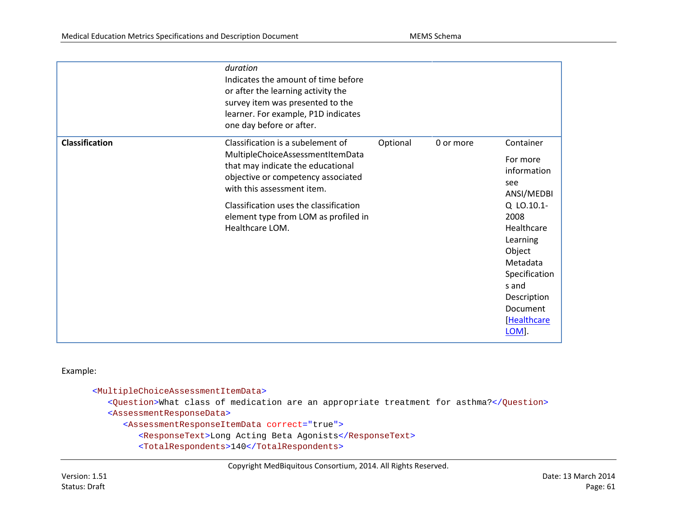|                       | duration<br>Indicates the amount of time before<br>or after the learning activity the<br>survey item was presented to the<br>learner. For example, P1D indicates<br>one day before or after. |          |           |                                                                                                                                                 |
|-----------------------|----------------------------------------------------------------------------------------------------------------------------------------------------------------------------------------------|----------|-----------|-------------------------------------------------------------------------------------------------------------------------------------------------|
| <b>Classification</b> | Classification is a subelement of<br>MultipleChoiceAssessmentItemData<br>that may indicate the educational<br>objective or competency associated<br>with this assessment item.               | Optional | 0 or more | Container<br>For more<br>information<br>see<br>ANSI/MEDBI                                                                                       |
|                       | Classification uses the classification<br>element type from LOM as profiled in<br>Healthcare LOM.                                                                                            |          |           | Q LO.10.1-<br>2008<br>Healthcare<br>Learning<br>Object<br>Metadata<br>Specification<br>s and<br>Description<br>Document<br>[Healthcare<br>LOM]. |

<MultipleChoiceAssessmentItemData> <Question>What class of medication are an appropriate treatment for asthma?</Question> <AssessmentResponseData> <AssessmentResponseItemData correct="true"> <ResponseText>Long Acting Beta Agonists</ResponseText> <TotalRespondents>140</TotalRespondents>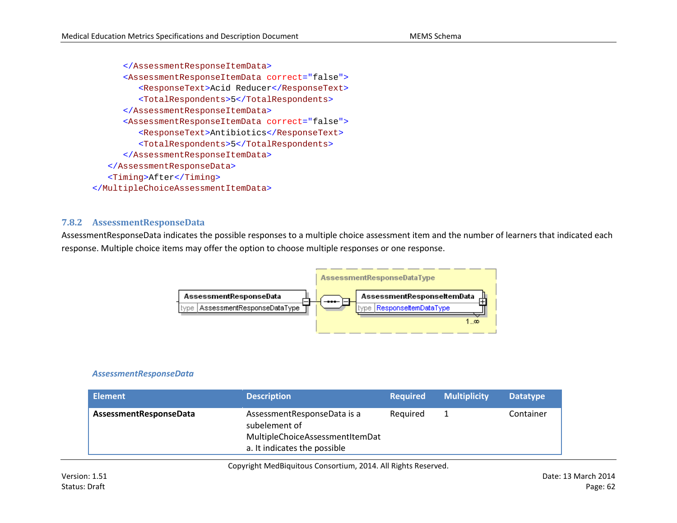```
</AssessmentResponseItemData>
     <AssessmentResponseItemData correct="false">
         <ResponseText>Acid Reducer</ResponseText>
        <TotalRespondents>5</TotalRespondents>
     </AssessmentResponseItemData>
     <AssessmentResponseItemData correct="false">
         <ResponseText>Antibiotics</ResponseText>
         <TotalRespondents>5</TotalRespondents>
     </AssessmentResponseItemData>
   </AssessmentResponseData>
   <Timing>After</Timing>
</MultipleChoiceAssessmentItemData>
```
### **7.8.2 AssessmentResponseData**

AssessmentResponseData indicates the possible responses to a multiple choice assessment item and the number of learners that indicated each response. Multiple choice items may offer the option to choose multiple responses or one response.



#### *AssessmentResponseData*

| Element                | <b>Description</b>                                                                                              | <b>Required</b> | <b>Multiplicity</b> | <b>Datatype</b> |
|------------------------|-----------------------------------------------------------------------------------------------------------------|-----------------|---------------------|-----------------|
| AssessmentResponseData | AssessmentResponseData is a<br>subelement of<br>MultipleChoiceAssessmentItemDat<br>a. It indicates the possible | Reauired        |                     | Container       |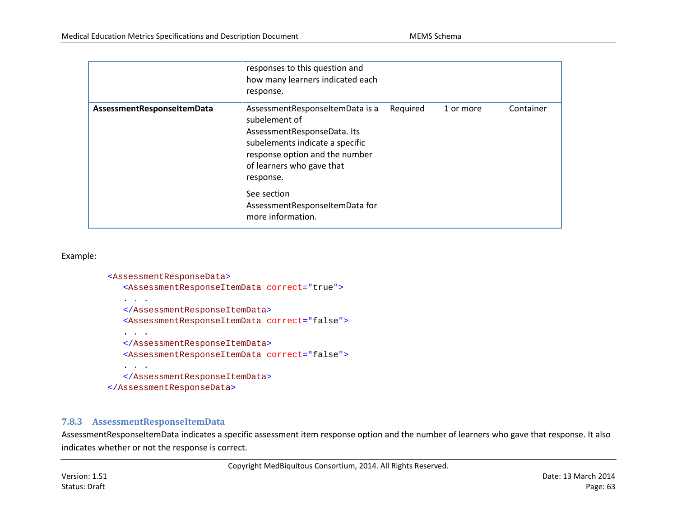|                            | responses to this question and<br>how many learners indicated each<br>response.                                                                                                                |          |           |           |
|----------------------------|------------------------------------------------------------------------------------------------------------------------------------------------------------------------------------------------|----------|-----------|-----------|
| AssessmentResponseItemData | AssessmentResponseItemData is a<br>subelement of<br>AssessmentResponseData. Its<br>subelements indicate a specific<br>response option and the number<br>of learners who gave that<br>response. | Required | 1 or more | Container |
|                            | See section<br>AssessmentResponseItemData for<br>more information.                                                                                                                             |          |           |           |

```
<AssessmentResponseData>
  <AssessmentResponseItemData correct="true">
   . . .
  </AssessmentResponseItemData>
  <AssessmentResponseItemData correct="false">
   . . .
  </AssessmentResponseItemData>
  <AssessmentResponseItemData correct="false">
   . . .
  </AssessmentResponseItemData>
</AssessmentResponseData>
```
### **7.8.3 AssessmentResponseItemData**

AssessmentResponseItemData indicates a specific assessment item response option and the number of learners who gave that response. It also indicates whether or not the response is correct.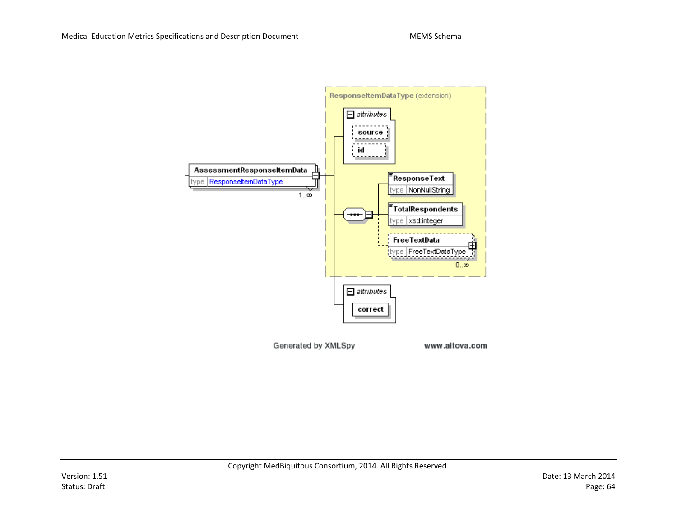

Generated by XMLSpy

www.altova.com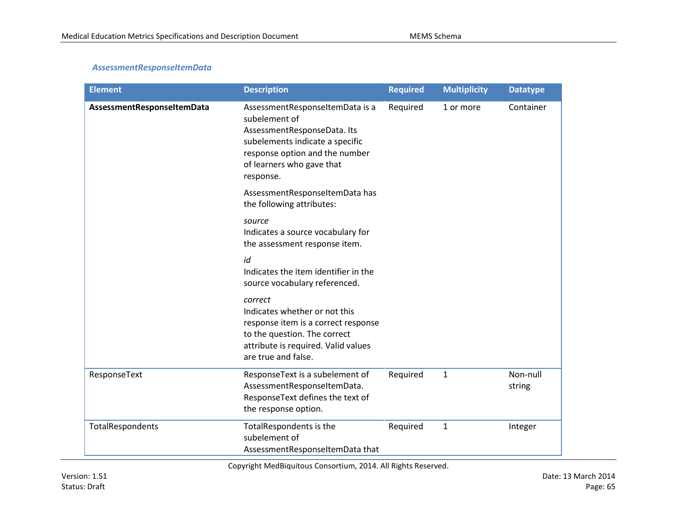### *AssessmentResponseItemData*

| <b>Element</b>             | <b>Description</b>                                                                                                                                                                             | <b>Required</b> | <b>Multiplicity</b> | <b>Datatype</b>    |
|----------------------------|------------------------------------------------------------------------------------------------------------------------------------------------------------------------------------------------|-----------------|---------------------|--------------------|
| AssessmentResponseltemData | AssessmentResponseItemData is a<br>subelement of<br>AssessmentResponseData. Its<br>subelements indicate a specific<br>response option and the number<br>of learners who gave that<br>response. | Required        | 1 or more           | Container          |
|                            | AssessmentResponseItemData has<br>the following attributes:                                                                                                                                    |                 |                     |                    |
|                            | source<br>Indicates a source vocabulary for<br>the assessment response item.                                                                                                                   |                 |                     |                    |
|                            | id<br>Indicates the item identifier in the<br>source vocabulary referenced.                                                                                                                    |                 |                     |                    |
|                            | correct<br>Indicates whether or not this<br>response item is a correct response<br>to the question. The correct<br>attribute is required. Valid values<br>are true and false.                  |                 |                     |                    |
| ResponseText               | ResponseText is a subelement of<br>AssessmentResponseItemData.<br>ResponseText defines the text of<br>the response option.                                                                     | Required        | $\mathbf{1}$        | Non-null<br>string |
| TotalRespondents           | TotalRespondents is the<br>subelement of<br>AssessmentResponseItemData that                                                                                                                    | Required        | $\mathbf{1}$        | Integer            |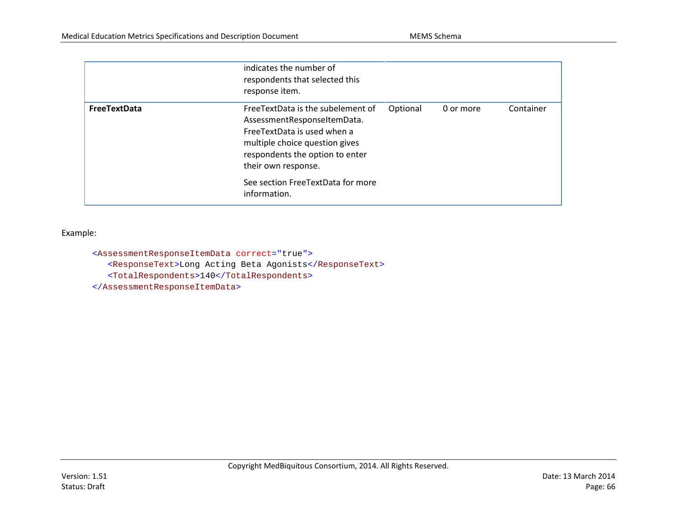|                     | indicates the number of<br>respondents that selected this<br>response item.                                                                                                                   |          |           |           |
|---------------------|-----------------------------------------------------------------------------------------------------------------------------------------------------------------------------------------------|----------|-----------|-----------|
| <b>FreeTextData</b> | FreeTextData is the subelement of<br>AssessmentResponseItemData.<br>Free Text Data is used when a<br>multiple choice question gives<br>respondents the option to enter<br>their own response. | Optional | 0 or more | Container |
|                     | See section FreeTextData for more<br>information.                                                                                                                                             |          |           |           |

```
<AssessmentResponseItemData correct="true">
```
<ResponseText>Long Acting Beta Agonists</ResponseText>

<TotalRespondents>140</TotalRespondents>

</AssessmentResponseItemData>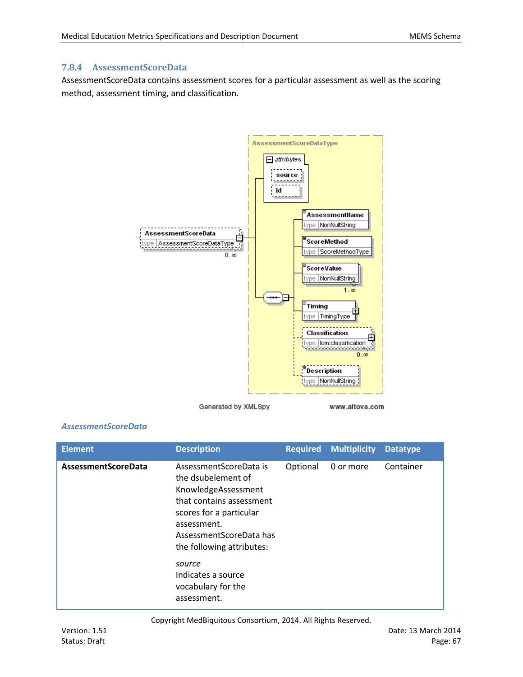## **7.8.4 AssessmentScoreData**

AssessmentScoreData contains assessment scores for a particular assessment as well as the scoring method, assessment timing, and classification.



Generated by XMLSpy

www.altova.com

### *AssessmentScoreData*

| <b>Element</b>      | <b>Description</b>                                                                                                                                                                                                                                                     | <b>Required</b> | <b>Multiplicity</b> | <b>Datatype</b> |
|---------------------|------------------------------------------------------------------------------------------------------------------------------------------------------------------------------------------------------------------------------------------------------------------------|-----------------|---------------------|-----------------|
| AssessmentScoreData | AssessmentScoreData is<br>the dsubelement of<br>KnowledgeAssessment<br>that contains assessment<br>scores for a particular<br>assessment.<br>AssessmentScoreData has<br>the following attributes:<br>source<br>Indicates a source<br>vocabulary for the<br>assessment. | Optional        | 0 or more           | Container       |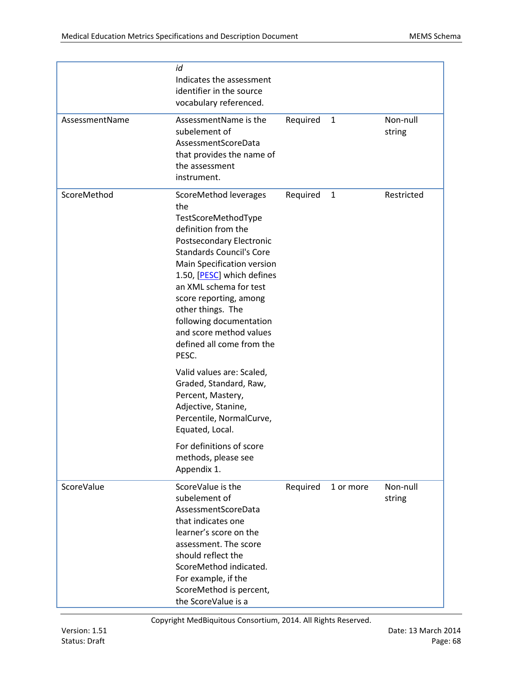| AssessmentName | id<br>Indicates the assessment<br>identifier in the source<br>vocabulary referenced.<br>AssessmentName is the<br>subelement of<br>AssessmentScoreData<br>that provides the name of<br>the assessment<br>instrument.                                                                                                                                                                                                                                                                                                                                                             | Required | $\mathbf{1}$ | Non-null<br>string |
|----------------|---------------------------------------------------------------------------------------------------------------------------------------------------------------------------------------------------------------------------------------------------------------------------------------------------------------------------------------------------------------------------------------------------------------------------------------------------------------------------------------------------------------------------------------------------------------------------------|----------|--------------|--------------------|
| ScoreMethod    | ScoreMethod leverages<br>the<br>TestScoreMethodType<br>definition from the<br>Postsecondary Electronic<br><b>Standards Council's Core</b><br>Main Specification version<br>1.50, [PESC] which defines<br>an XML schema for test<br>score reporting, among<br>other things. The<br>following documentation<br>and score method values<br>defined all come from the<br>PESC.<br>Valid values are: Scaled,<br>Graded, Standard, Raw,<br>Percent, Mastery,<br>Adjective, Stanine,<br>Percentile, NormalCurve,<br>Equated, Local.<br>For definitions of score<br>methods, please see | Required | $\mathbf{1}$ | Restricted         |
| ScoreValue     | Appendix 1.<br>ScoreValue is the<br>subelement of<br>AssessmentScoreData<br>that indicates one<br>learner's score on the<br>assessment. The score<br>should reflect the<br>ScoreMethod indicated.<br>For example, if the<br>ScoreMethod is percent,<br>the ScoreValue is a                                                                                                                                                                                                                                                                                                      | Required | 1 or more    | Non-null<br>string |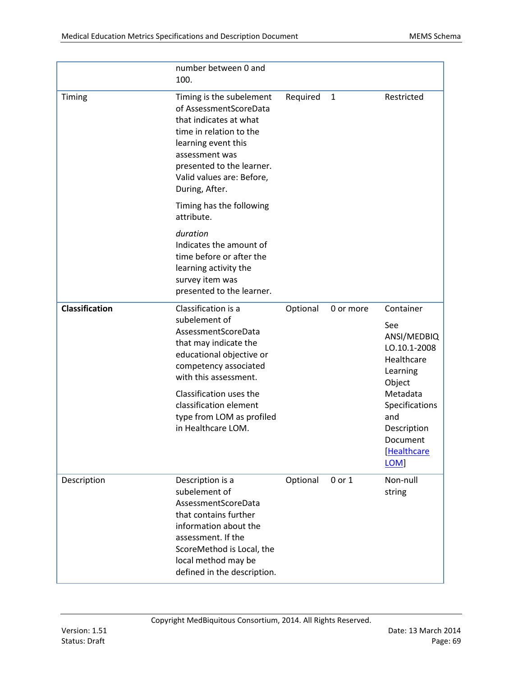|                       | number between 0 and<br>100.                                                                                                                                                                                                 |          |              |                                                                                     |
|-----------------------|------------------------------------------------------------------------------------------------------------------------------------------------------------------------------------------------------------------------------|----------|--------------|-------------------------------------------------------------------------------------|
| Timing                | Timing is the subelement<br>of AssessmentScoreData<br>that indicates at what<br>time in relation to the<br>learning event this<br>assessment was<br>presented to the learner.<br>Valid values are: Before,<br>During, After. | Required | $\mathbf{1}$ | Restricted                                                                          |
|                       | Timing has the following<br>attribute.                                                                                                                                                                                       |          |              |                                                                                     |
|                       | duration<br>Indicates the amount of<br>time before or after the<br>learning activity the<br>survey item was<br>presented to the learner.                                                                                     |          |              |                                                                                     |
| <b>Classification</b> | Classification is a<br>subelement of<br>AssessmentScoreData<br>that may indicate the<br>educational objective or<br>competency associated<br>with this assessment.                                                           | Optional | 0 or more    | Container<br>See<br>ANSI/MEDBIQ<br>LO.10.1-2008<br>Healthcare<br>Learning<br>Object |
|                       | Classification uses the<br>classification element<br>type from LOM as profiled<br>in Healthcare LOM.                                                                                                                         |          |              | Metadata<br>Specifications<br>and<br>Description<br>Document<br>[Healthcare<br>LOM] |
| Description           | Description is a<br>subelement of<br>AssessmentScoreData<br>that contains further<br>information about the<br>assessment. If the<br>ScoreMethod is Local, the<br>local method may be<br>defined in the description.          | Optional | 0 or 1       | Non-null<br>string                                                                  |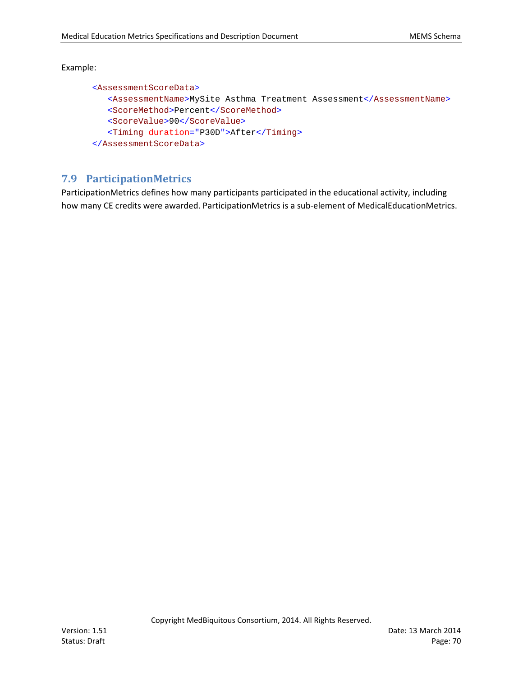```
<AssessmentScoreData>
   <AssessmentName>MySite Asthma Treatment Assessment</AssessmentName>
   <ScoreMethod>Percent</ScoreMethod>
   <ScoreValue>90</ScoreValue>
   <Timing duration="P30D">After</Timing>
</AssessmentScoreData>
```
# **7.9 ParticipationMetrics**

ParticipationMetrics defines how many participants participated in the educational activity, including how many CE credits were awarded. ParticipationMetrics is a sub-element of MedicalEducationMetrics.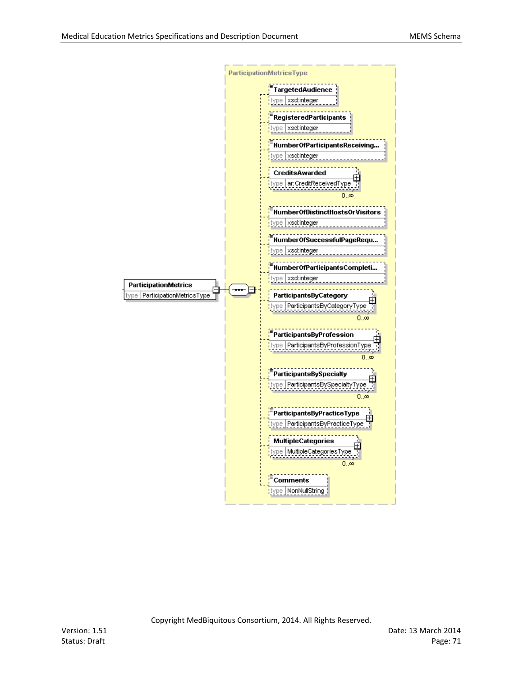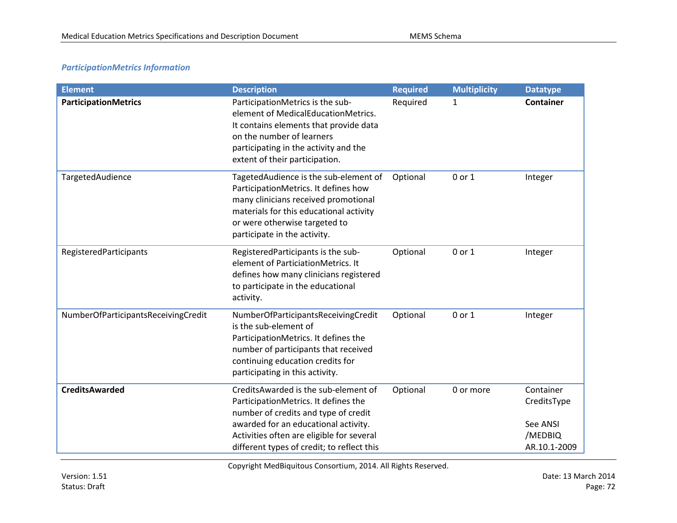## *ParticipationMetrics Information*

| <b>Element</b>                      | <b>Description</b>                                                                                                                                                                                                                                      | <b>Required</b> | <b>Multiplicity</b> | <b>Datatype</b>                                                 |
|-------------------------------------|---------------------------------------------------------------------------------------------------------------------------------------------------------------------------------------------------------------------------------------------------------|-----------------|---------------------|-----------------------------------------------------------------|
| <b>ParticipationMetrics</b>         | ParticipationMetrics is the sub-<br>element of MedicalEducationMetrics.<br>It contains elements that provide data<br>on the number of learners<br>participating in the activity and the<br>extent of their participation.                               | Required        | 1                   | <b>Container</b>                                                |
| TargetedAudience                    | TagetedAudience is the sub-element of<br>ParticipationMetrics. It defines how<br>many clinicians received promotional<br>materials for this educational activity<br>or were otherwise targeted to<br>participate in the activity.                       | Optional        | 0 or 1              | Integer                                                         |
| RegisteredParticipants              | RegisteredParticipants is the sub-<br>element of ParticiationMetrics. It<br>defines how many clinicians registered<br>to participate in the educational<br>activity.                                                                                    | Optional        | 0 or 1              | Integer                                                         |
| NumberOfParticipantsReceivingCredit | NumberOfParticipantsReceivingCredit<br>is the sub-element of<br>ParticipationMetrics. It defines the<br>number of participants that received<br>continuing education credits for<br>participating in this activity.                                     | Optional        | 0 or 1              | Integer                                                         |
| <b>CreditsAwarded</b>               | CreditsAwarded is the sub-element of<br>ParticipationMetrics. It defines the<br>number of credits and type of credit<br>awarded for an educational activity.<br>Activities often are eligible for several<br>different types of credit; to reflect this | Optional        | 0 or more           | Container<br>CreditsType<br>See ANSI<br>/MEDBIQ<br>AR.10.1-2009 |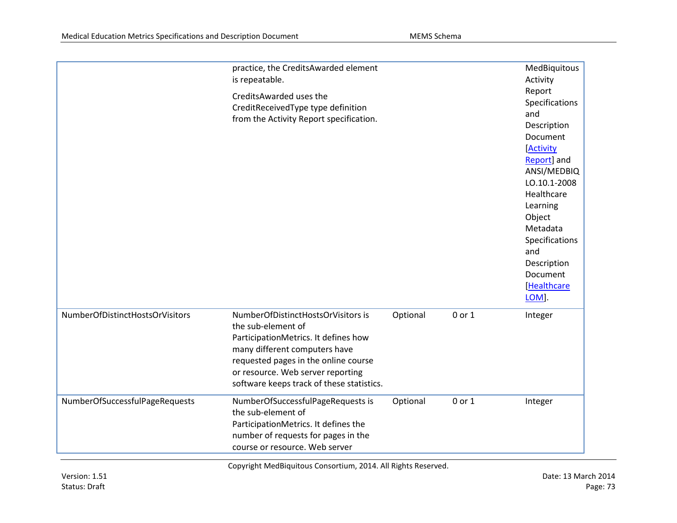|                                 | practice, the CreditsAwarded element<br>is repeatable.<br>CreditsAwarded uses the<br>CreditReceivedType type definition<br>from the Activity Report specification.                                                                                          |          |        | MedBiquitous<br>Activity<br>Report<br>Specifications<br>and<br>Description<br>Document<br>[Activity<br>Report] and<br>ANSI/MEDBIQ<br>LO.10.1-2008<br>Healthcare<br>Learning<br>Object<br>Metadata<br>Specifications<br>and<br>Description<br>Document<br>[Healthcare<br>LOM]. |
|---------------------------------|-------------------------------------------------------------------------------------------------------------------------------------------------------------------------------------------------------------------------------------------------------------|----------|--------|-------------------------------------------------------------------------------------------------------------------------------------------------------------------------------------------------------------------------------------------------------------------------------|
| NumberOfDistinctHostsOrVisitors | NumberOfDistinctHostsOrVisitors is<br>the sub-element of<br>ParticipationMetrics. It defines how<br>many different computers have<br>requested pages in the online course<br>or resource. Web server reporting<br>software keeps track of these statistics. | Optional | 0 or 1 | Integer                                                                                                                                                                                                                                                                       |
| NumberOfSuccessfulPageRequests  | NumberOfSuccessfulPageRequests is<br>the sub-element of<br>ParticipationMetrics. It defines the<br>number of requests for pages in the<br>course or resource. Web server                                                                                    | Optional | 0 or 1 | Integer                                                                                                                                                                                                                                                                       |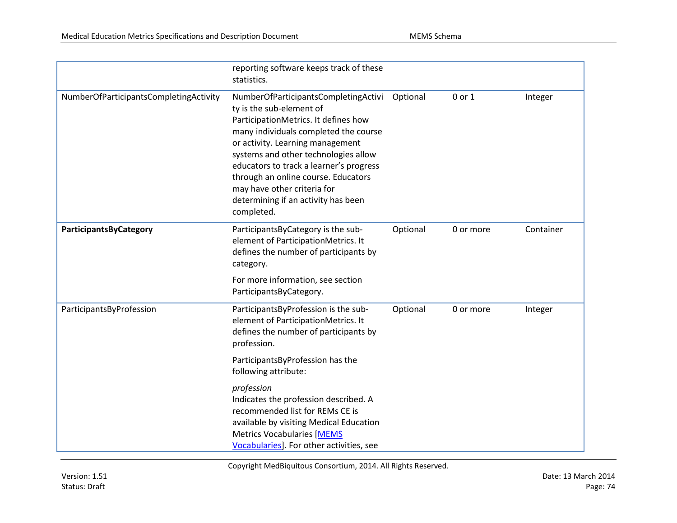|                                        | reporting software keeps track of these<br>statistics.                                                                                                                                                                                                                                                                                                                                              |          |           |           |
|----------------------------------------|-----------------------------------------------------------------------------------------------------------------------------------------------------------------------------------------------------------------------------------------------------------------------------------------------------------------------------------------------------------------------------------------------------|----------|-----------|-----------|
| NumberOfParticipantsCompletingActivity | NumberOfParticipantsCompletingActivi<br>ty is the sub-element of<br>ParticipationMetrics. It defines how<br>many individuals completed the course<br>or activity. Learning management<br>systems and other technologies allow<br>educators to track a learner's progress<br>through an online course. Educators<br>may have other criteria for<br>determining if an activity has been<br>completed. | Optional | 0 or 1    | Integer   |
| ParticipantsByCategory                 | ParticipantsByCategory is the sub-<br>element of ParticipationMetrics. It<br>defines the number of participants by<br>category.                                                                                                                                                                                                                                                                     | Optional | 0 or more | Container |
|                                        | For more information, see section<br>ParticipantsByCategory.                                                                                                                                                                                                                                                                                                                                        |          |           |           |
| ParticipantsByProfession               | ParticipantsByProfession is the sub-<br>element of ParticipationMetrics. It<br>defines the number of participants by<br>profession.                                                                                                                                                                                                                                                                 | Optional | 0 or more | Integer   |
|                                        | ParticipantsByProfession has the<br>following attribute:                                                                                                                                                                                                                                                                                                                                            |          |           |           |
|                                        | profession<br>Indicates the profession described. A<br>recommended list for REMs CE is<br>available by visiting Medical Education<br><b>Metrics Vocabularies [MEMS</b><br>Vocabularies]. For other activities, see                                                                                                                                                                                  |          |           |           |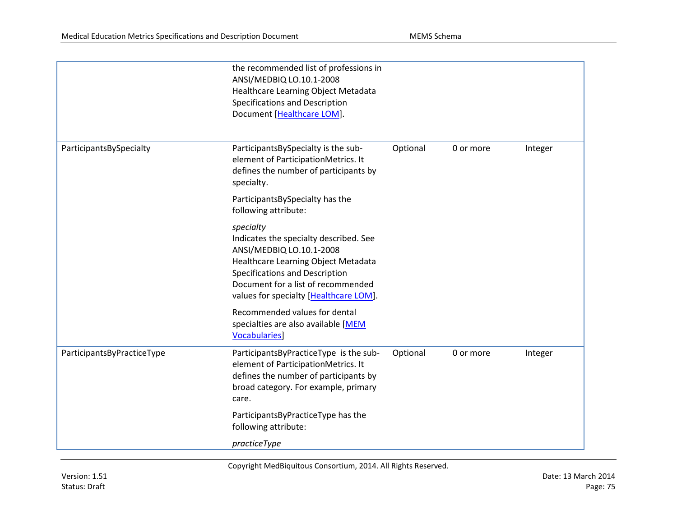|                            | the recommended list of professions in<br>ANSI/MEDBIQ LO.10.1-2008<br>Healthcare Learning Object Metadata<br>Specifications and Description<br>Document [Healthcare LOM].                                                                |          |           |         |
|----------------------------|------------------------------------------------------------------------------------------------------------------------------------------------------------------------------------------------------------------------------------------|----------|-----------|---------|
| ParticipantsBySpecialty    | ParticipantsBySpecialty is the sub-<br>element of ParticipationMetrics. It<br>defines the number of participants by<br>specialty.                                                                                                        | Optional | 0 or more | Integer |
|                            | ParticipantsBySpecialty has the<br>following attribute:                                                                                                                                                                                  |          |           |         |
|                            | specialty<br>Indicates the specialty described. See<br>ANSI/MEDBIQ LO.10.1-2008<br>Healthcare Learning Object Metadata<br>Specifications and Description<br>Document for a list of recommended<br>values for specialty [Healthcare LOM]. |          |           |         |
|                            | Recommended values for dental<br>specialties are also available [MEM<br><b>Vocabularies</b> ]                                                                                                                                            |          |           |         |
| ParticipantsByPracticeType | ParticipantsByPracticeType is the sub-<br>element of ParticipationMetrics. It<br>defines the number of participants by<br>broad category. For example, primary<br>care.                                                                  | Optional | 0 or more | Integer |
|                            | ParticipantsByPracticeType has the<br>following attribute:                                                                                                                                                                               |          |           |         |
|                            | practiceType                                                                                                                                                                                                                             |          |           |         |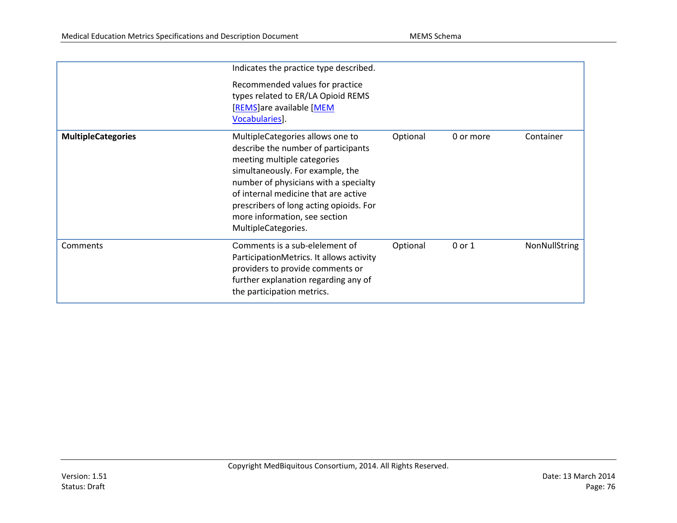|                           | Indicates the practice type described.<br>Recommended values for practice<br>types related to ER/LA Opioid REMS<br>[REMS]are available [MEM<br>Vocabularies].                                                                                                                                                                  |          |           |               |
|---------------------------|--------------------------------------------------------------------------------------------------------------------------------------------------------------------------------------------------------------------------------------------------------------------------------------------------------------------------------|----------|-----------|---------------|
| <b>MultipleCategories</b> | MultipleCategories allows one to<br>describe the number of participants<br>meeting multiple categories<br>simultaneously. For example, the<br>number of physicians with a specialty<br>of internal medicine that are active<br>prescribers of long acting opioids. For<br>more information, see section<br>MultipleCategories. | Optional | 0 or more | Container     |
| Comments                  | Comments is a sub-elelement of<br>ParticipationMetrics. It allows activity<br>providers to provide comments or<br>further explanation regarding any of<br>the participation metrics.                                                                                                                                           | Optional | 0 or 1    | NonNullString |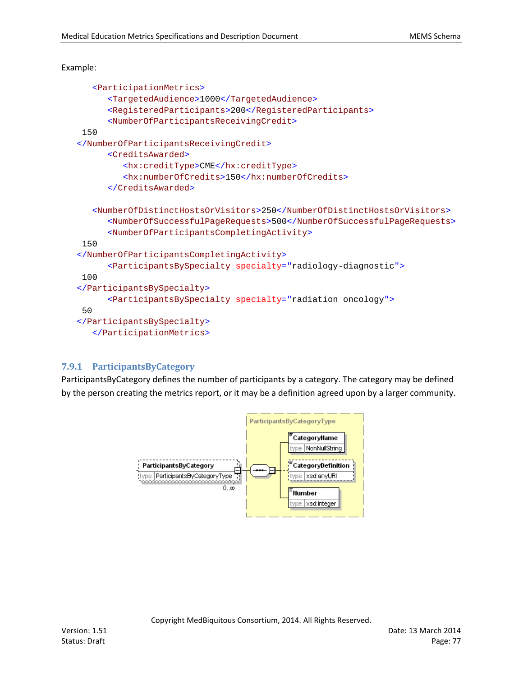#### Example:

```
<ParticipationMetrics>
      <TargetedAudience>1000</TargetedAudience>
      <RegisteredParticipants>200</RegisteredParticipants>
      <NumberOfParticipantsReceivingCredit>
 150
</NumberOfParticipantsReceivingCredit>
      <CreditsAwarded>
         <hx:creditType>CME</hx:creditType>
         <hx:numberOfCredits>150</hx:numberOfCredits>
      </CreditsAwarded>
   <NumberOfDistinctHostsOrVisitors>250</NumberOfDistinctHostsOrVisitors>
      <NumberOfSuccessfulPageRequests>500</NumberOfSuccessfulPageRequests>
      <NumberOfParticipantsCompletingActivity>
 150
</NumberOfParticipantsCompletingActivity>
      <ParticipantsBySpecialty specialty="radiology-diagnostic">
100
</ParticipantsBySpecialty>
      <ParticipantsBySpecialty specialty="radiation oncology">
50
</ParticipantsBySpecialty>
   </ParticipationMetrics>
```
#### **7.9.1 ParticipantsByCategory**

ParticipantsByCategory defines the number of participants by a category. The category may be defined by the person creating the metrics report, or it may be a definition agreed upon by a larger community.

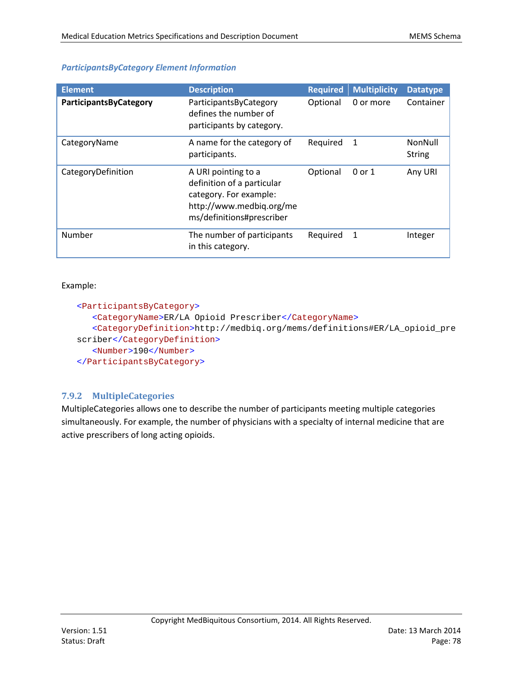## *ParticipantsByCategory Element Information*

| <b>Element</b>         | <b>Description</b>                                                                                                                   | <b>Required</b> | <b>Multiplicity</b> | <b>Datatype</b>          |
|------------------------|--------------------------------------------------------------------------------------------------------------------------------------|-----------------|---------------------|--------------------------|
| ParticipantsByCategory | ParticipantsByCategory<br>defines the number of<br>participants by category.                                                         | Optional        | 0 or more           | Container                |
| CategoryName           | A name for the category of<br>participants.                                                                                          | Required        | -1                  | NonNull<br><b>String</b> |
| CategoryDefinition     | A URI pointing to a<br>definition of a particular<br>category. For example:<br>http://www.medbiq.org/me<br>ms/definitions#prescriber | Optional        | 0 or 1              | Any URI                  |
| Number                 | The number of participants<br>in this category.                                                                                      | Required        | 1                   | Integer                  |

#### Example:

```
<ParticipantsByCategory>
   <CategoryName>ER/LA Opioid Prescriber</CategoryName>
   <CategoryDefinition>http://medbiq.org/mems/definitions#ER/LA_opioid_pre
scriber</CategoryDefinition>
   <Number>190</Number>
</ParticipantsByCategory>
```
## **7.9.2 MultipleCategories**

MultipleCategories allows one to describe the number of participants meeting multiple categories simultaneously. For example, the number of physicians with a specialty of internal medicine that are active prescribers of long acting opioids.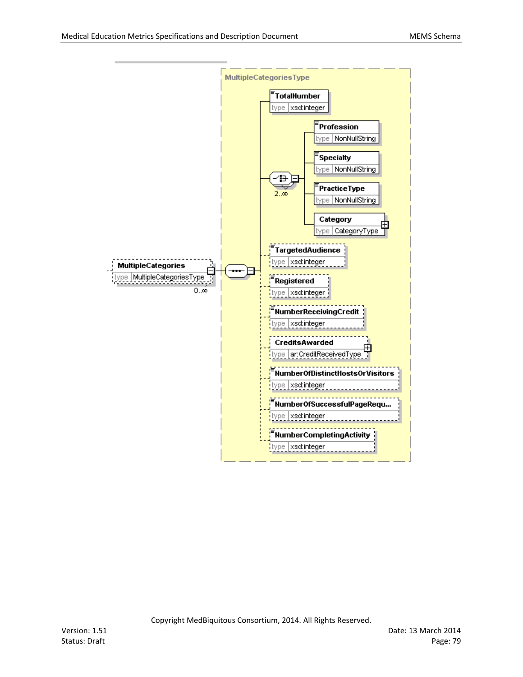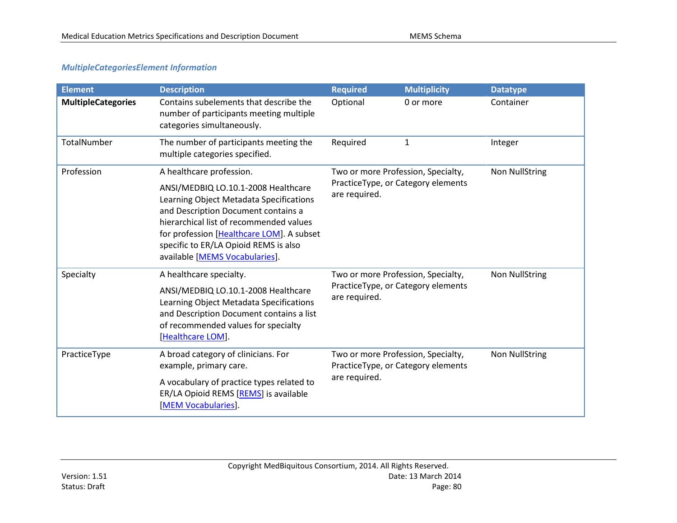## *MultipleCategoriesElement Information*

| <b>Element</b>            | <b>Description</b>                                                                                                                                                                                                                                                                                                   | <b>Required</b>                                                                                                                                                                        | <b>Multiplicity</b>                | <b>Datatype</b>       |
|---------------------------|----------------------------------------------------------------------------------------------------------------------------------------------------------------------------------------------------------------------------------------------------------------------------------------------------------------------|----------------------------------------------------------------------------------------------------------------------------------------------------------------------------------------|------------------------------------|-----------------------|
| <b>MultipleCategories</b> | Contains subelements that describe the<br>number of participants meeting multiple<br>categories simultaneously.                                                                                                                                                                                                      | Optional                                                                                                                                                                               | 0 or more                          | Container             |
| TotalNumber               | The number of participants meeting the<br>multiple categories specified.                                                                                                                                                                                                                                             | Required                                                                                                                                                                               | 1                                  | Integer               |
| Profession                | A healthcare profession.<br>ANSI/MEDBIQ LO.10.1-2008 Healthcare<br>Learning Object Metadata Specifications<br>and Description Document contains a<br>hierarchical list of recommended values<br>for profession [Healthcare LOM]. A subset<br>specific to ER/LA Opioid REMS is also<br>available [MEMS Vocabularies]. | Two or more Profession, Specialty,<br>PracticeType, or Category elements<br>are required.<br>Two or more Profession, Specialty,<br>PracticeType, or Category elements<br>are required. |                                    | Non NullString        |
| Specialty                 | A healthcare specialty.<br>ANSI/MEDBIQ LO.10.1-2008 Healthcare<br>Learning Object Metadata Specifications<br>and Description Document contains a list<br>of recommended values for specialty<br>[Healthcare LOM].                                                                                                    |                                                                                                                                                                                        |                                    | <b>Non NullString</b> |
| PracticeType              | A broad category of clinicians. For<br>example, primary care.<br>A vocabulary of practice types related to<br>ER/LA Opioid REMS [REMS] is available<br>[MEM Vocabularies].                                                                                                                                           | Two or more Profession, Specialty,<br>are required.                                                                                                                                    | PracticeType, or Category elements | <b>Non NullString</b> |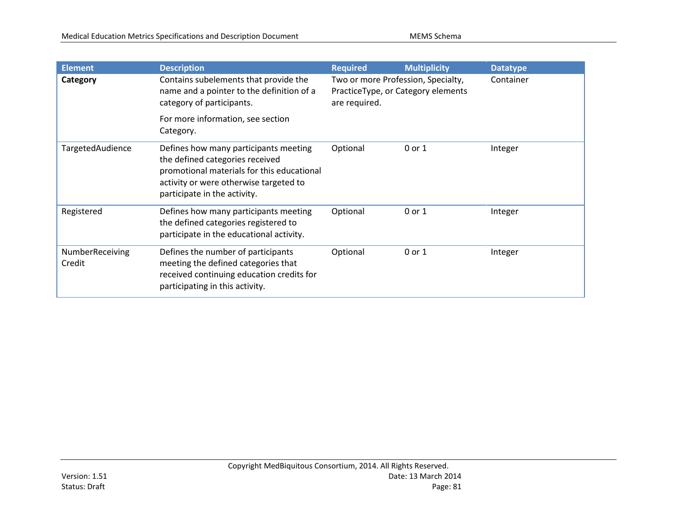| <b>Element</b>            | <b>Description</b>                                                                                                                                                                               | <b>Required</b> | <b>Multiplicity</b>                                                      | <b>Datatype</b> |
|---------------------------|--------------------------------------------------------------------------------------------------------------------------------------------------------------------------------------------------|-----------------|--------------------------------------------------------------------------|-----------------|
| Category                  | Contains subelements that provide the<br>name and a pointer to the definition of a<br>category of participants.                                                                                  | are required.   | Two or more Profession, Specialty,<br>PracticeType, or Category elements | Container       |
|                           | For more information, see section<br>Category.                                                                                                                                                   |                 |                                                                          |                 |
| <b>TargetedAudience</b>   | Defines how many participants meeting<br>the defined categories received<br>promotional materials for this educational<br>activity or were otherwise targeted to<br>participate in the activity. | Optional        | 0 or 1                                                                   | Integer         |
| Registered                | Defines how many participants meeting<br>the defined categories registered to<br>participate in the educational activity.                                                                        | Optional        | 0 or 1                                                                   | Integer         |
| NumberReceiving<br>Credit | Defines the number of participants<br>meeting the defined categories that<br>received continuing education credits for<br>participating in this activity.                                        | Optional        | 0 or 1                                                                   | Integer         |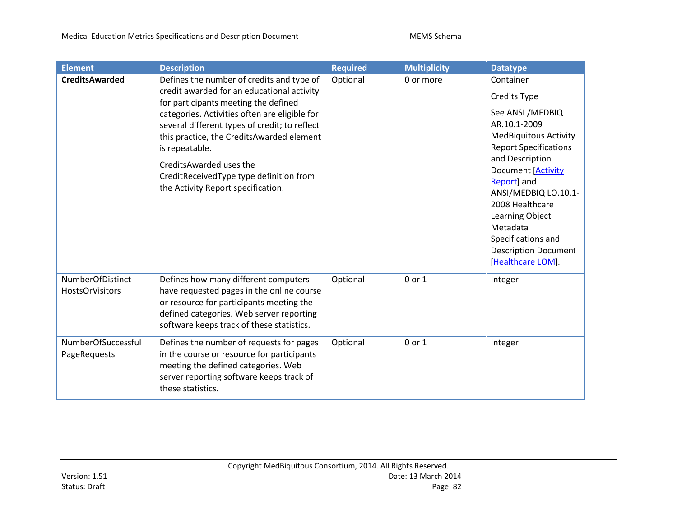| <b>Element</b>                                    | <b>Description</b>                                                                                                                                                                                                                                                                                           | <b>Required</b> | <b>Multiplicity</b> | <b>Datatype</b>                                                                                                                                                                                                 |
|---------------------------------------------------|--------------------------------------------------------------------------------------------------------------------------------------------------------------------------------------------------------------------------------------------------------------------------------------------------------------|-----------------|---------------------|-----------------------------------------------------------------------------------------------------------------------------------------------------------------------------------------------------------------|
| <b>CreditsAwarded</b>                             | Defines the number of credits and type of<br>Optional<br>credit awarded for an educational activity<br>for participants meeting the defined<br>categories. Activities often are eligible for<br>several different types of credit; to reflect<br>this practice, the CreditsAwarded element<br>is repeatable. |                 | 0 or more           | Container<br>Credits Type<br>See ANSI / MEDBIQ<br>AR.10.1-2009<br><b>MedBiquitous Activity</b><br><b>Report Specifications</b>                                                                                  |
|                                                   | CreditsAwarded uses the<br>CreditReceivedType type definition from<br>the Activity Report specification.                                                                                                                                                                                                     |                 |                     | and Description<br><b>Document [Activity</b><br>Report] and<br>ANSI/MEDBIQ LO.10.1-<br>2008 Healthcare<br>Learning Object<br>Metadata<br>Specifications and<br><b>Description Document</b><br>[Healthcare LOM]. |
| <b>NumberOfDistinct</b><br><b>HostsOrVisitors</b> | Defines how many different computers<br>have requested pages in the online course<br>or resource for participants meeting the<br>defined categories. Web server reporting<br>software keeps track of these statistics.                                                                                       | Optional        | 0 or 1              | Integer                                                                                                                                                                                                         |
| <b>NumberOfSuccessful</b><br>PageRequests         | Defines the number of requests for pages<br>in the course or resource for participants<br>meeting the defined categories. Web<br>server reporting software keeps track of<br>these statistics.                                                                                                               | Optional        | 0 or 1              | Integer                                                                                                                                                                                                         |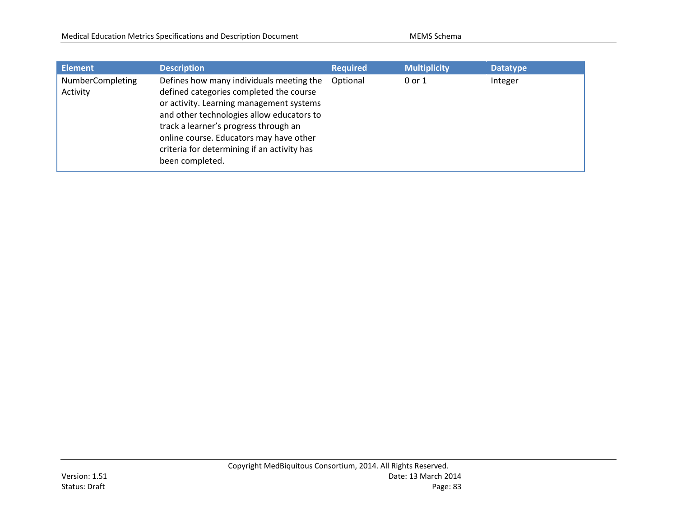| <b>Element</b>               | <b>Description</b>                                                                                                                                                                                                                                                                                                                 | <b>Required</b> | <b>Multiplicity</b> | <b>Datatype</b> |
|------------------------------|------------------------------------------------------------------------------------------------------------------------------------------------------------------------------------------------------------------------------------------------------------------------------------------------------------------------------------|-----------------|---------------------|-----------------|
| NumberCompleting<br>Activity | Defines how many individuals meeting the<br>defined categories completed the course<br>or activity. Learning management systems<br>and other technologies allow educators to<br>track a learner's progress through an<br>online course. Educators may have other<br>criteria for determining if an activity has<br>been completed. | Optional        | 0 or 1              | Integer         |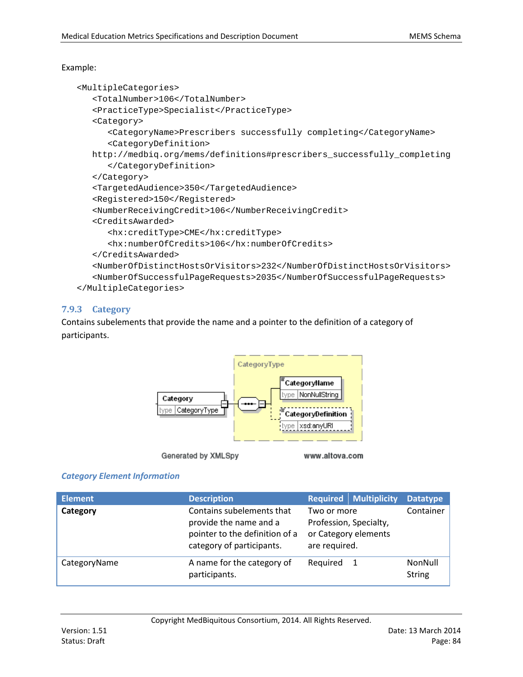#### Example:

```
<MultipleCategories>
   <TotalNumber>106</TotalNumber>
   <PracticeType>Specialist</PracticeType>
   <Category>
      <CategoryName>Prescribers successfully completing</CategoryName>
      <CategoryDefinition>
  http://medbiq.org/mems/definitions#prescribers_successfully_completing
      </CategoryDefinition>
  </Category>
   <TargetedAudience>350</TargetedAudience>
  <Registered>150</Registered>
   <NumberReceivingCredit>106</NumberReceivingCredit>
   <CreditsAwarded>
      <hx:creditType>CME</hx:creditType>
      <hx:numberOfCredits>106</hx:numberOfCredits>
   </CreditsAwarded>
   <NumberOfDistinctHostsOrVisitors>232</NumberOfDistinctHostsOrVisitors>
   <NumberOfSuccessfulPageRequests>2035</NumberOfSuccessfulPageRequests>
</MultipleCategories>
```
#### **7.9.3 Category**

Contains subelements that provide the name and a pointer to the definition of a category of participants.



Generated by XMLSpy

www.altova.com

#### *Category Element Information*

| <b>Element</b> | <b>Description</b>                                                                                                 | <b>Required</b>                                        | <b>Multiplicity</b>  | <b>Datatype</b>          |
|----------------|--------------------------------------------------------------------------------------------------------------------|--------------------------------------------------------|----------------------|--------------------------|
| Category       | Contains subelements that<br>provide the name and a<br>pointer to the definition of a<br>category of participants. | Two or more<br>Profession, Specialty,<br>are required. | or Category elements | Container                |
| CategoryName   | A name for the category of<br>participants.                                                                        | Required                                               | - 1                  | NonNull<br><b>String</b> |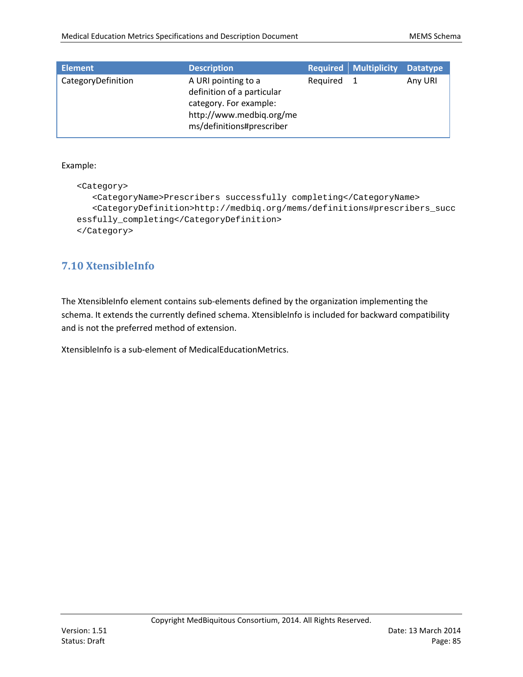| <b>Element</b>     | <b>Description</b>                                                                                                                   |          | <b>Required Multiplicity</b> | <b>Datatype</b> |
|--------------------|--------------------------------------------------------------------------------------------------------------------------------------|----------|------------------------------|-----------------|
| CategoryDefinition | A URI pointing to a<br>definition of a particular<br>category. For example:<br>http://www.medbig.org/me<br>ms/definitions#prescriber | Required |                              | Any URI         |

Example:

```
<Category>
   <CategoryName>Prescribers successfully completing</CategoryName>
   <CategoryDefinition>http://medbiq.org/mems/definitions#prescribers_succ
essfully_completing</CategoryDefinition>
</Category>
```
# **7.10 XtensibleInfo**

The XtensibleInfo element contains sub-elements defined by the organization implementing the schema. It extends the currently defined schema. XtensibleInfo is included for backward compatibility and is not the preferred method of extension.

XtensibleInfo is a sub-element of MedicalEducationMetrics.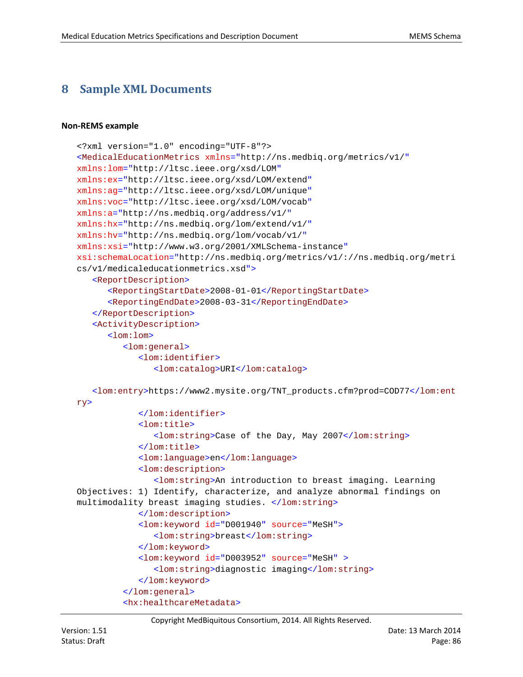# **8 Sample XML Documents**

#### **Non-REMS example**

```
<?xml version="1.0" encoding="UTF-8"?>
<MedicalEducationMetrics xmlns="http://ns.medbiq.org/metrics/v1/"
xmlns:lom="http://ltsc.ieee.org/xsd/LOM"
xmlns:ex="http://ltsc.ieee.org/xsd/LOM/extend"
xmlns:ag="http://ltsc.ieee.org/xsd/LOM/unique"
xmlns:voc="http://ltsc.ieee.org/xsd/LOM/vocab"
xmlns:a="http://ns.medbiq.org/address/v1/"
xmlns:hx="http://ns.medbiq.org/lom/extend/v1/"
xmlns:hv="http://ns.medbiq.org/lom/vocab/v1/"
xmlns:xsi="http://www.w3.org/2001/XMLSchema-instance"
xsi:schemaLocation="http://ns.medbiq.org/metrics/v1/://ns.medbiq.org/metri
cs/v1/medicaleducationmetrics.xsd">
   <ReportDescription>
      <ReportingStartDate>2008-01-01</ReportingStartDate>
      <ReportingEndDate>2008-03-31</ReportingEndDate>
   </ReportDescription>
   <ActivityDescription>
      <lom:lom>
         <lom:general>
            <lom:identifier>
               <lom:catalog>URI</lom:catalog>
   <lom:entry>https://www2.mysite.org/TNT_products.cfm?prod=COD77</lom:ent
ry>
            </lom:identifier>
            <lom:title>
               <lom:string>Case of the Day, May 2007</lom:string>
            </lom:title>
            <lom:language>en</lom:language>
            <lom:description>
               <lom:string>An introduction to breast imaging. Learning 
Objectives: 1) Identify, characterize, and analyze abnormal findings on 
multimodality breast imaging studies. </lom:string>
            </lom:description>
            <lom:keyword id="D001940" source="MeSH">
               <lom:string>breast</lom:string>
            </lom:keyword>
            <lom:keyword id="D003952" source="MeSH" >
               <lom:string>diagnostic imaging</lom:string>
            </lom:keyword>
         </lom:general>
         <hx:healthcareMetadata>
```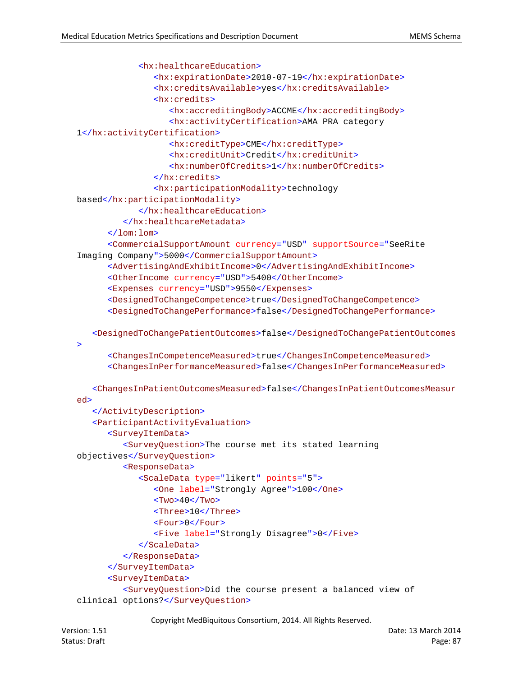```
<hx:healthcareEducation>
               <hx:expirationDate>2010-07-19</hx:expirationDate>
               <hx:creditsAvailable>yes</hx:creditsAvailable>
               <hx:credits>
                  <hx:accreditingBody>ACCME</hx:accreditingBody>
                  <hx:activityCertification>AMA PRA category 
1</hx:activityCertification>
                  <hx:creditType>CME</hx:creditType>
                  <hx:creditUnit>Credit</hx:creditUnit>
                  <hx:numberOfCredits>1</hx:numberOfCredits>
               </hx:credits>
               <hx:participationModality>technology 
based</hx:participationModality>
            </hx:healthcareEducation>
         </hx:healthcareMetadata>
      \langlelom:lom>
      <CommercialSupportAmount currency="USD" supportSource="SeeRite 
Imaging Company">5000</CommercialSupportAmount>
      <AdvertisingAndExhibitIncome>0</AdvertisingAndExhibitIncome>
      <OtherIncome currency="USD">5400</OtherIncome>
      <Expenses currency="USD">9550</Expenses>
      <DesignedToChangeCompetence>true</DesignedToChangeCompetence>
      <DesignedToChangePerformance>false</DesignedToChangePerformance>
   <DesignedToChangePatientOutcomes>false</DesignedToChangePatientOutcomes
>
      <ChangesInCompetenceMeasured>true</ChangesInCompetenceMeasured>
      <ChangesInPerformanceMeasured>false</ChangesInPerformanceMeasured>
   <ChangesInPatientOutcomesMeasured>false</ChangesInPatientOutcomesMeasur
ed>
   </ActivityDescription>
   <ParticipantActivityEvaluation>
      <SurveyItemData>
         <SurveyQuestion>The course met its stated learning 
objectives</SurveyQuestion>
         <ResponseData>
            <ScaleData type="likert" points="5">
               <One label="Strongly Agree">100</One>
               <Two>40</Two>
               <Three>10</Three>
               <Four>0</Four>
               <Five label="Strongly Disagree">0</Five>
            </ScaleData>
         </ResponseData>
      </SurveyItemData>
      <SurveyItemData>
         <SurveyQuestion>Did the course present a balanced view of 
clinical options?</SurveyQuestion>
```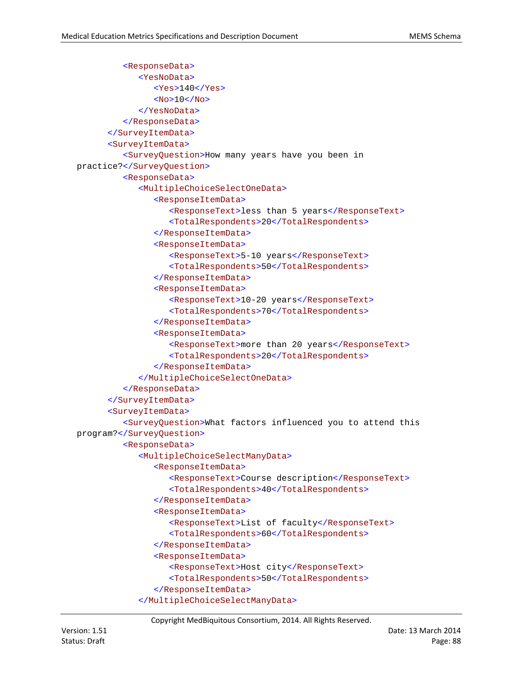```
<ResponseData>
            <YesNoData>
               <Yes>140</Yes>
               <No>10</No>
            </YesNoData>
         </ResponseData>
      </SurveyItemData>
      <SurveyItemData>
         <SurveyQuestion>How many years have you been in 
practice?</SurveyQuestion>
         <ResponseData>
            <MultipleChoiceSelectOneData>
               <ResponseItemData>
                  <ResponseText>less than 5 years</ResponseText>
                  <TotalRespondents>20</TotalRespondents>
               </ResponseItemData>
               <ResponseItemData>
                  <ResponseText>5-10 years</ResponseText>
                  <TotalRespondents>50</TotalRespondents>
               </ResponseItemData>
               <ResponseItemData>
                  <ResponseText>10-20 years</ResponseText>
                  <TotalRespondents>70</TotalRespondents>
               </ResponseItemData>
               <ResponseItemData>
                  <ResponseText>more than 20 years</ResponseText>
                  <TotalRespondents>20</TotalRespondents>
               </ResponseItemData>
            </MultipleChoiceSelectOneData>
         </ResponseData>
      </SurveyItemData>
      <SurveyItemData>
         <SurveyQuestion>What factors influenced you to attend this 
program?</SurveyQuestion>
         <ResponseData>
            <MultipleChoiceSelectManyData>
               <ResponseItemData>
                  <ResponseText>Course description</ResponseText>
                  <TotalRespondents>40</TotalRespondents>
               </ResponseItemData>
               <ResponseItemData>
                  <ResponseText>List of faculty</ResponseText>
                  <TotalRespondents>60</TotalRespondents>
               </ResponseItemData>
               <ResponseItemData>
                  <ResponseText>Host city</ResponseText>
                  <TotalRespondents>50</TotalRespondents>
               </ResponseItemData>
            </MultipleChoiceSelectManyData>
```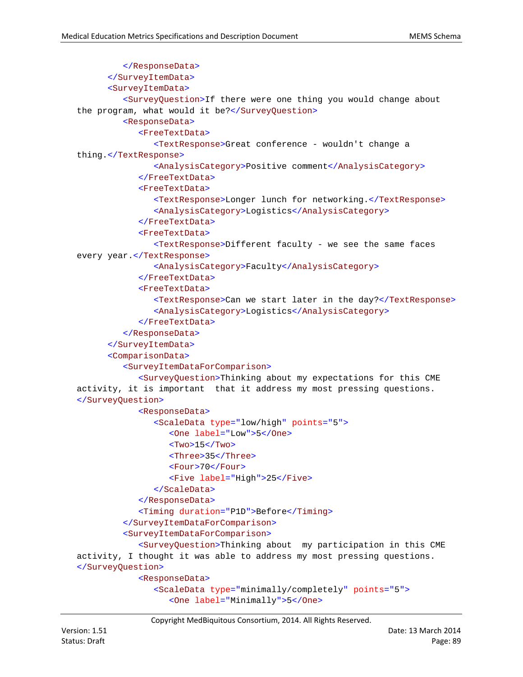```
</ResponseData>
      </SurveyItemData>
      <SurveyItemData>
         <SurveyQuestion>If there were one thing you would change about 
the program, what would it be?</SurveyQuestion>
         <ResponseData>
            <FreeTextData>
               <TextResponse>Great conference - wouldn't change a 
thing.</TextResponse>
               <AnalysisCategory>Positive comment</AnalysisCategory>
            </FreeTextData>
            <FreeTextData>
               <TextResponse>Longer lunch for networking.</TextResponse>
               <AnalysisCategory>Logistics</AnalysisCategory>
            </FreeTextData>
            <FreeTextData>
               <TextResponse>Different faculty - we see the same faces 
every year.</TextResponse>
               <AnalysisCategory>Faculty</AnalysisCategory>
            </FreeTextData>
            <FreeTextData>
               <TextResponse>Can we start later in the day?</TextResponse>
               <AnalysisCategory>Logistics</AnalysisCategory>
            </FreeTextData>
         </ResponseData>
      </SurveyItemData>
      <ComparisonData>
         <SurveyItemDataForComparison>
            <SurveyQuestion>Thinking about my expectations for this CME 
activity, it is important that it address my most pressing questions.
</SurveyQuestion>
            <ResponseData>
               <ScaleData type="low/high" points="5">
                  <One label="Low">5</One>
                  <Two>15</Two><Three>35</Three>
                  <Four>70</Four>
                  <Five label="High">25</Five>
               </ScaleData>
            </ResponseData>
            <Timing duration="P1D">Before</Timing>
         </SurveyItemDataForComparison>
         <SurveyItemDataForComparison>
            <SurveyQuestion>Thinking about my participation in this CME 
activity, I thought it was able to address my most pressing questions.
</SurveyQuestion>
            <ResponseData>
               <ScaleData type="minimally/completely" points="5">
                  <One label="Minimally">5</One>
```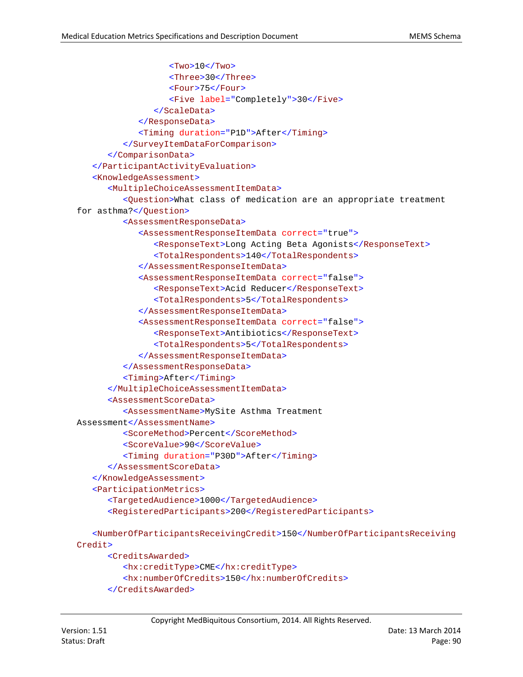```
<Two>10 < /Two><Three>30</Three>
                  <Four>75</Four>
                  <Five label="Completely">30</Five>
               </ScaleData>
            </ResponseData>
            <Timing duration="P1D">After</Timing>
         </SurveyItemDataForComparison>
      </ComparisonData>
   </ParticipantActivityEvaluation>
   <KnowledgeAssessment>
      <MultipleChoiceAssessmentItemData>
         <Question>What class of medication are an appropriate treatment 
for asthma?</Question>
         <AssessmentResponseData>
            <AssessmentResponseItemData correct="true">
               <ResponseText>Long Acting Beta Agonists</ResponseText>
               <TotalRespondents>140</TotalRespondents>
            </AssessmentResponseItemData>
            <AssessmentResponseItemData correct="false">
               <ResponseText>Acid Reducer</ResponseText>
               <TotalRespondents>5</TotalRespondents>
            </AssessmentResponseItemData>
            <AssessmentResponseItemData correct="false">
               <ResponseText>Antibiotics</ResponseText>
               <TotalRespondents>5</TotalRespondents>
            </AssessmentResponseItemData>
         </AssessmentResponseData>
         <Timing>After</Timing>
      </MultipleChoiceAssessmentItemData>
      <AssessmentScoreData>
         <AssessmentName>MySite Asthma Treatment 
Assessment</AssessmentName>
         <ScoreMethod>Percent</ScoreMethod>
         <ScoreValue>90</ScoreValue>
         <Timing duration="P30D">After</Timing>
      </AssessmentScoreData>
   </KnowledgeAssessment>
   <ParticipationMetrics>
      <TargetedAudience>1000</TargetedAudience>
      <RegisteredParticipants>200</RegisteredParticipants>
   <NumberOfParticipantsReceivingCredit>150</NumberOfParticipantsReceiving
Credit>
      <CreditsAwarded>
         <hx:creditType>CME</hx:creditType>
         <hx:numberOfCredits>150</hx:numberOfCredits>
```

```
</CreditsAwarded>
```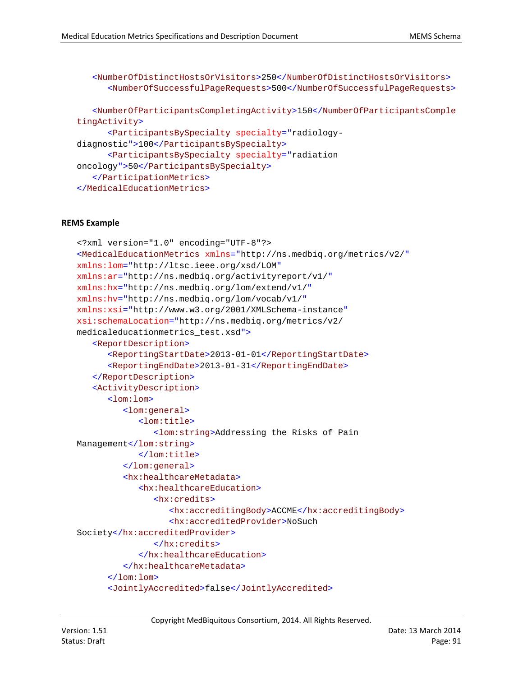```
<NumberOfDistinctHostsOrVisitors>250</NumberOfDistinctHostsOrVisitors>
      <NumberOfSuccessfulPageRequests>500</NumberOfSuccessfulPageRequests>
   <NumberOfParticipantsCompletingActivity>150</NumberOfParticipantsComple
tingActivity>
      <ParticipantsBySpecialty specialty="radiology-
diagnostic">100</ParticipantsBySpecialty>
      <ParticipantsBySpecialty specialty="radiation 
oncology">50</ParticipantsBySpecialty>
   </ParticipationMetrics>
```

```
</MedicalEducationMetrics>
```
#### **REMS Example**

```
<?xml version="1.0" encoding="UTF-8"?>
<MedicalEducationMetrics xmlns="http://ns.medbiq.org/metrics/v2/"
xmlns:lom="http://ltsc.ieee.org/xsd/LOM" 
xmlns:ar="http://ns.medbiq.org/activityreport/v1/" 
xmlns:hx="http://ns.medbiq.org/lom/extend/v1/"
xmlns:hv="http://ns.medbiq.org/lom/vocab/v1/"
xmlns:xsi="http://www.w3.org/2001/XMLSchema-instance"
xsi:schemaLocation="http://ns.medbiq.org/metrics/v2/
medicaleducationmetrics_test.xsd">
   <ReportDescription>
      <ReportingStartDate>2013-01-01</ReportingStartDate>
      <ReportingEndDate>2013-01-31</ReportingEndDate>
   </ReportDescription>
   <ActivityDescription>
      <lom:lom>
         <lom:general>
            <lom:title>
               <lom:string>Addressing the Risks of Pain 
Management</lom:string>
            </lom:title>
         </lom:general>
         <hx:healthcareMetadata>
            <hx:healthcareEducation>
               <hx:credits>
                  <hx:accreditingBody>ACCME</hx:accreditingBody>
                  <hx:accreditedProvider>NoSuch 
Society</hx:accreditedProvider>
               </hx:credits>
            </hx:healthcareEducation>
         </hx:healthcareMetadata>
      </lom:lom>
      <JointlyAccredited>false</JointlyAccredited>
```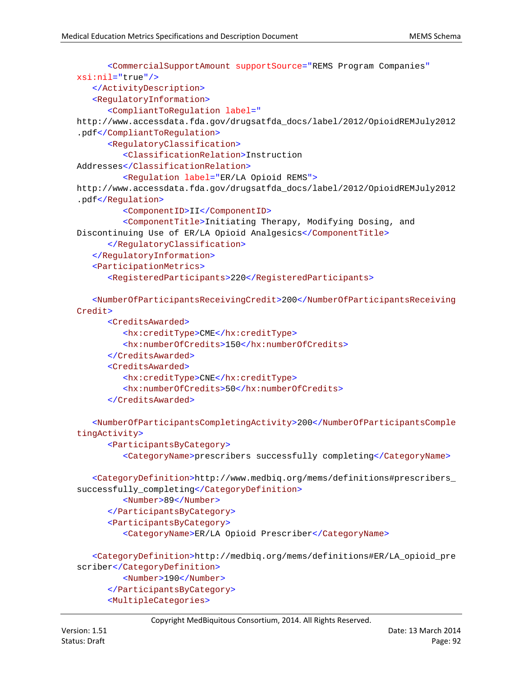```
<CommercialSupportAmount supportSource="REMS Program Companies"
xsi:nil="true"/>
   </ActivityDescription>
   <RegulatoryInformation>
      <CompliantToRegulation label="
http://www.accessdata.fda.gov/drugsatfda_docs/label/2012/OpioidREMJuly2012
.pdf</CompliantToRegulation>
      <RegulatoryClassification>
         <ClassificationRelation>Instruction 
Addresses</ClassificationRelation>
         <Regulation label="ER/LA Opioid REMS">
http://www.accessdata.fda.gov/drugsatfda_docs/label/2012/OpioidREMJuly2012
.pdf</Regulation>
         <ComponentID>II</ComponentID>
         <ComponentTitle>Initiating Therapy, Modifying Dosing, and 
Discontinuing Use of ER/LA Opioid Analgesics</ComponentTitle>
      </RegulatoryClassification>
   </RegulatoryInformation>
   <ParticipationMetrics>
      <RegisteredParticipants>220</RegisteredParticipants>
   <NumberOfParticipantsReceivingCredit>200</NumberOfParticipantsReceiving
Credit>
      <CreditsAwarded>
         <hx:creditType>CME</hx:creditType>
```

```
<hx:numberOfCredits>150</hx:numberOfCredits>
</CreditsAwarded>
<CreditsAwarded>
   <hx:creditType>CNE</hx:creditType>
   <hx:numberOfCredits>50</hx:numberOfCredits>
</CreditsAwarded>
```
<NumberOfParticipantsCompletingActivity>200</NumberOfParticipantsComple tingActivity>

<ParticipantsByCategory> <CategoryName>prescribers successfully completing</CategoryName>

```
<CategoryDefinition>http://www.medbiq.org/mems/definitions#prescribers_
successfully_completing</CategoryDefinition>
         <Number>89</Number>
      </ParticipantsByCategory>
```

```
<ParticipantsByCategory>
   <CategoryName>ER/LA Opioid Prescriber</CategoryName>
```

```
<CategoryDefinition>http://medbiq.org/mems/definitions#ER/LA_opioid_pre
scriber</CategoryDefinition>
         <Number>190</Number>
      </ParticipantsByCategory>
      <MultipleCategories>
```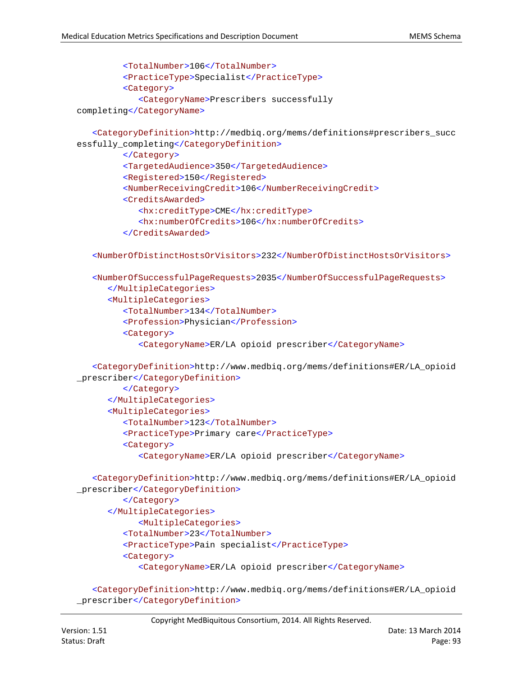```
<TotalNumber>106</TotalNumber>
         <PracticeType>Specialist</PracticeType>
         <Category>
            <CategoryName>Prescribers successfully 
completing</CategoryName>
   <CategoryDefinition>http://medbiq.org/mems/definitions#prescribers_succ
essfully_completing</CategoryDefinition>
         </Category>
         <TargetedAudience>350</TargetedAudience>
         <Registered>150</Registered>
         <NumberReceivingCredit>106</NumberReceivingCredit>
         <CreditsAwarded>
            <hx:creditType>CME</hx:creditType>
            <hx:numberOfCredits>106</hx:numberOfCredits>
         </CreditsAwarded>
   <NumberOfDistinctHostsOrVisitors>232</NumberOfDistinctHostsOrVisitors>
   <NumberOfSuccessfulPageRequests>2035</NumberOfSuccessfulPageRequests>
      </MultipleCategories>
      <MultipleCategories>
         <TotalNumber>134</TotalNumber>
         <Profession>Physician</Profession>
         <Category>
            <CategoryName>ER/LA opioid prescriber</CategoryName>
   <CategoryDefinition>http://www.medbiq.org/mems/definitions#ER/LA_opioid
_prescriber</CategoryDefinition>
         </Category>
      </MultipleCategories>
      <MultipleCategories>
         <TotalNumber>123</TotalNumber>
         <PracticeType>Primary care</PracticeType>
         <Category>
            <CategoryName>ER/LA opioid prescriber</CategoryName>
   <CategoryDefinition>http://www.medbiq.org/mems/definitions#ER/LA_opioid
_prescriber</CategoryDefinition>
         </Category>
      </MultipleCategories>
            <MultipleCategories>
         <TotalNumber>23</TotalNumber>
         <PracticeType>Pain specialist</PracticeType>
         <Category>
            <CategoryName>ER/LA opioid prescriber</CategoryName>
   <CategoryDefinition>http://www.medbiq.org/mems/definitions#ER/LA_opioid
_prescriber</CategoryDefinition>
```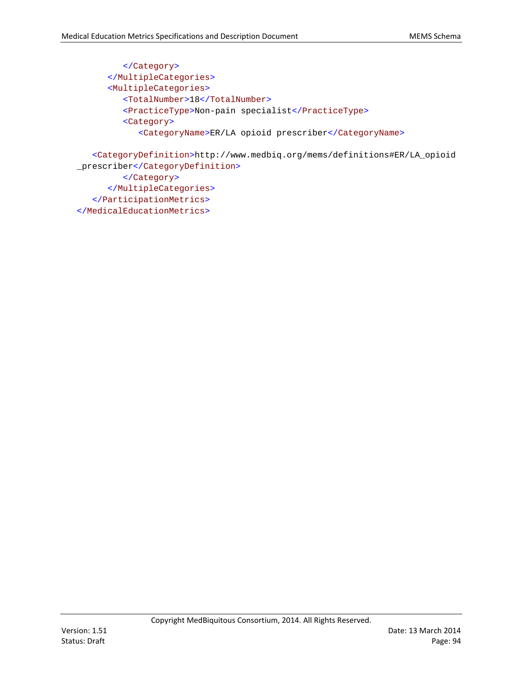```
</Category>
</MultipleCategories>
<MultipleCategories>
   <TotalNumber>18</TotalNumber>
  <PracticeType>Non-pain specialist</PracticeType>
  <Category>
      <CategoryName>ER/LA opioid prescriber</CategoryName>
```
<CategoryDefinition>http://www.medbiq.org/mems/definitions#ER/LA\_opioid \_prescriber</CategoryDefinition> </Category> </MultipleCategories>

</ParticipationMetrics>

</MedicalEducationMetrics>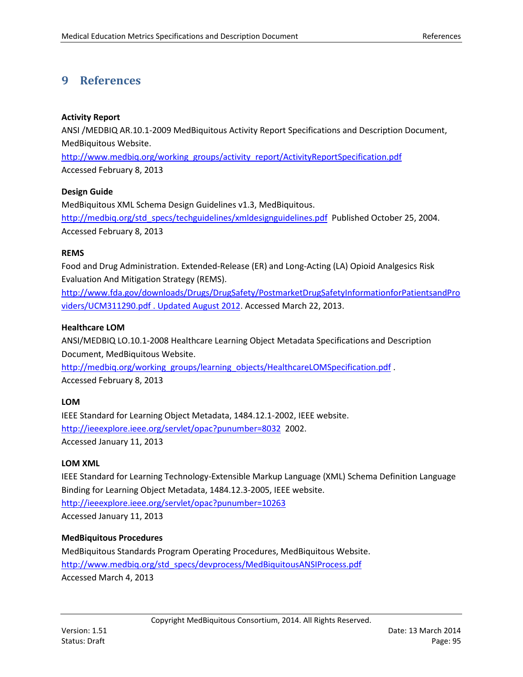# <span id="page-94-3"></span><span id="page-94-2"></span><span id="page-94-0"></span>**9 References**

## **Activity Report**

ANSI /MEDBIQ AR.10.1-2009 MedBiquitous Activity Report Specifications and Description Document, MedBiquitous Website.

<span id="page-94-1"></span>[http://www.medbiq.org/working\\_groups/activity\\_report/ActivityReportSpecification.pdf](http://www.medbiq.org/working_groups/activity_report/ActivityReportSpecification.pdf) Accessed February 8, 2013

## **Design Guide**

MedBiquitous XML Schema Design Guidelines v1.3, MedBiquitous. [http://medbiq.org/std\\_specs/techguidelines/xmldesignguidelines.pdf](http://medbiq.org/std_specs/techguidelines/xmldesignguidelines.pdf) Published October 25, 2004. Accessed February 8, 2013

## **REMS**

Food and Drug Administration. Extended-Release (ER) and Long-Acting (LA) Opioid Analgesics Risk Evaluation And Mitigation Strategy (REMS).

[http://www.fda.gov/downloads/Drugs/DrugSafety/PostmarketDrugSafetyInformationforPatientsandPro](http://www.fda.gov/downloads/Drugs/DrugSafety/PostmarketDrugSafetyInformationforPatientsandProviders/UCM311290.pdf%20.%20Updated%20August%202012) [viders/UCM311290.pdf . Updated August 2012.](http://www.fda.gov/downloads/Drugs/DrugSafety/PostmarketDrugSafetyInformationforPatientsandProviders/UCM311290.pdf%20.%20Updated%20August%202012) Accessed March 22, 2013.

## **Healthcare LOM**

ANSI/MEDBIQ LO.10.1-2008 Healthcare Learning Object Metadata Specifications and Description Document, MedBiquitous Website.

[http://medbiq.org/working\\_groups/learning\\_objects/HealthcareLOMSpecification.pdf](http://medbiq.org/working_groups/learning_objects/HealthcareLOMSpecification.pdf) . Accessed February 8, 2013

## **LOM**

IEEE Standard for Learning Object Metadata, 1484.12.1-2002, IEEE website. <http://ieeexplore.ieee.org/servlet/opac?punumber=8032> 2002. Accessed January 11, 2013

## **LOM XML**

IEEE Standard for Learning Technology-Extensible Markup Language (XML) Schema Definition Language Binding for Learning Object Metadata, 1484.12.3-2005, IEEE website. <http://ieeexplore.ieee.org/servlet/opac?punumber=10263>

Accessed January 11, 2013

## **MedBiquitous Procedures**

MedBiquitous Standards Program Operating Procedures, MedBiquitous Website. [http://www.medbiq.org/std\\_specs/devprocess/MedBiquitousANSIProcess.pdf](http://www.medbiq.org/std_specs/devprocess/MedBiquitousANSIProcess.pdf) Accessed March 4, 2013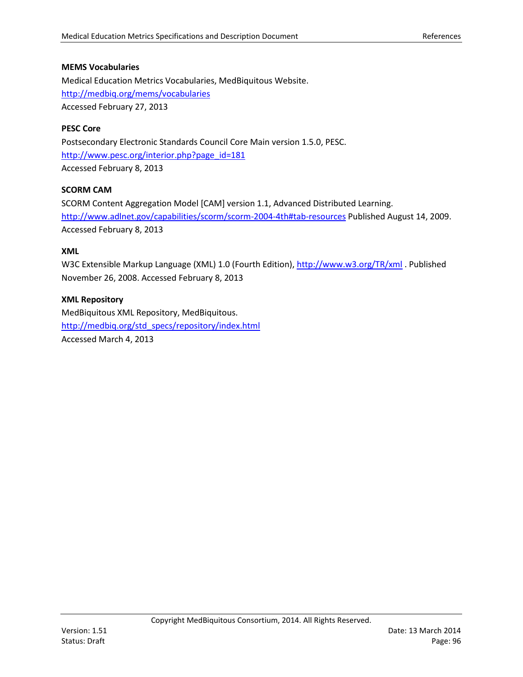#### <span id="page-95-0"></span>**MEMS Vocabularies**

Medical Education Metrics Vocabularies, MedBiquitous Website. <http://medbiq.org/mems/vocabularies> Accessed February 27, 2013

### <span id="page-95-1"></span>**PESC Core**

Postsecondary Electronic Standards Council Core Main version 1.5.0, PESC. [http://www.pesc.org/interior.php?page\\_id=181](http://www.pesc.org/interior.php?page_id=181) Accessed February 8, 2013

### **SCORM CAM**

SCORM Content Aggregation Model [CAM] version 1.1, Advanced Distributed Learning. <http://www.adlnet.gov/capabilities/scorm/scorm-2004-4th#tab-resources> Published August 14, 2009. Accessed February 8, 2013

#### **XML**

W3C Extensible Markup Language (XML) 1.0 (Fourth Edition)[, http://www.w3.org/TR/xml](http://www.w3.org/TR/xml) . Published November 26, 2008. Accessed February 8, 2013

### **XML Repository**

MedBiquitous XML Repository, MedBiquitous. [http://medbiq.org/std\\_specs/repository/index.html](http://medbiq.org/std_specs/repository/index.html) Accessed March 4, 2013